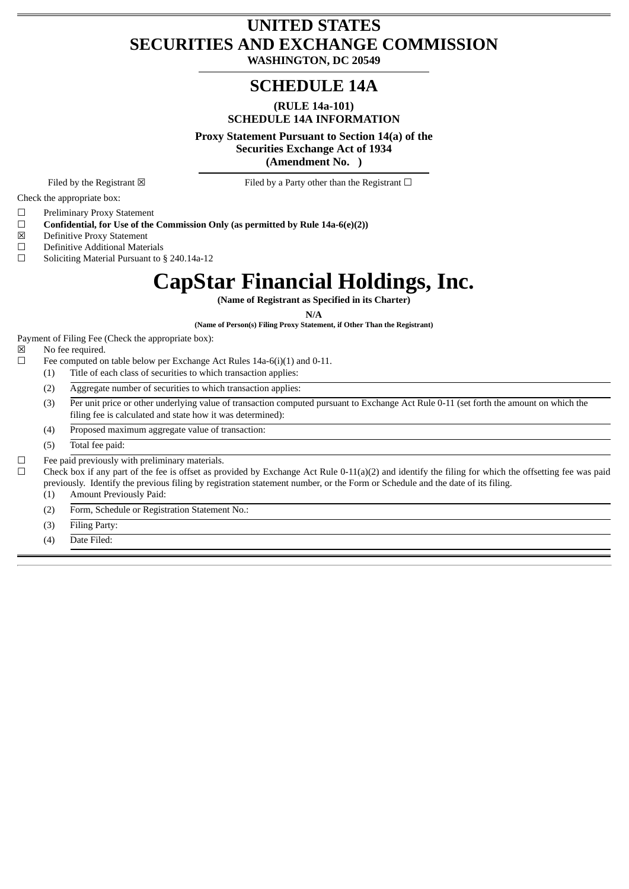# **UNITED STATES SECURITIES AND EXCHANGE COMMISSION**

**WASHINGTON, DC 20549**

# **SCHEDULE 14A**

**(RULE 14a-101) SCHEDULE 14A INFORMATION**

**Proxy Statement Pursuant to Section 14(a) of the Securities Exchange Act of 1934**

**(Amendment No. )**

Filed by the Registrant  $\boxtimes$  Filed by a Party other than the Registrant  $\Box$ 

Check the appropriate box:

☐ Preliminary Proxy Statement

☐ **Confidential, for Use of the Commission Only (as permitted by Rule 14a-6(e)(2))**

☒ Definitive Proxy Statement

☐ Definitive Additional Materials

☐ Soliciting Material Pursuant to § 240.14a-12

# **CapStar Financial Holdings, Inc.**

**(Name of Registrant as Specified in its Charter)**

**N/A**

**(Name of Person(s) Filing Proxy Statement, if Other Than the Registrant)**

Payment of Filing Fee (Check the appropriate box):

☒ No fee required.

 $\Box$  Fee computed on table below per Exchange Act Rules 14a-6(i)(1) and 0-11.

- (1) Title of each class of securities to which transaction applies:
- (2) Aggregate number of securities to which transaction applies:
- (3) Per unit price or other underlying value of transaction computed pursuant to Exchange Act Rule 0-11 (set forth the amount on which the filing fee is calculated and state how it was determined):
- (4) Proposed maximum aggregate value of transaction:

(5) Total fee paid:

 $□$  Fee paid previously with preliminary materials.

 $\Box$  Check box if any part of the fee is offset as provided by Exchange Act Rule 0-11(a)(2) and identify the filing for which the offsetting fee was paid previously. Identify the previous filing by registration statement number, or the Form or Schedule and the date of its filing.

(1) Amount Previously Paid:

(2) Form, Schedule or Registration Statement No.:

(3) Filing Party:

(4) Date Filed: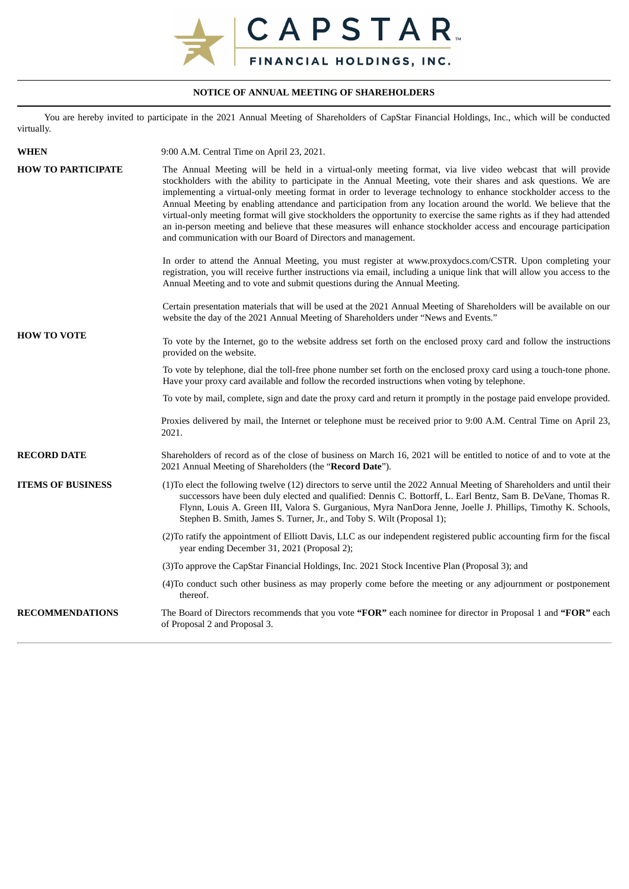

## **NOTICE OF ANNUAL MEETING OF SHAREHOLDERS**

You are hereby invited to participate in the 2021 Annual Meeting of Shareholders of CapStar Financial Holdings, Inc., which will be conducted virtually.

| <b>WHEN</b>               | 9:00 A.M. Central Time on April 23, 2021.                                                                                                                                                                                                                                                                                                                                                                                                                                                                                                                                                                                                                                                                                                                                          |
|---------------------------|------------------------------------------------------------------------------------------------------------------------------------------------------------------------------------------------------------------------------------------------------------------------------------------------------------------------------------------------------------------------------------------------------------------------------------------------------------------------------------------------------------------------------------------------------------------------------------------------------------------------------------------------------------------------------------------------------------------------------------------------------------------------------------|
| <b>HOW TO PARTICIPATE</b> | The Annual Meeting will be held in a virtual-only meeting format, via live video webcast that will provide<br>stockholders with the ability to participate in the Annual Meeting, vote their shares and ask questions. We are<br>implementing a virtual-only meeting format in order to leverage technology to enhance stockholder access to the<br>Annual Meeting by enabling attendance and participation from any location around the world. We believe that the<br>virtual-only meeting format will give stockholders the opportunity to exercise the same rights as if they had attended<br>an in-person meeting and believe that these measures will enhance stockholder access and encourage participation<br>and communication with our Board of Directors and management. |
|                           | In order to attend the Annual Meeting, you must register at www.proxydocs.com/CSTR. Upon completing your<br>registration, you will receive further instructions via email, including a unique link that will allow you access to the<br>Annual Meeting and to vote and submit questions during the Annual Meeting.                                                                                                                                                                                                                                                                                                                                                                                                                                                                 |
|                           | Certain presentation materials that will be used at the 2021 Annual Meeting of Shareholders will be available on our<br>website the day of the 2021 Annual Meeting of Shareholders under "News and Events."                                                                                                                                                                                                                                                                                                                                                                                                                                                                                                                                                                        |
| <b>HOW TO VOTE</b>        | To vote by the Internet, go to the website address set forth on the enclosed proxy card and follow the instructions<br>provided on the website.                                                                                                                                                                                                                                                                                                                                                                                                                                                                                                                                                                                                                                    |
|                           | To vote by telephone, dial the toll-free phone number set forth on the enclosed proxy card using a touch-tone phone.<br>Have your proxy card available and follow the recorded instructions when voting by telephone.                                                                                                                                                                                                                                                                                                                                                                                                                                                                                                                                                              |
|                           | To vote by mail, complete, sign and date the proxy card and return it promptly in the postage paid envelope provided.                                                                                                                                                                                                                                                                                                                                                                                                                                                                                                                                                                                                                                                              |
|                           | Proxies delivered by mail, the Internet or telephone must be received prior to 9:00 A.M. Central Time on April 23,<br>2021.                                                                                                                                                                                                                                                                                                                                                                                                                                                                                                                                                                                                                                                        |
| <b>RECORD DATE</b>        | Shareholders of record as of the close of business on March 16, 2021 will be entitled to notice of and to vote at the<br>2021 Annual Meeting of Shareholders (the "Record Date").                                                                                                                                                                                                                                                                                                                                                                                                                                                                                                                                                                                                  |
| <b>ITEMS OF BUSINESS</b>  | (1) To elect the following twelve (12) directors to serve until the 2022 Annual Meeting of Shareholders and until their<br>successors have been duly elected and qualified: Dennis C. Bottorff, L. Earl Bentz, Sam B. DeVane, Thomas R.<br>Flynn, Louis A. Green III, Valora S. Gurganious, Myra NanDora Jenne, Joelle J. Phillips, Timothy K. Schools,<br>Stephen B. Smith, James S. Turner, Jr., and Toby S. Wilt (Proposal 1);                                                                                                                                                                                                                                                                                                                                                  |
|                           | (2) To ratify the appointment of Elliott Davis, LLC as our independent registered public accounting firm for the fiscal<br>year ending December 31, 2021 (Proposal 2);                                                                                                                                                                                                                                                                                                                                                                                                                                                                                                                                                                                                             |
|                           | (3) To approve the CapStar Financial Holdings, Inc. 2021 Stock Incentive Plan (Proposal 3); and                                                                                                                                                                                                                                                                                                                                                                                                                                                                                                                                                                                                                                                                                    |
|                           | (4) To conduct such other business as may properly come before the meeting or any adjournment or postponement<br>thereof.                                                                                                                                                                                                                                                                                                                                                                                                                                                                                                                                                                                                                                                          |
| <b>RECOMMENDATIONS</b>    | The Board of Directors recommends that you vote "FOR" each nominee for director in Proposal 1 and "FOR" each<br>of Proposal 2 and Proposal 3.                                                                                                                                                                                                                                                                                                                                                                                                                                                                                                                                                                                                                                      |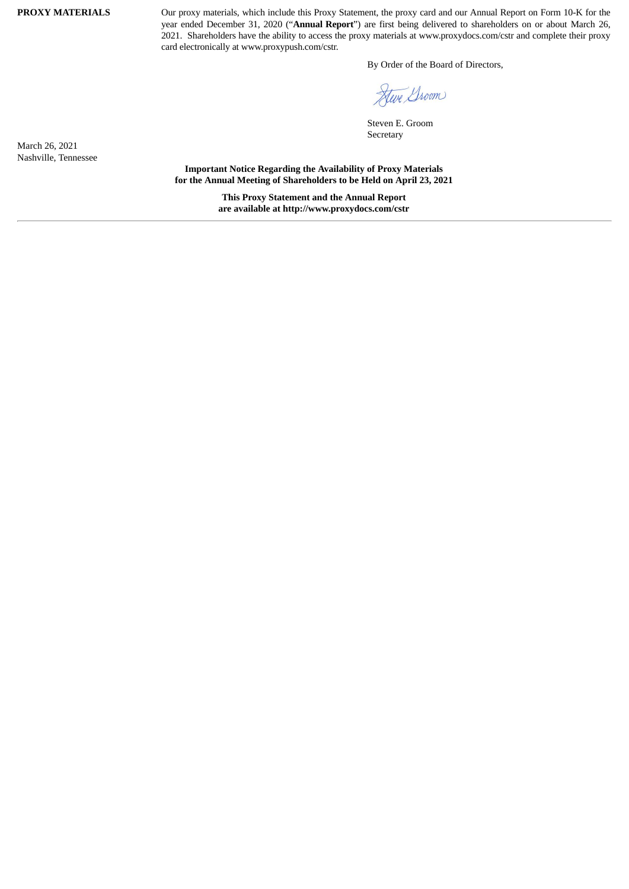**PROXY MATERIALS** Our proxy materials, which include this Proxy Statement, the proxy card and our Annual Report on Form 10-K for the year ended December 31, 2020 ("**Annual Report**") are first being delivered to shareholders on or about March 26, 2021. Shareholders have the ability to access the proxy materials at www.proxydocs.com/cstr and complete their proxy card electronically at www.proxypush.com/cstr.

By Order of the Board of Directors,

Steve Groom

Steven E. Groom Secretary

March 26, 2021 Nashville, Tennessee

**Important Notice Regarding the Availability of Proxy Materials for the Annual Meeting of Shareholders to be Held on April 23, 2021**

> **This Proxy Statement and the Annual Report are available at http://www.proxydocs.com/cstr**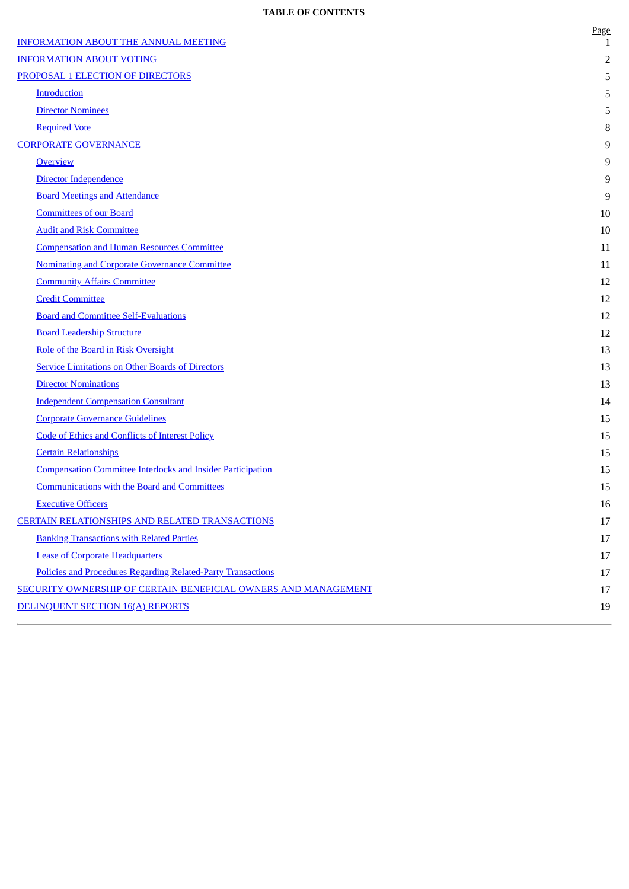## **TABLE OF CONTENTS**

| <b>INFORMATION ABOUT THE ANNUAL MEETING</b>                         | <b>Page</b><br>1 |
|---------------------------------------------------------------------|------------------|
| <b>INFORMATION ABOUT VOTING</b>                                     | 2                |
| PROPOSAL 1 ELECTION OF DIRECTORS                                    | 5                |
| Introduction                                                        | 5                |
| <b>Director Nominees</b>                                            | 5                |
| <b>Required Vote</b>                                                | 8                |
| <b>CORPORATE GOVERNANCE</b>                                         | 9                |
| <b>Overview</b>                                                     | 9                |
| Director Independence                                               | 9                |
| <b>Board Meetings and Attendance</b>                                | 9                |
| <b>Committees of our Board</b>                                      | 10               |
| <b>Audit and Risk Committee</b>                                     | 10               |
| <b>Compensation and Human Resources Committee</b>                   | 11               |
| <b>Nominating and Corporate Governance Committee</b>                | 11               |
| <b>Community Affairs Committee</b>                                  | 12               |
| <b>Credit Committee</b>                                             | 12               |
| <b>Board and Committee Self-Evaluations</b>                         | 12               |
| <b>Board Leadership Structure</b>                                   | 12               |
| Role of the Board in Risk Oversight                                 | 13               |
| <b>Service Limitations on Other Boards of Directors</b>             | 13               |
| <b>Director Nominations</b>                                         | 13               |
| <b>Independent Compensation Consultant</b>                          | 14               |
| <b>Corporate Governance Guidelines</b>                              | 15               |
| Code of Ethics and Conflicts of Interest Policy                     | 15               |
| <b>Certain Relationships</b>                                        | 15               |
| <b>Compensation Committee Interlocks and Insider Participation</b>  | 15               |
| <b>Communications with the Board and Committees</b>                 | 15               |
| <b>Executive Officers</b>                                           | 16               |
| <b>CERTAIN RELATIONSHIPS AND RELATED TRANSACTIONS</b>               | 17               |
| <b>Banking Transactions with Related Parties</b>                    | 17               |
| <b>Lease of Corporate Headquarters</b>                              | 17               |
| <b>Policies and Procedures Regarding Related-Party Transactions</b> | 17               |
| SECURITY OWNERSHIP OF CERTAIN BENEFICIAL OWNERS AND MANAGEMENT      | $17\,$           |
| DELINQUENT SECTION 16(A) REPORTS                                    | 19               |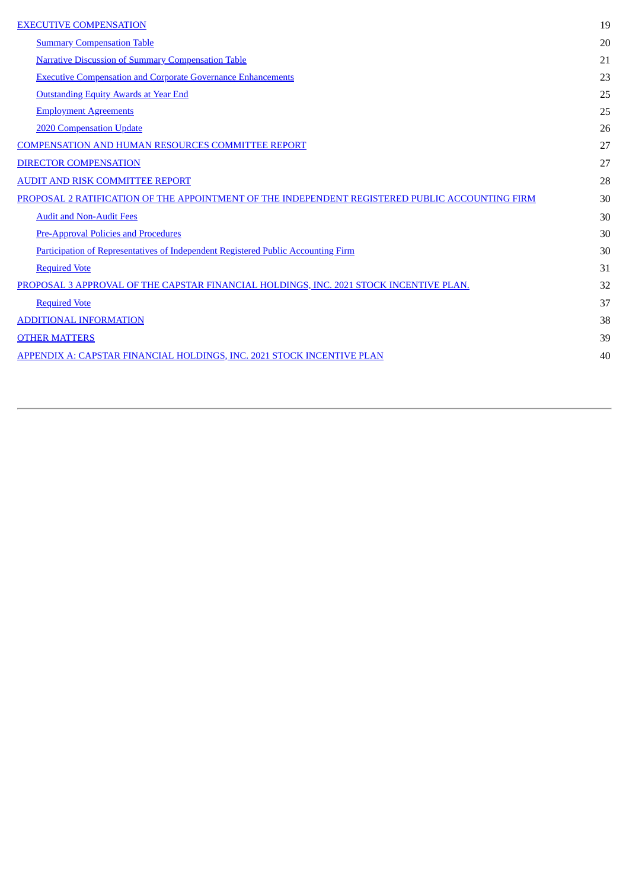| <b>EXECUTIVE COMPENSATION</b>                                                                   | 19 |
|-------------------------------------------------------------------------------------------------|----|
| <b>Summary Compensation Table</b>                                                               | 20 |
| <b>Narrative Discussion of Summary Compensation Table</b>                                       | 21 |
| <b>Executive Compensation and Corporate Governance Enhancements</b>                             | 23 |
| <b>Outstanding Equity Awards at Year End</b>                                                    | 25 |
| <b>Employment Agreements</b>                                                                    | 25 |
| <b>2020 Compensation Update</b>                                                                 | 26 |
| <b>COMPENSATION AND HUMAN RESOURCES COMMITTEE REPORT</b>                                        | 27 |
| <b>DIRECTOR COMPENSATION</b>                                                                    | 27 |
| <b>AUDIT AND RISK COMMITTEE REPORT</b>                                                          | 28 |
| PROPOSAL 2 RATIFICATION OF THE APPOINTMENT OF THE INDEPENDENT REGISTERED PUBLIC ACCOUNTING FIRM | 30 |
| <b>Audit and Non-Audit Fees</b>                                                                 | 30 |
| <b>Pre-Approval Policies and Procedures</b>                                                     | 30 |
| <b>Participation of Representatives of Independent Registered Public Accounting Firm</b>        | 30 |
| <b>Required Vote</b>                                                                            | 31 |
| PROPOSAL 3 APPROVAL OF THE CAPSTAR FINANCIAL HOLDINGS, INC. 2021 STOCK INCENTIVE PLAN.          | 32 |
| <b>Required Vote</b>                                                                            | 37 |
| <b>ADDITIONAL INFORMATION</b>                                                                   | 38 |
| <b>OTHER MATTERS</b>                                                                            | 39 |
| APPENDIX A: CAPSTAR FINANCIAL HOLDINGS, INC. 2021 STOCK INCENTIVE PLAN                          | 40 |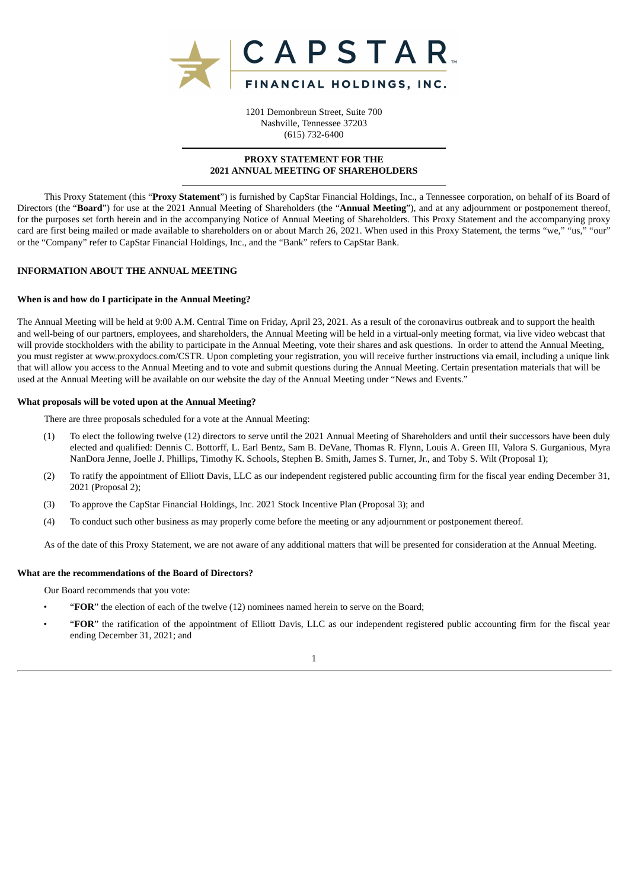

1201 Demonbreun Street, Suite 700 Nashville, Tennessee 37203 (615) 732-6400

## **PROXY STATEMENT FOR THE 2021 ANNUAL MEETING OF SHAREHOLDERS**

This Proxy Statement (this "**Proxy Statement**") is furnished by CapStar Financial Holdings, Inc., a Tennessee corporation, on behalf of its Board of Directors (the "**Board**") for use at the 2021 Annual Meeting of Shareholders (the "**Annual Meeting**"), and at any adjournment or postponement thereof, for the purposes set forth herein and in the accompanying Notice of Annual Meeting of Shareholders. This Proxy Statement and the accompanying proxy card are first being mailed or made available to shareholders on or about March 26, 2021. When used in this Proxy Statement, the terms "we," "us," "our" or the "Company" refer to CapStar Financial Holdings, Inc., and the "Bank" refers to CapStar Bank.

## <span id="page-5-0"></span>**INFORMATION ABOUT THE ANNUAL MEETING**

#### **When is and how do I participate in the Annual Meeting?**

The Annual Meeting will be held at 9:00 A.M. Central Time on Friday, April 23, 2021. As a result of the coronavirus outbreak and to support the health and well-being of our partners, employees, and shareholders, the Annual Meeting will be held in a virtual-only meeting format, via live video webcast that will provide stockholders with the ability to participate in the Annual Meeting, vote their shares and ask questions. In order to attend the Annual Meeting, you must register at www.proxydocs.com/CSTR. Upon completing your registration, you will receive further instructions via email, including a unique link that will allow you access to the Annual Meeting and to vote and submit questions during the Annual Meeting. Certain presentation materials that will be used at the Annual Meeting will be available on our website the day of the Annual Meeting under "News and Events."

#### **What proposals will be voted upon at the Annual Meeting?**

There are three proposals scheduled for a vote at the Annual Meeting:

- (1) To elect the following twelve (12) directors to serve until the 2021 Annual Meeting of Shareholders and until their successors have been duly elected and qualified: Dennis C. Bottorff, L. Earl Bentz, Sam B. DeVane, Thomas R. Flynn, Louis A. Green III, Valora S. Gurganious, Myra NanDora Jenne, Joelle J. Phillips, Timothy K. Schools, Stephen B. Smith, James S. Turner, Jr., and Toby S. Wilt (Proposal 1);
- (2) To ratify the appointment of Elliott Davis, LLC as our independent registered public accounting firm for the fiscal year ending December 31, 2021 (Proposal 2);
- (3) To approve the CapStar Financial Holdings, Inc. 2021 Stock Incentive Plan (Proposal 3); and
- (4) To conduct such other business as may properly come before the meeting or any adjournment or postponement thereof.

As of the date of this Proxy Statement, we are not aware of any additional matters that will be presented for consideration at the Annual Meeting.

## **What are the recommendations of the Board of Directors?**

Our Board recommends that you vote:

- "**FOR**" the election of each of the twelve (12) nominees named herein to serve on the Board;
- "**FOR**" the ratification of the appointment of Elliott Davis, LLC as our independent registered public accounting firm for the fiscal year ending December 31, 2021; and

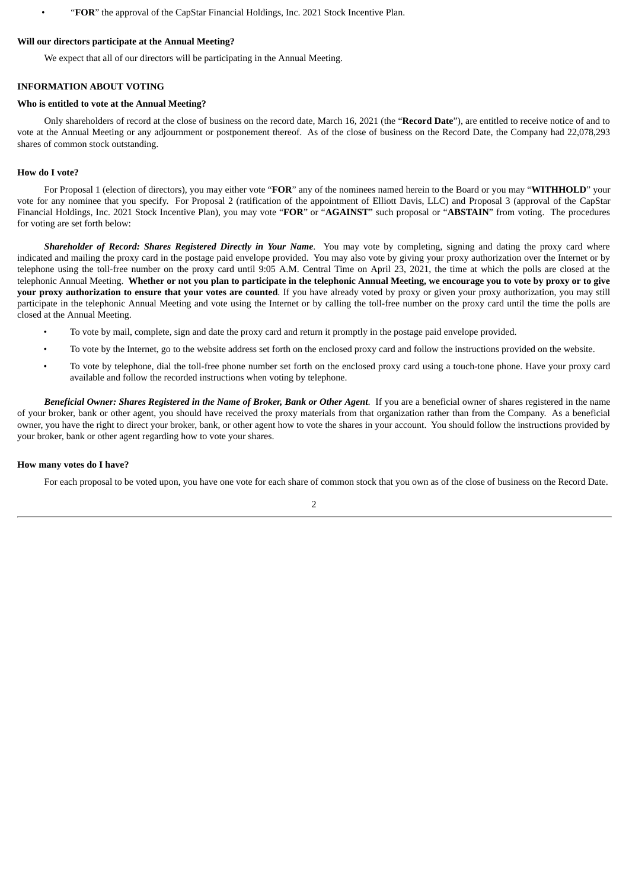• "**FOR**" the approval of the CapStar Financial Holdings, Inc. 2021 Stock Incentive Plan.

#### **Will our directors participate at the Annual Meeting?**

We expect that all of our directors will be participating in the Annual Meeting.

## <span id="page-6-0"></span>**INFORMATION ABOUT VOTING**

#### **Who is entitled to vote at the Annual Meeting?**

Only shareholders of record at the close of business on the record date, March 16, 2021 (the "**Record Date**"), are entitled to receive notice of and to vote at the Annual Meeting or any adjournment or postponement thereof. As of the close of business on the Record Date, the Company had 22,078,293 shares of common stock outstanding.

#### **How do I vote?**

For Proposal 1 (election of directors), you may either vote "**FOR**" any of the nominees named herein to the Board or you may "**WITHHOLD**" your vote for any nominee that you specify. For Proposal 2 (ratification of the appointment of Elliott Davis, LLC) and Proposal 3 (approval of the CapStar Financial Holdings, Inc. 2021 Stock Incentive Plan), you may vote "**FOR**" or "**AGAINST**" such proposal or "**ABSTAIN**" from voting. The procedures for voting are set forth below:

*Shareholder of Record: Shares Registered Directly in Your Name*. You may vote by completing, signing and dating the proxy card where indicated and mailing the proxy card in the postage paid envelope provided. You may also vote by giving your proxy authorization over the Internet or by telephone using the toll-free number on the proxy card until 9:05 A.M. Central Time on April 23, 2021, the time at which the polls are closed at the telephonic Annual Meeting. Whether or not you plan to participate in the telephonic Annual Meeting, we encourage you to vote by proxy or to give **your proxy authorization to ensure that your votes are counted**. If you have already voted by proxy or given your proxy authorization, you may still participate in the telephonic Annual Meeting and vote using the Internet or by calling the toll-free number on the proxy card until the time the polls are closed at the Annual Meeting.

- To vote by mail, complete, sign and date the proxy card and return it promptly in the postage paid envelope provided.
- To vote by the Internet, go to the website address set forth on the enclosed proxy card and follow the instructions provided on the website.
- To vote by telephone, dial the toll-free phone number set forth on the enclosed proxy card using a touch-tone phone. Have your proxy card available and follow the recorded instructions when voting by telephone.

Beneficial Owner: Shares Registered in the Name of Broker, Bank or Other Agent. If you are a beneficial owner of shares registered in the name of your broker, bank or other agent, you should have received the proxy materials from that organization rather than from the Company. As a beneficial owner, you have the right to direct your broker, bank, or other agent how to vote the shares in your account. You should follow the instructions provided by your broker, bank or other agent regarding how to vote your shares.

#### **How many votes do I have?**

For each proposal to be voted upon, you have one vote for each share of common stock that you own as of the close of business on the Record Date.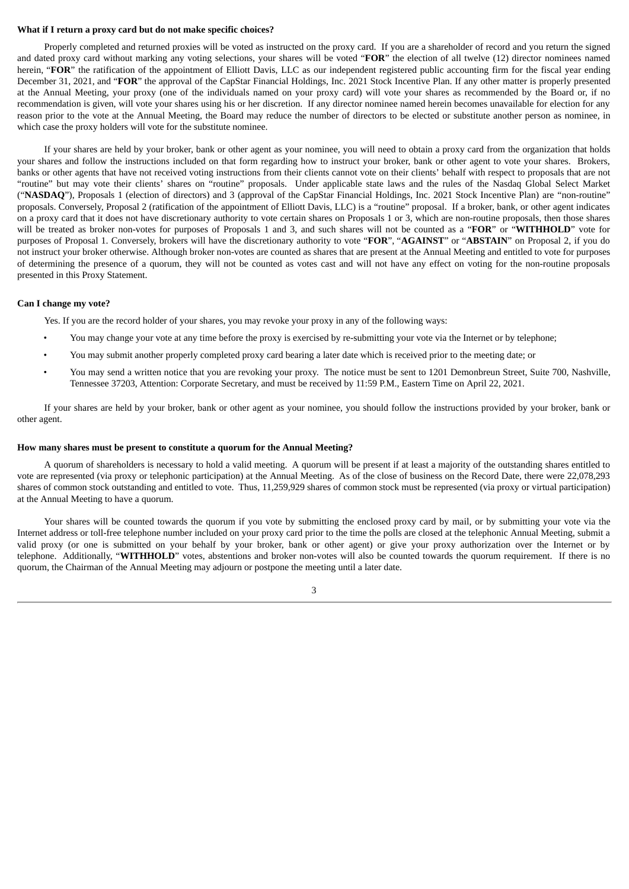#### **What if I return a proxy card but do not make specific choices?**

Properly completed and returned proxies will be voted as instructed on the proxy card. If you are a shareholder of record and you return the signed and dated proxy card without marking any voting selections, your shares will be voted "**FOR**" the election of all twelve (12) director nominees named herein, "FOR" the ratification of the appointment of Elliott Davis, LLC as our independent registered public accounting firm for the fiscal year ending December 31, 2021, and "**FOR**" the approval of the CapStar Financial Holdings, Inc. 2021 Stock Incentive Plan. If any other matter is properly presented at the Annual Meeting, your proxy (one of the individuals named on your proxy card) will vote your shares as recommended by the Board or, if no recommendation is given, will vote your shares using his or her discretion. If any director nominee named herein becomes unavailable for election for any reason prior to the vote at the Annual Meeting, the Board may reduce the number of directors to be elected or substitute another person as nominee, in which case the proxy holders will vote for the substitute nominee.

If your shares are held by your broker, bank or other agent as your nominee, you will need to obtain a proxy card from the organization that holds your shares and follow the instructions included on that form regarding how to instruct your broker, bank or other agent to vote your shares. Brokers, banks or other agents that have not received voting instructions from their clients cannot vote on their clients' behalf with respect to proposals that are not "routine" but may vote their clients' shares on "routine" proposals. Under applicable state laws and the rules of the Nasdaq Global Select Market ("**NASDAQ**"), Proposals 1 (election of directors) and 3 (approval of the CapStar Financial Holdings, Inc. 2021 Stock Incentive Plan) are "non-routine" proposals. Conversely, Proposal 2 (ratification of the appointment of Elliott Davis, LLC) is a "routine" proposal. If a broker, bank, or other agent indicates on a proxy card that it does not have discretionary authority to vote certain shares on Proposals 1 or 3, which are non-routine proposals, then those shares will be treated as broker non-votes for purposes of Proposals 1 and 3, and such shares will not be counted as a "**FOR**" or "**WITHHOLD**" vote for purposes of Proposal 1. Conversely, brokers will have the discretionary authority to vote "**FOR**", "**AGAINST**" or "**ABSTAIN**" on Proposal 2, if you do not instruct your broker otherwise. Although broker non-votes are counted as shares that are present at the Annual Meeting and entitled to vote for purposes of determining the presence of a quorum, they will not be counted as votes cast and will not have any effect on voting for the non-routine proposals presented in this Proxy Statement.

#### **Can I change my vote?**

Yes. If you are the record holder of your shares, you may revoke your proxy in any of the following ways:

- You may change your vote at any time before the proxy is exercised by re-submitting your vote via the Internet or by telephone;
- You may submit another properly completed proxy card bearing a later date which is received prior to the meeting date; or
- You may send a written notice that you are revoking your proxy. The notice must be sent to 1201 Demonbreun Street, Suite 700, Nashville, Tennessee 37203, Attention: Corporate Secretary, and must be received by 11:59 P.M., Eastern Time on April 22, 2021.

If your shares are held by your broker, bank or other agent as your nominee, you should follow the instructions provided by your broker, bank or other agent.

## **How many shares must be present to constitute a quorum for the Annual Meeting?**

A quorum of shareholders is necessary to hold a valid meeting. A quorum will be present if at least a majority of the outstanding shares entitled to vote are represented (via proxy or telephonic participation) at the Annual Meeting. As of the close of business on the Record Date, there were 22,078,293 shares of common stock outstanding and entitled to vote. Thus, 11,259,929 shares of common stock must be represented (via proxy or virtual participation) at the Annual Meeting to have a quorum.

Your shares will be counted towards the quorum if you vote by submitting the enclosed proxy card by mail, or by submitting your vote via the Internet address or toll-free telephone number included on your proxy card prior to the time the polls are closed at the telephonic Annual Meeting, submit a valid proxy (or one is submitted on your behalf by your broker, bank or other agent) or give your proxy authorization over the Internet or by telephone. Additionally, "**WITHHOLD**" votes, abstentions and broker non-votes will also be counted towards the quorum requirement. If there is no quorum, the Chairman of the Annual Meeting may adjourn or postpone the meeting until a later date.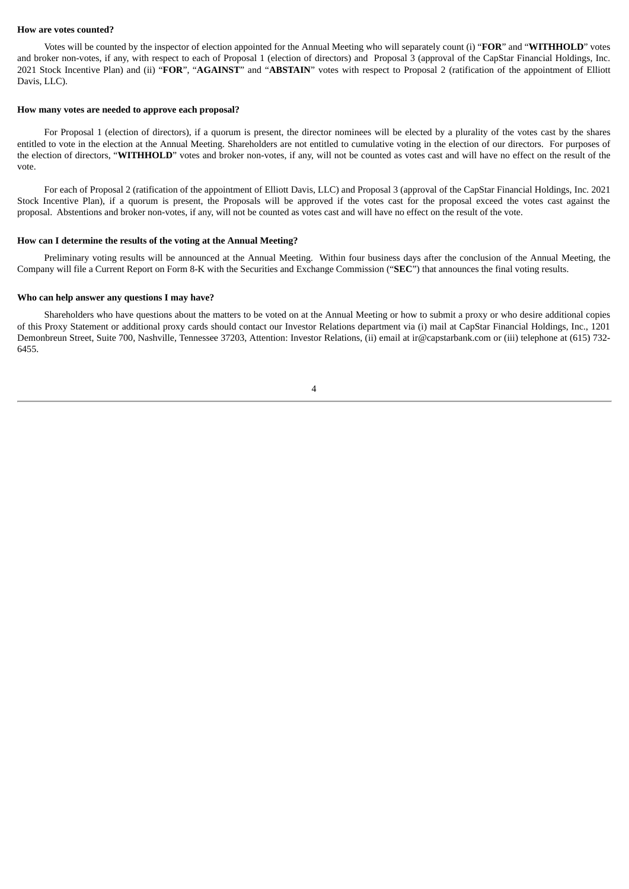#### **How are votes counted?**

Votes will be counted by the inspector of election appointed for the Annual Meeting who will separately count (i) "**FOR**" and "**WITHHOLD**" votes and broker non-votes, if any, with respect to each of Proposal 1 (election of directors) and Proposal 3 (approval of the CapStar Financial Holdings, Inc. 2021 Stock Incentive Plan) and (ii) "**FOR**", "**AGAINST**" and "**ABSTAIN**" votes with respect to Proposal 2 (ratification of the appointment of Elliott Davis, LLC).

#### **How many votes are needed to approve each proposal?**

For Proposal 1 (election of directors), if a quorum is present, the director nominees will be elected by a plurality of the votes cast by the shares entitled to vote in the election at the Annual Meeting. Shareholders are not entitled to cumulative voting in the election of our directors. For purposes of the election of directors, "**WITHHOLD**" votes and broker non-votes, if any, will not be counted as votes cast and will have no effect on the result of the vote.

For each of Proposal 2 (ratification of the appointment of Elliott Davis, LLC) and Proposal 3 (approval of the CapStar Financial Holdings, Inc. 2021 Stock Incentive Plan), if a quorum is present, the Proposals will be approved if the votes cast for the proposal exceed the votes cast against the proposal. Abstentions and broker non-votes, if any, will not be counted as votes cast and will have no effect on the result of the vote.

#### **How can I determine the results of the voting at the Annual Meeting?**

Preliminary voting results will be announced at the Annual Meeting. Within four business days after the conclusion of the Annual Meeting, the Company will file a Current Report on Form 8-K with the Securities and Exchange Commission ("**SEC**") that announces the final voting results.

#### **Who can help answer any questions I may have?**

Shareholders who have questions about the matters to be voted on at the Annual Meeting or how to submit a proxy or who desire additional copies of this Proxy Statement or additional proxy cards should contact our Investor Relations department via (i) mail at CapStar Financial Holdings, Inc., 1201 Demonbreun Street, Suite 700, Nashville, Tennessee 37203, Attention: Investor Relations, (ii) email at ir@capstarbank.com or (iii) telephone at (615) 732- 6455.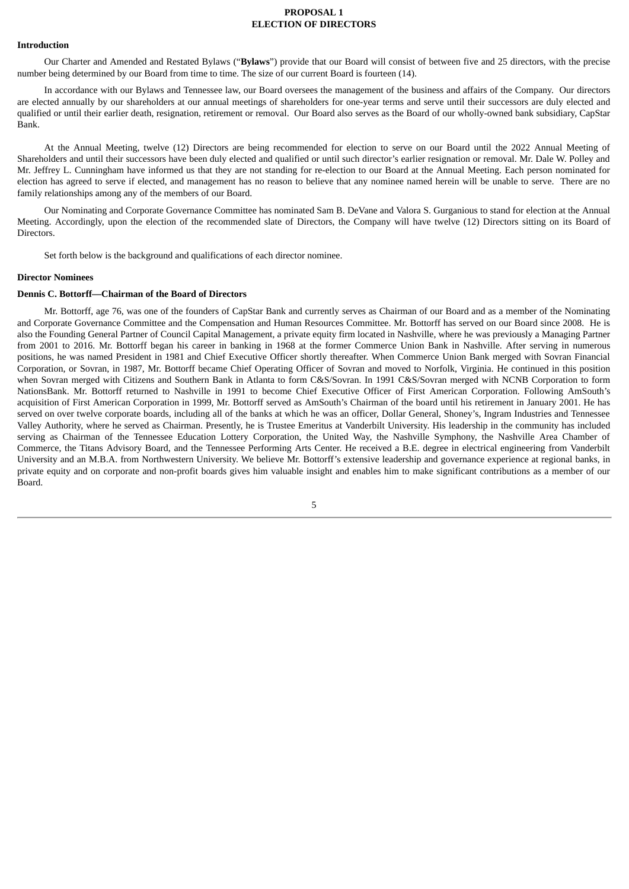## **PROPOSAL 1 ELECTION OF DIRECTORS**

#### <span id="page-9-1"></span><span id="page-9-0"></span>**Introduction**

Our Charter and Amended and Restated Bylaws ("**Bylaws**") provide that our Board will consist of between five and 25 directors, with the precise number being determined by our Board from time to time. The size of our current Board is fourteen (14).

In accordance with our Bylaws and Tennessee law, our Board oversees the management of the business and affairs of the Company. Our directors are elected annually by our shareholders at our annual meetings of shareholders for one-year terms and serve until their successors are duly elected and qualified or until their earlier death, resignation, retirement or removal. Our Board also serves as the Board of our wholly-owned bank subsidiary, CapStar Bank.

At the Annual Meeting, twelve (12) Directors are being recommended for election to serve on our Board until the 2022 Annual Meeting of Shareholders and until their successors have been duly elected and qualified or until such director's earlier resignation or removal. Mr. Dale W. Polley and Mr. Jeffrey L. Cunningham have informed us that they are not standing for re-election to our Board at the Annual Meeting. Each person nominated for election has agreed to serve if elected, and management has no reason to believe that any nominee named herein will be unable to serve. There are no family relationships among any of the members of our Board.

Our Nominating and Corporate Governance Committee has nominated Sam B. DeVane and Valora S. Gurganious to stand for election at the Annual Meeting. Accordingly, upon the election of the recommended slate of Directors, the Company will have twelve (12) Directors sitting on its Board of Directors.

Set forth below is the background and qualifications of each director nominee.

#### <span id="page-9-2"></span>**Director Nominees**

## **Dennis C. Bottorff—Chairman of the Board of Directors**

Mr. Bottorff, age 76, was one of the founders of CapStar Bank and currently serves as Chairman of our Board and as a member of the Nominating and Corporate Governance Committee and the Compensation and Human Resources Committee. Mr. Bottorff has served on our Board since 2008. He is also the Founding General Partner of Council Capital Management, a private equity firm located in Nashville, where he was previously a Managing Partner from 2001 to 2016. Mr. Bottorff began his career in banking in 1968 at the former Commerce Union Bank in Nashville. After serving in numerous positions, he was named President in 1981 and Chief Executive Officer shortly thereafter. When Commerce Union Bank merged with Sovran Financial Corporation, or Sovran, in 1987, Mr. Bottorff became Chief Operating Officer of Sovran and moved to Norfolk, Virginia. He continued in this position when Sovran merged with Citizens and Southern Bank in Atlanta to form C&S/Sovran. In 1991 C&S/Sovran merged with NCNB Corporation to form NationsBank. Mr. Bottorff returned to Nashville in 1991 to become Chief Executive Officer of First American Corporation. Following AmSouth's acquisition of First American Corporation in 1999, Mr. Bottorff served as AmSouth's Chairman of the board until his retirement in January 2001. He has served on over twelve corporate boards, including all of the banks at which he was an officer, Dollar General, Shoney's, Ingram Industries and Tennessee Valley Authority, where he served as Chairman. Presently, he is Trustee Emeritus at Vanderbilt University. His leadership in the community has included serving as Chairman of the Tennessee Education Lottery Corporation, the United Way, the Nashville Symphony, the Nashville Area Chamber of Commerce, the Titans Advisory Board, and the Tennessee Performing Arts Center. He received a B.E. degree in electrical engineering from Vanderbilt University and an M.B.A. from Northwestern University. We believe Mr. Bottorff's extensive leadership and governance experience at regional banks, in private equity and on corporate and non-profit boards gives him valuable insight and enables him to make significant contributions as a member of our Board.

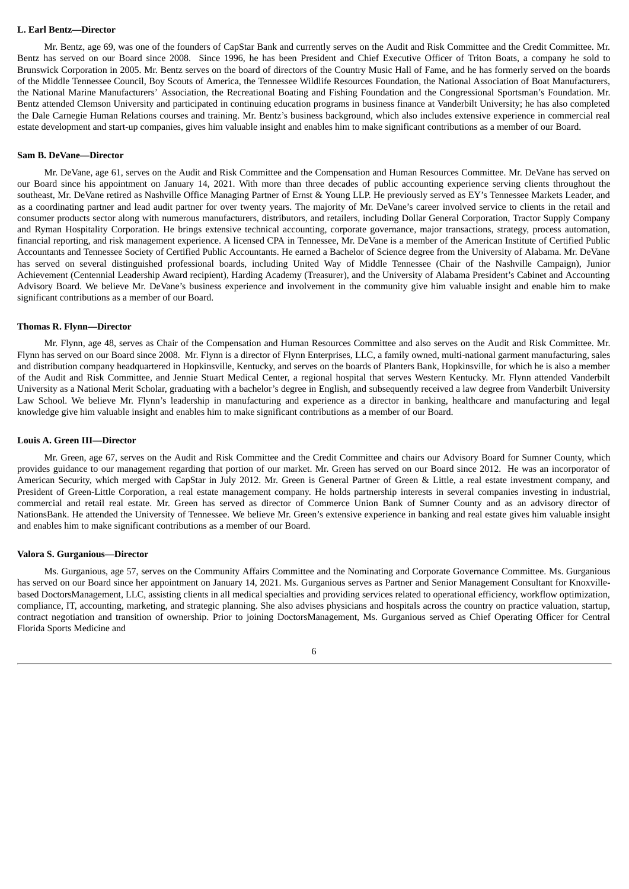#### **L. Earl Bentz—Director**

Mr. Bentz, age 69, was one of the founders of CapStar Bank and currently serves on the Audit and Risk Committee and the Credit Committee. Mr. Bentz has served on our Board since 2008. Since 1996, he has been President and Chief Executive Officer of Triton Boats, a company he sold to Brunswick Corporation in 2005. Mr. Bentz serves on the board of directors of the Country Music Hall of Fame, and he has formerly served on the boards of the Middle Tennessee Council, Boy Scouts of America, the Tennessee Wildlife Resources Foundation, the National Association of Boat Manufacturers, the National Marine Manufacturers' Association, the Recreational Boating and Fishing Foundation and the Congressional Sportsman's Foundation. Mr. Bentz attended Clemson University and participated in continuing education programs in business finance at Vanderbilt University; he has also completed the Dale Carnegie Human Relations courses and training. Mr. Bentz's business background, which also includes extensive experience in commercial real estate development and start-up companies, gives him valuable insight and enables him to make significant contributions as a member of our Board.

#### **Sam B. DeVane—Director**

Mr. DeVane, age 61, serves on the Audit and Risk Committee and the Compensation and Human Resources Committee. Mr. DeVane has served on our Board since his appointment on January 14, 2021. With more than three decades of public accounting experience serving clients throughout the southeast, Mr. DeVane retired as Nashville Office Managing Partner of Ernst & Young LLP. He previously served as EY's Tennessee Markets Leader, and as a coordinating partner and lead audit partner for over twenty years. The majority of Mr. DeVane's career involved service to clients in the retail and consumer products sector along with numerous manufacturers, distributors, and retailers, including Dollar General Corporation, Tractor Supply Company and Ryman Hospitality Corporation. He brings extensive technical accounting, corporate governance, major transactions, strategy, process automation, financial reporting, and risk management experience. A licensed CPA in Tennessee, Mr. DeVane is a member of the American Institute of Certified Public Accountants and Tennessee Society of Certified Public Accountants. He earned a Bachelor of Science degree from the University of Alabama. Mr. DeVane has served on several distinguished professional boards, including United Way of Middle Tennessee (Chair of the Nashville Campaign), Junior Achievement (Centennial Leadership Award recipient), Harding Academy (Treasurer), and the University of Alabama President's Cabinet and Accounting Advisory Board. We believe Mr. DeVane's business experience and involvement in the community give him valuable insight and enable him to make significant contributions as a member of our Board.

#### **Thomas R. Flynn—Director**

Mr. Flynn, age 48, serves as Chair of the Compensation and Human Resources Committee and also serves on the Audit and Risk Committee. Mr. Flynn has served on our Board since 2008. Mr. Flynn is a director of Flynn Enterprises, LLC, a family owned, multi-national garment manufacturing, sales and distribution company headquartered in Hopkinsville, Kentucky, and serves on the boards of Planters Bank, Hopkinsville, for which he is also a member of the Audit and Risk Committee, and Jennie Stuart Medical Center, a regional hospital that serves Western Kentucky. Mr. Flynn attended Vanderbilt University as a National Merit Scholar, graduating with a bachelor's degree in English, and subsequently received a law degree from Vanderbilt University Law School. We believe Mr. Flynn's leadership in manufacturing and experience as a director in banking, healthcare and manufacturing and legal knowledge give him valuable insight and enables him to make significant contributions as a member of our Board.

#### **Louis A. Green III—Director**

Mr. Green, age 67, serves on the Audit and Risk Committee and the Credit Committee and chairs our Advisory Board for Sumner County, which provides guidance to our management regarding that portion of our market. Mr. Green has served on our Board since 2012. He was an incorporator of American Security, which merged with CapStar in July 2012. Mr. Green is General Partner of Green & Little, a real estate investment company, and President of Green-Little Corporation, a real estate management company. He holds partnership interests in several companies investing in industrial, commercial and retail real estate. Mr. Green has served as director of Commerce Union Bank of Sumner County and as an advisory director of NationsBank. He attended the University of Tennessee. We believe Mr. Green's extensive experience in banking and real estate gives him valuable insight and enables him to make significant contributions as a member of our Board.

#### **Valora S. Gurganious—Director**

Ms. Gurganious, age 57, serves on the Community Affairs Committee and the Nominating and Corporate Governance Committee. Ms. Gurganious has served on our Board since her appointment on January 14, 2021. Ms. Gurganious serves as Partner and Senior Management Consultant for Knoxvillebased DoctorsManagement, LLC, assisting clients in all medical specialties and providing services related to operational efficiency, workflow optimization, compliance, IT, accounting, marketing, and strategic planning. She also advises physicians and hospitals across the country on practice valuation, startup, contract negotiation and transition of ownership. Prior to joining DoctorsManagement, Ms. Gurganious served as Chief Operating Officer for Central Florida Sports Medicine and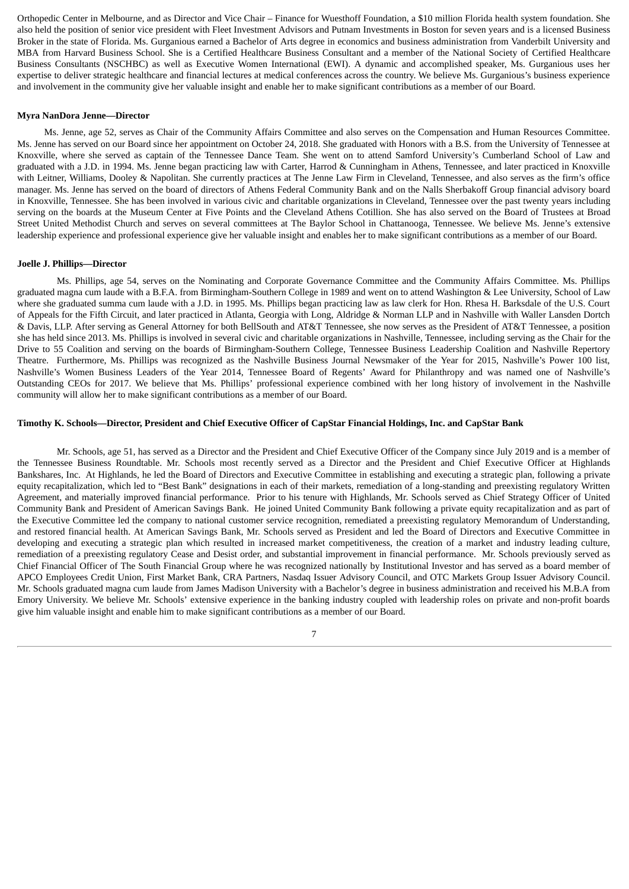Orthopedic Center in Melbourne, and as Director and Vice Chair – Finance for Wuesthoff Foundation, a \$10 million Florida health system foundation. She also held the position of senior vice president with Fleet Investment Advisors and Putnam Investments in Boston for seven years and is a licensed Business Broker in the state of Florida. Ms. Gurganious earned a Bachelor of Arts degree in economics and business administration from Vanderbilt University and MBA from Harvard Business School. She is a Certified Healthcare Business Consultant and a member of the National Society of Certified Healthcare Business Consultants (NSCHBC) as well as Executive Women International (EWI). A dynamic and accomplished speaker, Ms. Gurganious uses her expertise to deliver strategic healthcare and financial lectures at medical conferences across the country. We believe Ms. Gurganious's business experience and involvement in the community give her valuable insight and enable her to make significant contributions as a member of our Board.

#### **Myra NanDora Jenne—Director**

Ms. Jenne, age 52, serves as Chair of the Community Affairs Committee and also serves on the Compensation and Human Resources Committee. Ms. Jenne has served on our Board since her appointment on October 24, 2018. She graduated with Honors with a B.S. from the University of Tennessee at Knoxville, where she served as captain of the Tennessee Dance Team. She went on to attend Samford University's Cumberland School of Law and graduated with a J.D. in 1994. Ms. Jenne began practicing law with Carter, Harrod & Cunningham in Athens, Tennessee, and later practiced in Knoxville with Leitner, Williams, Dooley & Napolitan. She currently practices at The Jenne Law Firm in Cleveland, Tennessee, and also serves as the firm's office manager. Ms. Jenne has served on the board of directors of Athens Federal Community Bank and on the Nalls Sherbakoff Group financial advisory board in Knoxville, Tennessee. She has been involved in various civic and charitable organizations in Cleveland, Tennessee over the past twenty years including serving on the boards at the Museum Center at Five Points and the Cleveland Athens Cotillion. She has also served on the Board of Trustees at Broad Street United Methodist Church and serves on several committees at The Baylor School in Chattanooga, Tennessee. We believe Ms. Jenne's extensive leadership experience and professional experience give her valuable insight and enables her to make significant contributions as a member of our Board.

#### **Joelle J. Phillips—Director**

Ms. Phillips, age 54, serves on the Nominating and Corporate Governance Committee and the Community Affairs Committee. Ms. Phillips graduated magna cum laude with a B.F.A. from Birmingham-Southern College in 1989 and went on to attend Washington & Lee University, School of Law where she graduated summa cum laude with a J.D. in 1995. Ms. Phillips began practicing law as law clerk for Hon. Rhesa H. Barksdale of the U.S. Court of Appeals for the Fifth Circuit, and later practiced in Atlanta, Georgia with Long, Aldridge & Norman LLP and in Nashville with Waller Lansden Dortch & Davis, LLP. After serving as General Attorney for both BellSouth and AT&T Tennessee, she now serves as the President of AT&T Tennessee, a position she has held since 2013. Ms. Phillips is involved in several civic and charitable organizations in Nashville, Tennessee, including serving as the Chair for the Drive to 55 Coalition and serving on the boards of Birmingham-Southern College, Tennessee Business Leadership Coalition and Nashville Repertory Theatre. Furthermore, Ms. Phillips was recognized as the Nashville Business Journal Newsmaker of the Year for 2015, Nashville's Power 100 list, Nashville's Women Business Leaders of the Year 2014, Tennessee Board of Regents' Award for Philanthropy and was named one of Nashville's Outstanding CEOs for 2017. We believe that Ms. Phillips' professional experience combined with her long history of involvement in the Nashville community will allow her to make significant contributions as a member of our Board.

## Timothy K. Schools-Director, President and Chief Executive Officer of CapStar Financial Holdings, Inc. and CapStar Bank

Mr. Schools, age 51, has served as a Director and the President and Chief Executive Officer of the Company since July 2019 and is a member of the Tennessee Business Roundtable. Mr. Schools most recently served as a Director and the President and Chief Executive Officer at Highlands Bankshares, Inc. At Highlands, he led the Board of Directors and Executive Committee in establishing and executing a strategic plan, following a private equity recapitalization, which led to "Best Bank" designations in each of their markets, remediation of a long-standing and preexisting regulatory Written Agreement, and materially improved financial performance. Prior to his tenure with Highlands, Mr. Schools served as Chief Strategy Officer of United Community Bank and President of American Savings Bank. He joined United Community Bank following a private equity recapitalization and as part of the Executive Committee led the company to national customer service recognition, remediated a preexisting regulatory Memorandum of Understanding, and restored financial health. At American Savings Bank, Mr. Schools served as President and led the Board of Directors and Executive Committee in developing and executing a strategic plan which resulted in increased market competitiveness, the creation of a market and industry leading culture, remediation of a preexisting regulatory Cease and Desist order, and substantial improvement in financial performance. Mr. Schools previously served as Chief Financial Officer of The South Financial Group where he was recognized nationally by Institutional Investor and has served as a board member of APCO Employees Credit Union, First Market Bank, CRA Partners, Nasdaq Issuer Advisory Council, and OTC Markets Group Issuer Advisory Council. Mr. Schools graduated magna cum laude from James Madison University with a Bachelor's degree in business administration and received his M.B.A from Emory University. We believe Mr. Schools' extensive experience in the banking industry coupled with leadership roles on private and non-profit boards give him valuable insight and enable him to make significant contributions as a member of our Board.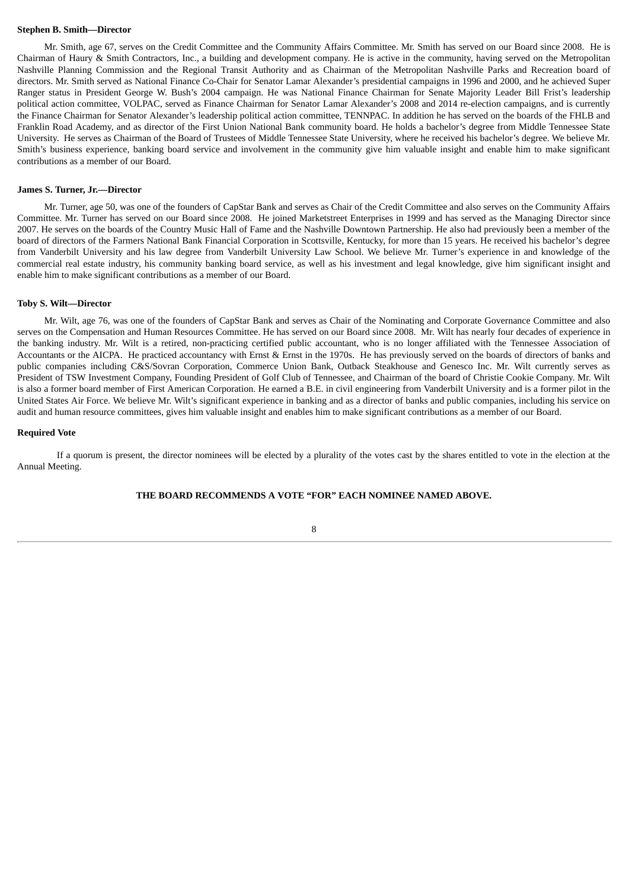#### **Stephen B. Smith—Director**

Mr. Smith, age 67, serves on the Credit Committee and the Community Affairs Committee. Mr. Smith has served on our Board since 2008. He is Chairman of Haury & Smith Contractors, Inc., a building and development company. He is active in the community, having served on the Metropolitan Nashville Planning Commission and the Regional Transit Authority and as Chairman of the Metropolitan Nashville Parks and Recreation board of directors. Mr. Smith served as National Finance Co-Chair for Senator Lamar Alexander's presidential campaigns in 1996 and 2000, and he achieved Super Ranger status in President George W. Bush's 2004 campaign. He was National Finance Chairman for Senate Majority Leader Bill Frist's leadership political action committee, VOLPAC, served as Finance Chairman for Senator Lamar Alexander's 2008 and 2014 re-election campaigns, and is currently the Finance Chairman for Senator Alexander's leadership political action committee, TENNPAC. In addition he has served on the boards of the FHLB and Franklin Road Academy, and as director of the First Union National Bank community board. He holds a bachelor's degree from Middle Tennessee State University. He serves as Chairman of the Board of Trustees of Middle Tennessee State University, where he received his bachelor's degree. We believe Mr. Smith's business experience, banking board service and involvement in the community give him valuable insight and enable him to make significant contributions as a member of our Board.

#### **James S. Turner, Jr.—Director**

Mr. Turner, age 50, was one of the founders of CapStar Bank and serves as Chair of the Credit Committee and also serves on the Community Affairs Committee. Mr. Turner has served on our Board since 2008. He joined Marketstreet Enterprises in 1999 and has served as the Managing Director since 2007. He serves on the boards of the Country Music Hall of Fame and the Nashville Downtown Partnership. He also had previously been a member of the board of directors of the Farmers National Bank Financial Corporation in Scottsville, Kentucky, for more than 15 years. He received his bachelor's degree from Vanderbilt University and his law degree from Vanderbilt University Law School. We believe Mr. Turner's experience in and knowledge of the commercial real estate industry, his community banking board service, as well as his investment and legal knowledge, give him significant insight and enable him to make significant contributions as a member of our Board.

#### **Toby S. Wilt—Director**

Mr. Wilt, age 76, was one of the founders of CapStar Bank and serves as Chair of the Nominating and Corporate Governance Committee and also serves on the Compensation and Human Resources Committee. He has served on our Board since 2008. Mr. Wilt has nearly four decades of experience in the banking industry. Mr. Wilt is a retired, non-practicing certified public accountant, who is no longer affiliated with the Tennessee Association of Accountants or the AICPA. He practiced accountancy with Ernst & Ernst in the 1970s. He has previously served on the boards of directors of banks and public companies including C&S/Sovran Corporation, Commerce Union Bank, Outback Steakhouse and Genesco Inc. Mr. Wilt currently serves as President of TSW Investment Company, Founding President of Golf Club of Tennessee, and Chairman of the board of Christie Cookie Company. Mr. Wilt is also a former board member of First American Corporation. He earned a B.E. in civil engineering from Vanderbilt University and is a former pilot in the United States Air Force. We believe Mr. Wilt's significant experience in banking and as a director of banks and public companies, including his service on audit and human resource committees, gives him valuable insight and enables him to make significant contributions as a member of our Board.

#### <span id="page-12-0"></span>**Required Vote**

If a quorum is present, the director nominees will be elected by a plurality of the votes cast by the shares entitled to vote in the election at the Annual Meeting.

## **THE BOARD RECOMMENDS A VOTE "FOR" EACH NOMINEE NAMED ABOVE.**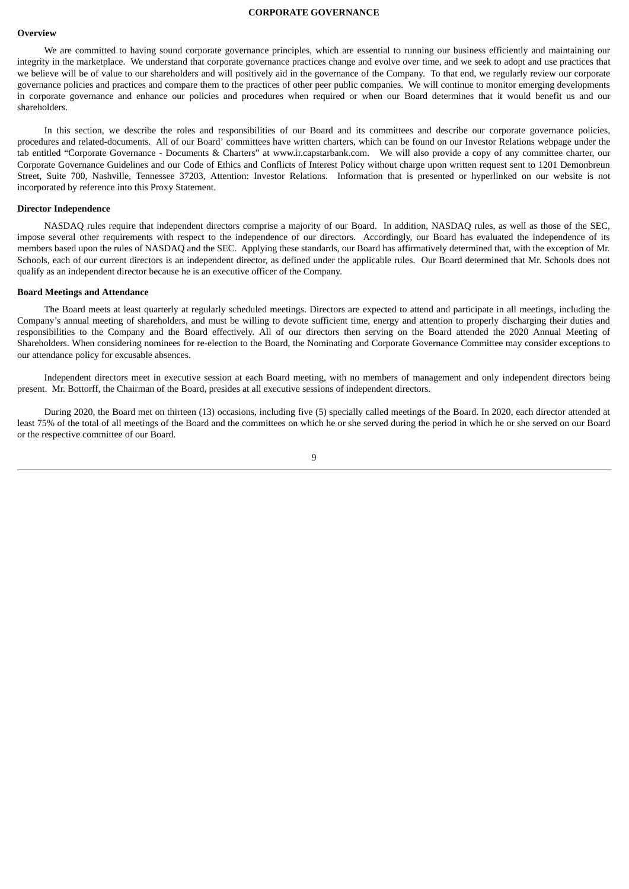#### **CORPORATE GOVERNANCE**

#### <span id="page-13-1"></span><span id="page-13-0"></span>**Overview**

We are committed to having sound corporate governance principles, which are essential to running our business efficiently and maintaining our integrity in the marketplace. We understand that corporate governance practices change and evolve over time, and we seek to adopt and use practices that we believe will be of value to our shareholders and will positively aid in the governance of the Company. To that end, we regularly review our corporate governance policies and practices and compare them to the practices of other peer public companies. We will continue to monitor emerging developments in corporate governance and enhance our policies and procedures when required or when our Board determines that it would benefit us and our shareholders.

In this section, we describe the roles and responsibilities of our Board and its committees and describe our corporate governance policies, procedures and related-documents. All of our Board' committees have written charters, which can be found on our Investor Relations webpage under the tab entitled "Corporate Governance - Documents & Charters" at www.ir.capstarbank.com. We will also provide a copy of any committee charter, our Corporate Governance Guidelines and our Code of Ethics and Conflicts of Interest Policy without charge upon written request sent to 1201 Demonbreun Street, Suite 700, Nashville, Tennessee 37203, Attention: Investor Relations. Information that is presented or hyperlinked on our website is not incorporated by reference into this Proxy Statement.

#### <span id="page-13-2"></span>**Director Independence**

NASDAQ rules require that independent directors comprise a majority of our Board. In addition, NASDAQ rules, as well as those of the SEC, impose several other requirements with respect to the independence of our directors. Accordingly, our Board has evaluated the independence of its members based upon the rules of NASDAQ and the SEC. Applying these standards, our Board has affirmatively determined that, with the exception of Mr. Schools, each of our current directors is an independent director, as defined under the applicable rules. Our Board determined that Mr. Schools does not qualify as an independent director because he is an executive officer of the Company.

#### <span id="page-13-3"></span>**Board Meetings and Attendance**

The Board meets at least quarterly at regularly scheduled meetings. Directors are expected to attend and participate in all meetings, including the Company's annual meeting of shareholders, and must be willing to devote sufficient time, energy and attention to properly discharging their duties and responsibilities to the Company and the Board effectively. All of our directors then serving on the Board attended the 2020 Annual Meeting of Shareholders. When considering nominees for re-election to the Board, the Nominating and Corporate Governance Committee may consider exceptions to our attendance policy for excusable absences.

Independent directors meet in executive session at each Board meeting, with no members of management and only independent directors being present. Mr. Bottorff, the Chairman of the Board, presides at all executive sessions of independent directors.

During 2020, the Board met on thirteen (13) occasions, including five (5) specially called meetings of the Board. In 2020, each director attended at least 75% of the total of all meetings of the Board and the committees on which he or she served during the period in which he or she served on our Board or the respective committee of our Board.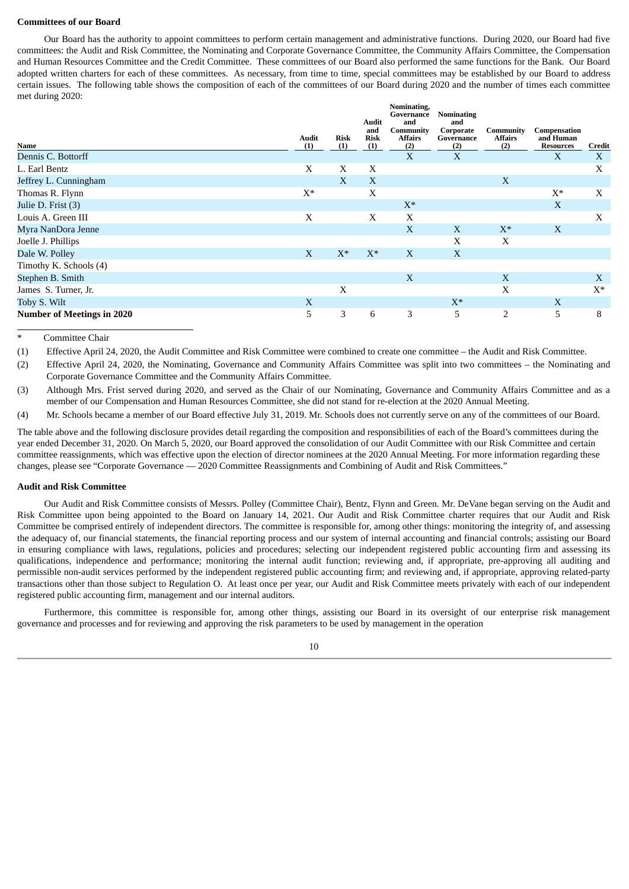#### <span id="page-14-0"></span>**Committees of our Board**

Our Board has the authority to appoint committees to perform certain management and administrative functions. During 2020, our Board had five committees: the Audit and Risk Committee, the Nominating and Corporate Governance Committee, the Community Affairs Committee, the Compensation and Human Resources Committee and the Credit Committee. These committees of our Board also performed the same functions for the Bank. Our Board adopted written charters for each of these committees. As necessary, from time to time, special committees may be established by our Board to address certain issues. The following table shows the composition of each of the committees of our Board during 2020 and the number of times each committee met during 2020:

| Name<br>Dennis C. Bottorff        | <b>Audit</b><br>(1) | Risk<br>(1)  | Audit<br>and<br><b>Risk</b><br>(1) | Nominating,<br>Governance<br>and<br>Community<br>Affairs<br>(2)<br>X | <b>Nominating</b><br>and<br>Corporate<br>Governance<br>(2)<br>X | Community<br><b>Affairs</b><br>(2) | Compensation<br>and Human<br><b>Resources</b><br>X | Credit<br>X |
|-----------------------------------|---------------------|--------------|------------------------------------|----------------------------------------------------------------------|-----------------------------------------------------------------|------------------------------------|----------------------------------------------------|-------------|
| L. Earl Bentz                     | X                   | X            | X                                  |                                                                      |                                                                 |                                    |                                                    | X           |
| Jeffrey L. Cunningham             |                     | $\mathbf{X}$ | X                                  |                                                                      |                                                                 | X                                  |                                                    |             |
| Thomas R. Flynn                   | $X^*$               |              | X                                  |                                                                      |                                                                 |                                    | $X^*$                                              | X           |
| Julie D. Frist (3)                |                     |              |                                    | $X^*$                                                                |                                                                 |                                    | X                                                  |             |
| Louis A. Green III                | X                   |              | X                                  | X                                                                    |                                                                 |                                    |                                                    | X           |
| Myra NanDora Jenne                |                     |              |                                    | X                                                                    | X                                                               | $X^*$                              | X                                                  |             |
| Joelle J. Phillips                |                     |              |                                    |                                                                      | X                                                               | X                                  |                                                    |             |
| Dale W. Polley                    | X                   | $X^*$        | $X^*$                              | X                                                                    | X                                                               |                                    |                                                    |             |
| Timothy K. Schools (4)            |                     |              |                                    |                                                                      |                                                                 |                                    |                                                    |             |
| Stephen B. Smith                  |                     |              |                                    | X                                                                    |                                                                 | X                                  |                                                    | X           |
| James S. Turner, Jr.              |                     | X            |                                    |                                                                      |                                                                 | X                                  |                                                    | $X^*$       |
| Toby S. Wilt                      | X                   |              |                                    |                                                                      | $X^*$                                                           |                                    | X                                                  |             |
| <b>Number of Meetings in 2020</b> | 5                   | 3            | 6                                  | 3                                                                    | 5                                                               | 2                                  | 5                                                  | 8           |

Committee Chair

(1) Effective April 24, 2020, the Audit Committee and Risk Committee were combined to create one committee – the Audit and Risk Committee.

(2) Effective April 24, 2020, the Nominating, Governance and Community Affairs Committee was split into two committees – the Nominating and Corporate Governance Committee and the Community Affairs Committee.

(3) Although Mrs. Frist served during 2020, and served as the Chair of our Nominating, Governance and Community Affairs Committee and as a member of our Compensation and Human Resources Committee, she did not stand for re-election at the 2020 Annual Meeting.

(4) Mr. Schools became a member of our Board effective July 31, 2019. Mr. Schools does not currently serve on any of the committees of our Board.

The table above and the following disclosure provides detail regarding the composition and responsibilities of each of the Board's committees during the year ended December 31, 2020. On March 5, 2020, our Board approved the consolidation of our Audit Committee with our Risk Committee and certain committee reassignments, which was effective upon the election of director nominees at the 2020 Annual Meeting. For more information regarding these changes, please see "Corporate Governance — 2020 Committee Reassignments and Combining of Audit and Risk Committees."

#### <span id="page-14-1"></span>**Audit and Risk Committee**

Our Audit and Risk Committee consists of Messrs. Polley (Committee Chair), Bentz, Flynn and Green. Mr. DeVane began serving on the Audit and Risk Committee upon being appointed to the Board on January 14, 2021. Our Audit and Risk Committee charter requires that our Audit and Risk Committee be comprised entirely of independent directors. The committee is responsible for, among other things: monitoring the integrity of, and assessing the adequacy of, our financial statements, the financial reporting process and our system of internal accounting and financial controls; assisting our Board in ensuring compliance with laws, regulations, policies and procedures; selecting our independent registered public accounting firm and assessing its qualifications, independence and performance; monitoring the internal audit function; reviewing and, if appropriate, pre-approving all auditing and permissible non-audit services performed by the independent registered public accounting firm; and reviewing and, if appropriate, approving related-party transactions other than those subject to Regulation O. At least once per year, our Audit and Risk Committee meets privately with each of our independent registered public accounting firm, management and our internal auditors.

Furthermore, this committee is responsible for, among other things, assisting our Board in its oversight of our enterprise risk management governance and processes and for reviewing and approving the risk parameters to be used by management in the operation

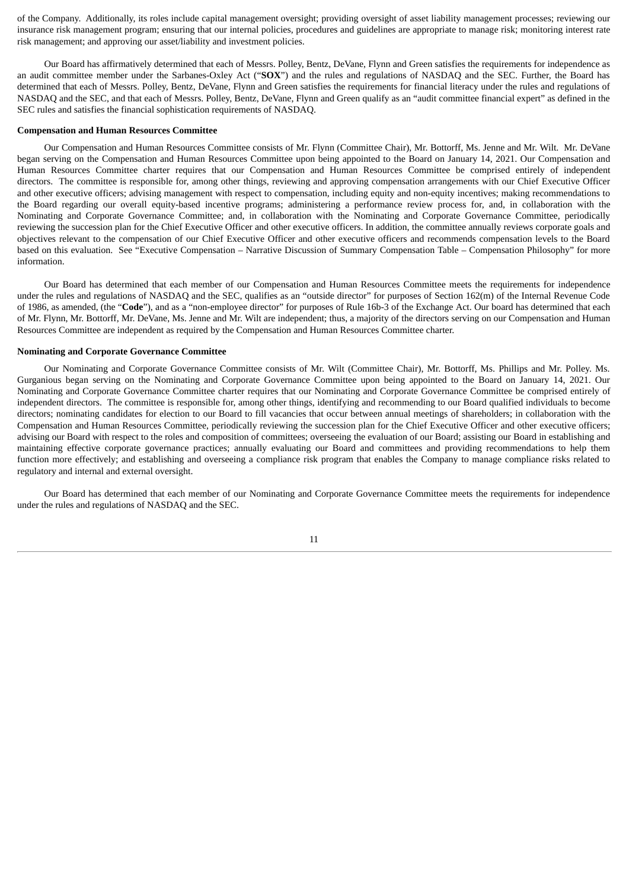of the Company. Additionally, its roles include capital management oversight; providing oversight of asset liability management processes; reviewing our insurance risk management program; ensuring that our internal policies, procedures and guidelines are appropriate to manage risk; monitoring interest rate risk management; and approving our asset/liability and investment policies.

Our Board has affirmatively determined that each of Messrs. Polley, Bentz, DeVane, Flynn and Green satisfies the requirements for independence as an audit committee member under the Sarbanes-Oxley Act ("**SOX**") and the rules and regulations of NASDAQ and the SEC. Further, the Board has determined that each of Messrs. Polley, Bentz, DeVane, Flynn and Green satisfies the requirements for financial literacy under the rules and regulations of NASDAQ and the SEC, and that each of Messrs. Polley, Bentz, DeVane, Flynn and Green qualify as an "audit committee financial expert" as defined in the SEC rules and satisfies the financial sophistication requirements of NASDAQ.

#### <span id="page-15-0"></span>**Compensation and Human Resources Committee**

Our Compensation and Human Resources Committee consists of Mr. Flynn (Committee Chair), Mr. Bottorff, Ms. Jenne and Mr. Wilt. Mr. DeVane began serving on the Compensation and Human Resources Committee upon being appointed to the Board on January 14, 2021. Our Compensation and Human Resources Committee charter requires that our Compensation and Human Resources Committee be comprised entirely of independent directors. The committee is responsible for, among other things, reviewing and approving compensation arrangements with our Chief Executive Officer and other executive officers; advising management with respect to compensation, including equity and non-equity incentives; making recommendations to the Board regarding our overall equity-based incentive programs; administering a performance review process for, and, in collaboration with the Nominating and Corporate Governance Committee; and, in collaboration with the Nominating and Corporate Governance Committee, periodically reviewing the succession plan for the Chief Executive Officer and other executive officers. In addition, the committee annually reviews corporate goals and objectives relevant to the compensation of our Chief Executive Officer and other executive officers and recommends compensation levels to the Board based on this evaluation. See "Executive Compensation – Narrative Discussion of Summary Compensation Table – Compensation Philosophy" for more information.

Our Board has determined that each member of our Compensation and Human Resources Committee meets the requirements for independence under the rules and regulations of NASDAQ and the SEC, qualifies as an "outside director" for purposes of Section 162(m) of the Internal Revenue Code of 1986, as amended, (the "**Code**"), and as a "non-employee director" for purposes of Rule 16b‑3 of the Exchange Act. Our board has determined that each of Mr. Flynn, Mr. Bottorff, Mr. DeVane, Ms. Jenne and Mr. Wilt are independent; thus, a majority of the directors serving on our Compensation and Human Resources Committee are independent as required by the Compensation and Human Resources Committee charter.

#### <span id="page-15-1"></span>**Nominating and Corporate Governance Committee**

Our Nominating and Corporate Governance Committee consists of Mr. Wilt (Committee Chair), Mr. Bottorff, Ms. Phillips and Mr. Polley. Ms. Gurganious began serving on the Nominating and Corporate Governance Committee upon being appointed to the Board on January 14, 2021. Our Nominating and Corporate Governance Committee charter requires that our Nominating and Corporate Governance Committee be comprised entirely of independent directors. The committee is responsible for, among other things, identifying and recommending to our Board qualified individuals to become directors; nominating candidates for election to our Board to fill vacancies that occur between annual meetings of shareholders; in collaboration with the Compensation and Human Resources Committee, periodically reviewing the succession plan for the Chief Executive Officer and other executive officers; advising our Board with respect to the roles and composition of committees; overseeing the evaluation of our Board; assisting our Board in establishing and maintaining effective corporate governance practices; annually evaluating our Board and committees and providing recommendations to help them function more effectively; and establishing and overseeing a compliance risk program that enables the Company to manage compliance risks related to regulatory and internal and external oversight.

Our Board has determined that each member of our Nominating and Corporate Governance Committee meets the requirements for independence under the rules and regulations of NASDAQ and the SEC.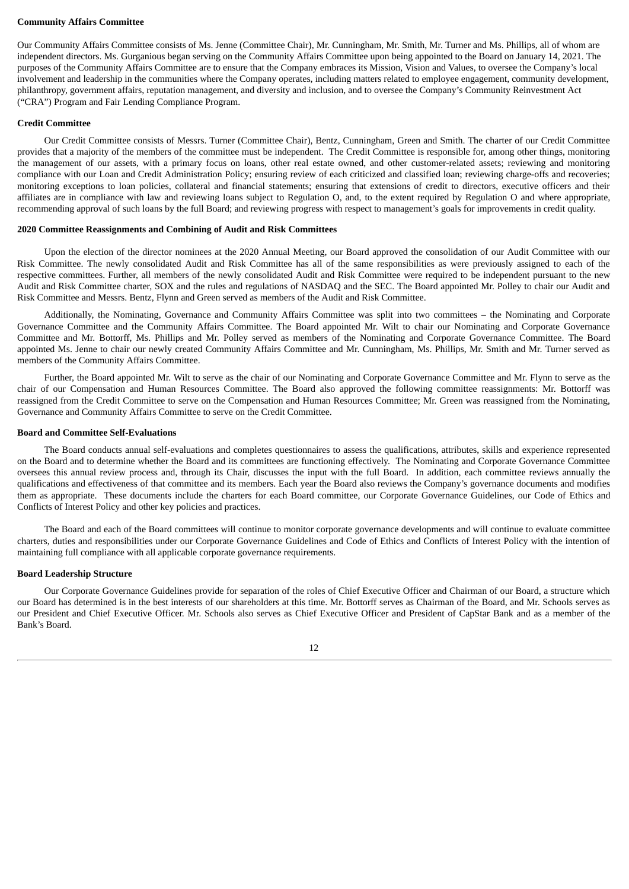#### <span id="page-16-0"></span>**Community Affairs Committee**

Our Community Affairs Committee consists of Ms. Jenne (Committee Chair), Mr. Cunningham, Mr. Smith, Mr. Turner and Ms. Phillips, all of whom are independent directors. Ms. Gurganious began serving on the Community Affairs Committee upon being appointed to the Board on January 14, 2021. The purposes of the Community Affairs Committee are to ensure that the Company embraces its Mission, Vision and Values, to oversee the Company's local involvement and leadership in the communities where the Company operates, including matters related to employee engagement, community development, philanthropy, government affairs, reputation management, and diversity and inclusion, and to oversee the Company's Community Reinvestment Act ("CRA") Program and Fair Lending Compliance Program.

#### <span id="page-16-1"></span>**Credit Committee**

Our Credit Committee consists of Messrs. Turner (Committee Chair), Bentz, Cunningham, Green and Smith. The charter of our Credit Committee provides that a majority of the members of the committee must be independent. The Credit Committee is responsible for, among other things, monitoring the management of our assets, with a primary focus on loans, other real estate owned, and other customer-related assets; reviewing and monitoring compliance with our Loan and Credit Administration Policy; ensuring review of each criticized and classified loan; reviewing charge-offs and recoveries; monitoring exceptions to loan policies, collateral and financial statements; ensuring that extensions of credit to directors, executive officers and their affiliates are in compliance with law and reviewing loans subject to Regulation O, and, to the extent required by Regulation O and where appropriate, recommending approval of such loans by the full Board; and reviewing progress with respect to management's goals for improvements in credit quality.

#### **2020 Committee Reassignments and Combining of Audit and Risk Committees**

Upon the election of the director nominees at the 2020 Annual Meeting, our Board approved the consolidation of our Audit Committee with our Risk Committee. The newly consolidated Audit and Risk Committee has all of the same responsibilities as were previously assigned to each of the respective committees. Further, all members of the newly consolidated Audit and Risk Committee were required to be independent pursuant to the new Audit and Risk Committee charter, SOX and the rules and regulations of NASDAQ and the SEC. The Board appointed Mr. Polley to chair our Audit and Risk Committee and Messrs. Bentz, Flynn and Green served as members of the Audit and Risk Committee.

Additionally, the Nominating, Governance and Community Affairs Committee was split into two committees – the Nominating and Corporate Governance Committee and the Community Affairs Committee. The Board appointed Mr. Wilt to chair our Nominating and Corporate Governance Committee and Mr. Bottorff, Ms. Phillips and Mr. Polley served as members of the Nominating and Corporate Governance Committee. The Board appointed Ms. Jenne to chair our newly created Community Affairs Committee and Mr. Cunningham, Ms. Phillips, Mr. Smith and Mr. Turner served as members of the Community Affairs Committee.

Further, the Board appointed Mr. Wilt to serve as the chair of our Nominating and Corporate Governance Committee and Mr. Flynn to serve as the chair of our Compensation and Human Resources Committee. The Board also approved the following committee reassignments: Mr. Bottorff was reassigned from the Credit Committee to serve on the Compensation and Human Resources Committee; Mr. Green was reassigned from the Nominating, Governance and Community Affairs Committee to serve on the Credit Committee.

#### <span id="page-16-2"></span>**Board and Committee Self-Evaluations**

The Board conducts annual self-evaluations and completes questionnaires to assess the qualifications, attributes, skills and experience represented on the Board and to determine whether the Board and its committees are functioning effectively. The Nominating and Corporate Governance Committee oversees this annual review process and, through its Chair, discusses the input with the full Board. In addition, each committee reviews annually the qualifications and effectiveness of that committee and its members. Each year the Board also reviews the Company's governance documents and modifies them as appropriate. These documents include the charters for each Board committee, our Corporate Governance Guidelines, our Code of Ethics and Conflicts of Interest Policy and other key policies and practices.

The Board and each of the Board committees will continue to monitor corporate governance developments and will continue to evaluate committee charters, duties and responsibilities under our Corporate Governance Guidelines and Code of Ethics and Conflicts of Interest Policy with the intention of maintaining full compliance with all applicable corporate governance requirements.

#### <span id="page-16-3"></span>**Board Leadership Structure**

Our Corporate Governance Guidelines provide for separation of the roles of Chief Executive Officer and Chairman of our Board, a structure which our Board has determined is in the best interests of our shareholders at this time. Mr. Bottorff serves as Chairman of the Board, and Mr. Schools serves as our President and Chief Executive Officer. Mr. Schools also serves as Chief Executive Officer and President of CapStar Bank and as a member of the Bank's Board.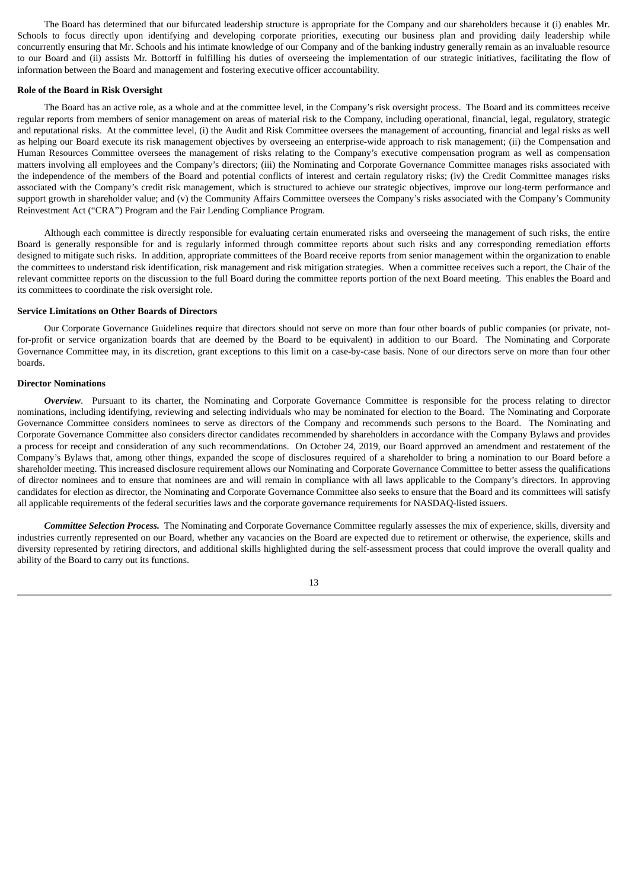The Board has determined that our bifurcated leadership structure is appropriate for the Company and our shareholders because it (i) enables Mr. Schools to focus directly upon identifying and developing corporate priorities, executing our business plan and providing daily leadership while concurrently ensuring that Mr. Schools and his intimate knowledge of our Company and of the banking industry generally remain as an invaluable resource to our Board and (ii) assists Mr. Bottorff in fulfilling his duties of overseeing the implementation of our strategic initiatives, facilitating the flow of information between the Board and management and fostering executive officer accountability.

#### <span id="page-17-0"></span>**Role of the Board in Risk Oversight**

The Board has an active role, as a whole and at the committee level, in the Company's risk oversight process. The Board and its committees receive regular reports from members of senior management on areas of material risk to the Company, including operational, financial, legal, regulatory, strategic and reputational risks. At the committee level, (i) the Audit and Risk Committee oversees the management of accounting, financial and legal risks as well as helping our Board execute its risk management objectives by overseeing an enterprise-wide approach to risk management; (ii) the Compensation and Human Resources Committee oversees the management of risks relating to the Company's executive compensation program as well as compensation matters involving all employees and the Company's directors; (iii) the Nominating and Corporate Governance Committee manages risks associated with the independence of the members of the Board and potential conflicts of interest and certain regulatory risks; (iv) the Credit Committee manages risks associated with the Company's credit risk management, which is structured to achieve our strategic objectives, improve our long-term performance and support growth in shareholder value; and (v) the Community Affairs Committee oversees the Company's risks associated with the Company's Community Reinvestment Act ("CRA") Program and the Fair Lending Compliance Program.

Although each committee is directly responsible for evaluating certain enumerated risks and overseeing the management of such risks, the entire Board is generally responsible for and is regularly informed through committee reports about such risks and any corresponding remediation efforts designed to mitigate such risks. In addition, appropriate committees of the Board receive reports from senior management within the organization to enable the committees to understand risk identification, risk management and risk mitigation strategies. When a committee receives such a report, the Chair of the relevant committee reports on the discussion to the full Board during the committee reports portion of the next Board meeting. This enables the Board and its committees to coordinate the risk oversight role.

#### <span id="page-17-1"></span>**Service Limitations on Other Boards of Directors**

Our Corporate Governance Guidelines require that directors should not serve on more than four other boards of public companies (or private, notfor-profit or service organization boards that are deemed by the Board to be equivalent) in addition to our Board. The Nominating and Corporate Governance Committee may, in its discretion, grant exceptions to this limit on a case-by-case basis. None of our directors serve on more than four other boards.

#### <span id="page-17-2"></span>**Director Nominations**

**Overview.** Pursuant to its charter, the Nominating and Corporate Governance Committee is responsible for the process relating to director nominations, including identifying, reviewing and selecting individuals who may be nominated for election to the Board. The Nominating and Corporate Governance Committee considers nominees to serve as directors of the Company and recommends such persons to the Board. The Nominating and Corporate Governance Committee also considers director candidates recommended by shareholders in accordance with the Company Bylaws and provides a process for receipt and consideration of any such recommendations. On October 24, 2019, our Board approved an amendment and restatement of the Company's Bylaws that, among other things, expanded the scope of disclosures required of a shareholder to bring a nomination to our Board before a shareholder meeting. This increased disclosure requirement allows our Nominating and Corporate Governance Committee to better assess the qualifications of director nominees and to ensure that nominees are and will remain in compliance with all laws applicable to the Company's directors. In approving candidates for election as director, the Nominating and Corporate Governance Committee also seeks to ensure that the Board and its committees will satisfy all applicable requirements of the federal securities laws and the corporate governance requirements for NASDAQ-listed issuers.

*Committee Selection Process.* The Nominating and Corporate Governance Committee regularly assesses the mix of experience, skills, diversity and industries currently represented on our Board, whether any vacancies on the Board are expected due to retirement or otherwise, the experience, skills and diversity represented by retiring directors, and additional skills highlighted during the self-assessment process that could improve the overall quality and ability of the Board to carry out its functions.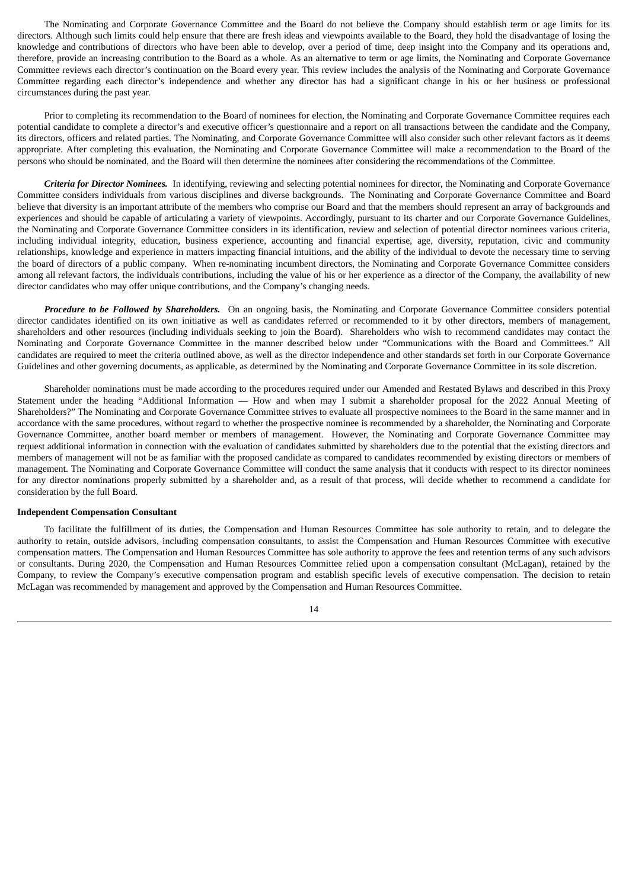The Nominating and Corporate Governance Committee and the Board do not believe the Company should establish term or age limits for its directors. Although such limits could help ensure that there are fresh ideas and viewpoints available to the Board, they hold the disadvantage of losing the knowledge and contributions of directors who have been able to develop, over a period of time, deep insight into the Company and its operations and, therefore, provide an increasing contribution to the Board as a whole. As an alternative to term or age limits, the Nominating and Corporate Governance Committee reviews each director's continuation on the Board every year. This review includes the analysis of the Nominating and Corporate Governance Committee regarding each director's independence and whether any director has had a significant change in his or her business or professional circumstances during the past year.

Prior to completing its recommendation to the Board of nominees for election, the Nominating and Corporate Governance Committee requires each potential candidate to complete a director's and executive officer's questionnaire and a report on all transactions between the candidate and the Company, its directors, officers and related parties. The Nominating, and Corporate Governance Committee will also consider such other relevant factors as it deems appropriate. After completing this evaluation, the Nominating and Corporate Governance Committee will make a recommendation to the Board of the persons who should be nominated, and the Board will then determine the nominees after considering the recommendations of the Committee.

*Criteria for Director Nominees.* In identifying, reviewing and selecting potential nominees for director, the Nominating and Corporate Governance Committee considers individuals from various disciplines and diverse backgrounds. The Nominating and Corporate Governance Committee and Board believe that diversity is an important attribute of the members who comprise our Board and that the members should represent an array of backgrounds and experiences and should be capable of articulating a variety of viewpoints. Accordingly, pursuant to its charter and our Corporate Governance Guidelines, the Nominating and Corporate Governance Committee considers in its identification, review and selection of potential director nominees various criteria, including individual integrity, education, business experience, accounting and financial expertise, age, diversity, reputation, civic and community relationships, knowledge and experience in matters impacting financial intuitions, and the ability of the individual to devote the necessary time to serving the board of directors of a public company. When re-nominating incumbent directors, the Nominating and Corporate Governance Committee considers among all relevant factors, the individuals contributions, including the value of his or her experience as a director of the Company, the availability of new director candidates who may offer unique contributions, and the Company's changing needs.

*Procedure to be Followed by Shareholders.* On an ongoing basis, the Nominating and Corporate Governance Committee considers potential director candidates identified on its own initiative as well as candidates referred or recommended to it by other directors, members of management, shareholders and other resources (including individuals seeking to join the Board). Shareholders who wish to recommend candidates may contact the Nominating and Corporate Governance Committee in the manner described below under "Communications with the Board and Committees." All candidates are required to meet the criteria outlined above, as well as the director independence and other standards set forth in our Corporate Governance Guidelines and other governing documents, as applicable, as determined by the Nominating and Corporate Governance Committee in its sole discretion.

Shareholder nominations must be made according to the procedures required under our Amended and Restated Bylaws and described in this Proxy Statement under the heading "Additional Information — How and when may I submit a shareholder proposal for the 2022 Annual Meeting of Shareholders?" The Nominating and Corporate Governance Committee strives to evaluate all prospective nominees to the Board in the same manner and in accordance with the same procedures, without regard to whether the prospective nominee is recommended by a shareholder, the Nominating and Corporate Governance Committee, another board member or members of management. However, the Nominating and Corporate Governance Committee may request additional information in connection with the evaluation of candidates submitted by shareholders due to the potential that the existing directors and members of management will not be as familiar with the proposed candidate as compared to candidates recommended by existing directors or members of management. The Nominating and Corporate Governance Committee will conduct the same analysis that it conducts with respect to its director nominees for any director nominations properly submitted by a shareholder and, as a result of that process, will decide whether to recommend a candidate for consideration by the full Board.

#### <span id="page-18-0"></span>**Independent Compensation Consultant**

To facilitate the fulfillment of its duties, the Compensation and Human Resources Committee has sole authority to retain, and to delegate the authority to retain, outside advisors, including compensation consultants, to assist the Compensation and Human Resources Committee with executive compensation matters. The Compensation and Human Resources Committee has sole authority to approve the fees and retention terms of any such advisors or consultants. During 2020, the Compensation and Human Resources Committee relied upon a compensation consultant (McLagan), retained by the Company, to review the Company's executive compensation program and establish specific levels of executive compensation. The decision to retain McLagan was recommended by management and approved by the Compensation and Human Resources Committee.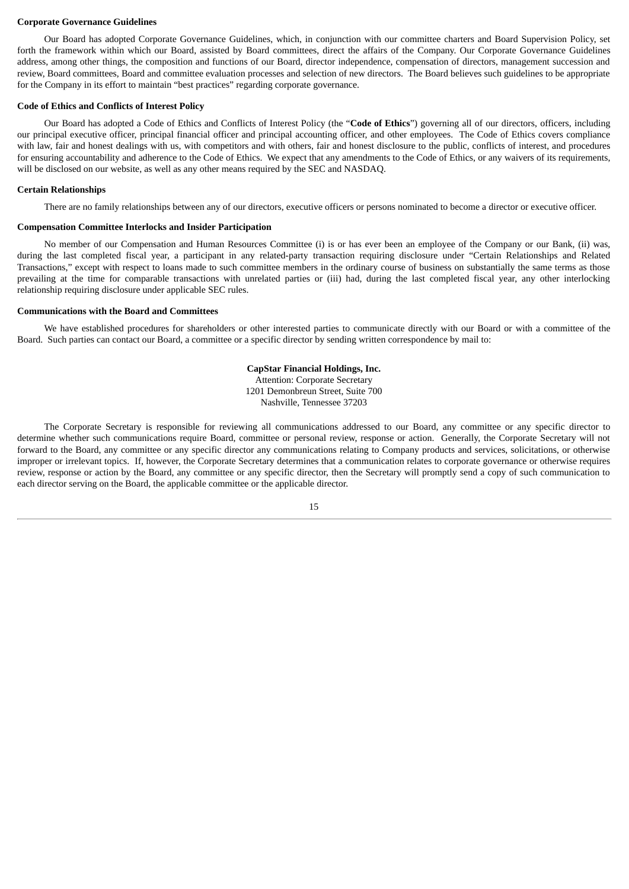#### <span id="page-19-0"></span>**Corporate Governance Guidelines**

Our Board has adopted Corporate Governance Guidelines, which, in conjunction with our committee charters and Board Supervision Policy, set forth the framework within which our Board, assisted by Board committees, direct the affairs of the Company. Our Corporate Governance Guidelines address, among other things, the composition and functions of our Board, director independence, compensation of directors, management succession and review, Board committees, Board and committee evaluation processes and selection of new directors. The Board believes such guidelines to be appropriate for the Company in its effort to maintain "best practices" regarding corporate governance.

#### <span id="page-19-1"></span>**Code of Ethics and Conflicts of Interest Policy**

Our Board has adopted a Code of Ethics and Conflicts of Interest Policy (the "**Code of Ethics**") governing all of our directors, officers, including our principal executive officer, principal financial officer and principal accounting officer, and other employees. The Code of Ethics covers compliance with law, fair and honest dealings with us, with competitors and with others, fair and honest disclosure to the public, conflicts of interest, and procedures for ensuring accountability and adherence to the Code of Ethics. We expect that any amendments to the Code of Ethics, or any waivers of its requirements, will be disclosed on our website, as well as any other means required by the SEC and NASDAQ.

#### <span id="page-19-2"></span>**Certain Relationships**

There are no family relationships between any of our directors, executive officers or persons nominated to become a director or executive officer.

#### <span id="page-19-3"></span>**Compensation Committee Interlocks and Insider Participation**

No member of our Compensation and Human Resources Committee (i) is or has ever been an employee of the Company or our Bank, (ii) was, during the last completed fiscal year, a participant in any related-party transaction requiring disclosure under "Certain Relationships and Related Transactions," except with respect to loans made to such committee members in the ordinary course of business on substantially the same terms as those prevailing at the time for comparable transactions with unrelated parties or (iii) had, during the last completed fiscal year, any other interlocking relationship requiring disclosure under applicable SEC rules.

#### <span id="page-19-4"></span>**Communications with the Board and Committees**

We have established procedures for shareholders or other interested parties to communicate directly with our Board or with a committee of the Board. Such parties can contact our Board, a committee or a specific director by sending written correspondence by mail to:

## **CapStar Financial Holdings, Inc.**

Attention: Corporate Secretary 1201 Demonbreun Street, Suite 700 Nashville, Tennessee 37203

The Corporate Secretary is responsible for reviewing all communications addressed to our Board, any committee or any specific director to determine whether such communications require Board, committee or personal review, response or action. Generally, the Corporate Secretary will not forward to the Board, any committee or any specific director any communications relating to Company products and services, solicitations, or otherwise improper or irrelevant topics. If, however, the Corporate Secretary determines that a communication relates to corporate governance or otherwise requires review, response or action by the Board, any committee or any specific director, then the Secretary will promptly send a copy of such communication to each director serving on the Board, the applicable committee or the applicable director.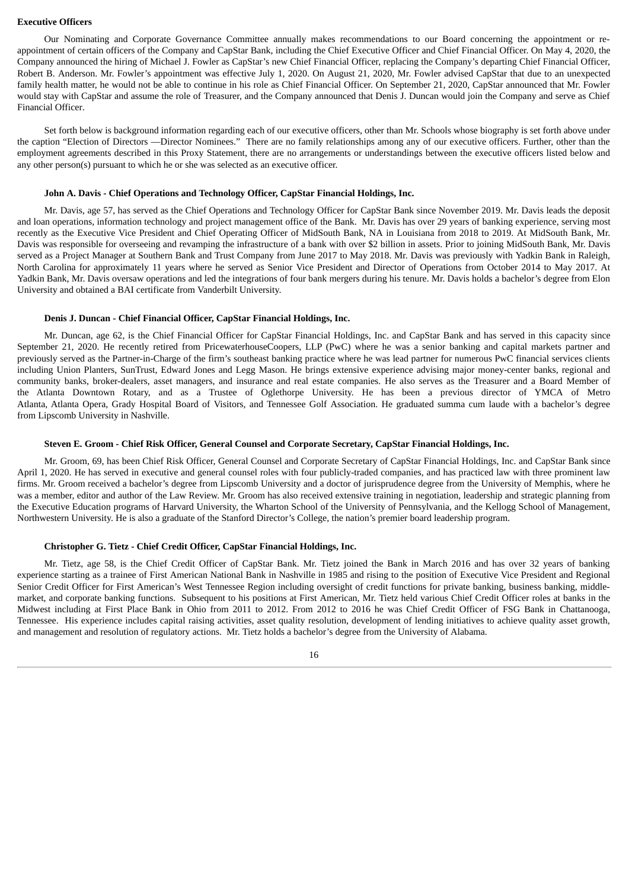#### <span id="page-20-0"></span>**Executive Officers**

Our Nominating and Corporate Governance Committee annually makes recommendations to our Board concerning the appointment or reappointment of certain officers of the Company and CapStar Bank, including the Chief Executive Officer and Chief Financial Officer. On May 4, 2020, the Company announced the hiring of Michael J. Fowler as CapStar's new Chief Financial Officer, replacing the Company's departing Chief Financial Officer, Robert B. Anderson. Mr. Fowler's appointment was effective July 1, 2020. On August 21, 2020, Mr. Fowler advised CapStar that due to an unexpected family health matter, he would not be able to continue in his role as Chief Financial Officer. On September 21, 2020, CapStar announced that Mr. Fowler would stay with CapStar and assume the role of Treasurer, and the Company announced that Denis J. Duncan would join the Company and serve as Chief Financial Officer.

Set forth below is background information regarding each of our executive officers, other than Mr. Schools whose biography is set forth above under the caption "Election of Directors —Director Nominees." There are no family relationships among any of our executive officers. Further, other than the employment agreements described in this Proxy Statement, there are no arrangements or understandings between the executive officers listed below and any other person(s) pursuant to which he or she was selected as an executive officer.

#### **John A. Davis - Chief Operations and Technology Officer, CapStar Financial Holdings, Inc.**

Mr. Davis, age 57, has served as the Chief Operations and Technology Officer for CapStar Bank since November 2019. Mr. Davis leads the deposit and loan operations, information technology and project management office of the Bank. Mr. Davis has over 29 years of banking experience, serving most recently as the Executive Vice President and Chief Operating Officer of MidSouth Bank, NA in Louisiana from 2018 to 2019. At MidSouth Bank, Mr. Davis was responsible for overseeing and revamping the infrastructure of a bank with over \$2 billion in assets. Prior to joining MidSouth Bank, Mr. Davis served as a Project Manager at Southern Bank and Trust Company from June 2017 to May 2018. Mr. Davis was previously with Yadkin Bank in Raleigh, North Carolina for approximately 11 years where he served as Senior Vice President and Director of Operations from October 2014 to May 2017. At Yadkin Bank, Mr. Davis oversaw operations and led the integrations of four bank mergers during his tenure. Mr. Davis holds a bachelor's degree from Elon University and obtained a BAI certificate from Vanderbilt University.

#### **Denis J. Duncan - Chief Financial Officer, CapStar Financial Holdings, Inc.**

Mr. Duncan, age 62, is the Chief Financial Officer for CapStar Financial Holdings, Inc. and CapStar Bank and has served in this capacity since September 21, 2020. He recently retired from PricewaterhouseCoopers, LLP (PwC) where he was a senior banking and capital markets partner and previously served as the Partner-in-Charge of the firm's southeast banking practice where he was lead partner for numerous PwC financial services clients including Union Planters, SunTrust, Edward Jones and Legg Mason. He brings extensive experience advising major money-center banks, regional and community banks, broker-dealers, asset managers, and insurance and real estate companies. He also serves as the Treasurer and a Board Member of the Atlanta Downtown Rotary, and as a Trustee of Oglethorpe University. He has been a previous director of YMCA of Metro Atlanta, Atlanta Opera, Grady Hospital Board of Visitors, and Tennessee Golf Association. He graduated summa cum laude with a bachelor's degree from Lipscomb University in Nashville.

#### **Steven E. Groom - Chief Risk Officer, General Counsel and Corporate Secretary, CapStar Financial Holdings, Inc.**

Mr. Groom, 69, has been Chief Risk Officer, General Counsel and Corporate Secretary of CapStar Financial Holdings, Inc. and CapStar Bank since April 1, 2020. He has served in executive and general counsel roles with four publicly-traded companies, and has practiced law with three prominent law firms. Mr. Groom received a bachelor's degree from Lipscomb University and a doctor of jurisprudence degree from the University of Memphis, where he was a member, editor and author of the Law Review. Mr. Groom has also received extensive training in negotiation, leadership and strategic planning from the Executive Education programs of Harvard University, the Wharton School of the University of Pennsylvania, and the Kellogg School of Management, Northwestern University. He is also a graduate of the Stanford Director's College, the nation's premier board leadership program.

#### **Christopher G. Tietz - Chief Credit Officer, CapStar Financial Holdings, Inc.**

Mr. Tietz, age 58, is the Chief Credit Officer of CapStar Bank. Mr. Tietz joined the Bank in March 2016 and has over 32 years of banking experience starting as a trainee of First American National Bank in Nashville in 1985 and rising to the position of Executive Vice President and Regional Senior Credit Officer for First American's West Tennessee Region including oversight of credit functions for private banking, business banking, middlemarket, and corporate banking functions. Subsequent to his positions at First American, Mr. Tietz held various Chief Credit Officer roles at banks in the Midwest including at First Place Bank in Ohio from 2011 to 2012. From 2012 to 2016 he was Chief Credit Officer of FSG Bank in Chattanooga, Tennessee. His experience includes capital raising activities, asset quality resolution, development of lending initiatives to achieve quality asset growth, and management and resolution of regulatory actions. Mr. Tietz holds a bachelor's degree from the University of Alabama.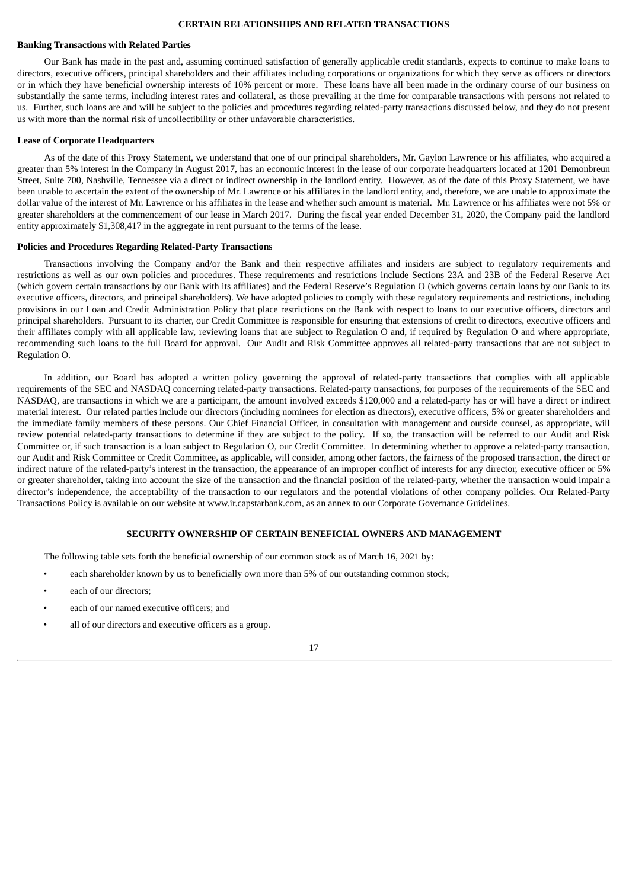#### **CERTAIN RELATIONSHIPS AND RELATED TRANSACTIONS**

#### <span id="page-21-1"></span><span id="page-21-0"></span>**Banking Transactions with Related Parties**

Our Bank has made in the past and, assuming continued satisfaction of generally applicable credit standards, expects to continue to make loans to directors, executive officers, principal shareholders and their affiliates including corporations or organizations for which they serve as officers or directors or in which they have beneficial ownership interests of 10% percent or more. These loans have all been made in the ordinary course of our business on substantially the same terms, including interest rates and collateral, as those prevailing at the time for comparable transactions with persons not related to us. Further, such loans are and will be subject to the policies and procedures regarding related-party transactions discussed below, and they do not present us with more than the normal risk of uncollectibility or other unfavorable characteristics.

#### <span id="page-21-2"></span>**Lease of Corporate Headquarters**

As of the date of this Proxy Statement, we understand that one of our principal shareholders, Mr. Gaylon Lawrence or his affiliates, who acquired a greater than 5% interest in the Company in August 2017, has an economic interest in the lease of our corporate headquarters located at 1201 Demonbreun Street, Suite 700, Nashville, Tennessee via a direct or indirect ownership in the landlord entity. However, as of the date of this Proxy Statement, we have been unable to ascertain the extent of the ownership of Mr. Lawrence or his affiliates in the landlord entity, and, therefore, we are unable to approximate the dollar value of the interest of Mr. Lawrence or his affiliates in the lease and whether such amount is material. Mr. Lawrence or his affiliates were not 5% or greater shareholders at the commencement of our lease in March 2017. During the fiscal year ended December 31, 2020, the Company paid the landlord entity approximately \$1,308,417 in the aggregate in rent pursuant to the terms of the lease.

#### <span id="page-21-3"></span>**Policies and Procedures Regarding Related-Party Transactions**

Transactions involving the Company and/or the Bank and their respective affiliates and insiders are subject to regulatory requirements and restrictions as well as our own policies and procedures. These requirements and restrictions include Sections 23A and 23B of the Federal Reserve Act (which govern certain transactions by our Bank with its affiliates) and the Federal Reserve's Regulation O (which governs certain loans by our Bank to its executive officers, directors, and principal shareholders). We have adopted policies to comply with these regulatory requirements and restrictions, including provisions in our Loan and Credit Administration Policy that place restrictions on the Bank with respect to loans to our executive officers, directors and principal shareholders. Pursuant to its charter, our Credit Committee is responsible for ensuring that extensions of credit to directors, executive officers and their affiliates comply with all applicable law, reviewing loans that are subject to Regulation O and, if required by Regulation O and where appropriate, recommending such loans to the full Board for approval. Our Audit and Risk Committee approves all related-party transactions that are not subject to Regulation O.

In addition, our Board has adopted a written policy governing the approval of related-party transactions that complies with all applicable requirements of the SEC and NASDAQ concerning related-party transactions. Related-party transactions, for purposes of the requirements of the SEC and NASDAQ, are transactions in which we are a participant, the amount involved exceeds \$120,000 and a related-party has or will have a direct or indirect material interest. Our related parties include our directors (including nominees for election as directors), executive officers, 5% or greater shareholders and the immediate family members of these persons. Our Chief Financial Officer, in consultation with management and outside counsel, as appropriate, will review potential related-party transactions to determine if they are subject to the policy. If so, the transaction will be referred to our Audit and Risk Committee or, if such transaction is a loan subject to Regulation O, our Credit Committee. In determining whether to approve a related-party transaction, our Audit and Risk Committee or Credit Committee, as applicable, will consider, among other factors, the fairness of the proposed transaction, the direct or indirect nature of the related-party's interest in the transaction, the appearance of an improper conflict of interests for any director, executive officer or 5% or greater shareholder, taking into account the size of the transaction and the financial position of the related-party, whether the transaction would impair a director's independence, the acceptability of the transaction to our regulators and the potential violations of other company policies. Our Related-Party Transactions Policy is available on our website at www.ir.capstarbank.com, as an annex to our Corporate Governance Guidelines.

#### **SECURITY OWNERSHIP OF CERTAIN BENEFICIAL OWNERS AND MANAGEMENT**

<span id="page-21-4"></span>The following table sets forth the beneficial ownership of our common stock as of March 16, 2021 by:

- each shareholder known by us to beneficially own more than 5% of our outstanding common stock;
- each of our directors;
- each of our named executive officers; and
- all of our directors and executive officers as a group.

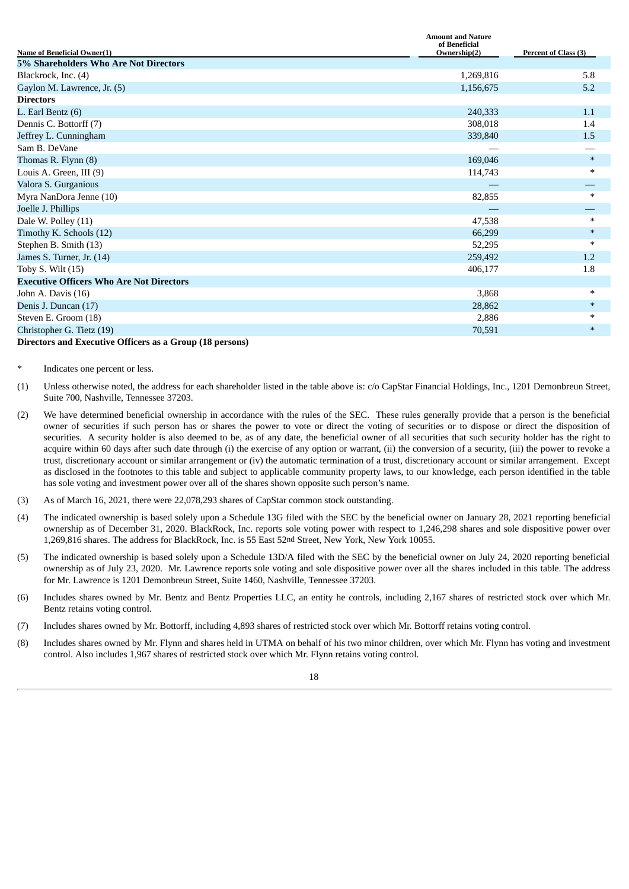| Name of Beneficial Owner(1)                     | Amount and Nature<br>of Beneficial<br>Ownership(2) | Percent of Class (3) |
|-------------------------------------------------|----------------------------------------------------|----------------------|
| 5% Shareholders Who Are Not Directors           |                                                    |                      |
| Blackrock, Inc. (4)                             | 1,269,816                                          | 5.8                  |
| Gaylon M. Lawrence, Jr. (5)                     | 1,156,675                                          | 5.2                  |
| <b>Directors</b>                                |                                                    |                      |
| L. Earl Bentz (6)                               | 240,333                                            | 1.1                  |
| Dennis C. Bottorff (7)                          | 308,018                                            | 1.4                  |
| Jeffrey L. Cunningham                           | 339,840                                            | 1.5                  |
| Sam B. DeVane                                   |                                                    |                      |
| Thomas R. Flynn (8)                             | 169,046                                            | $\ast$               |
| Louis A. Green, III (9)                         | 114,743                                            | *                    |
| Valora S. Gurganious                            |                                                    |                      |
| Myra NanDora Jenne (10)                         | 82,855                                             | $\ast$               |
| Joelle J. Phillips                              |                                                    |                      |
| Dale W. Polley (11)                             | 47,538                                             | *                    |
| Timothy K. Schools (12)                         | 66,299                                             | $\ast$               |
| Stephen B. Smith (13)                           | 52,295                                             | *                    |
| James S. Turner, Jr. (14)                       | 259,492                                            | 1.2                  |
| Toby S. Wilt $(15)$                             | 406,177                                            | 1.8                  |
| <b>Executive Officers Who Are Not Directors</b> |                                                    |                      |
| John A. Davis (16)                              | 3,868                                              | $\ast$               |
| Denis J. Duncan (17)                            | 28,862                                             | $*$                  |
| Steven E. Groom (18)                            | 2,886                                              | $\ast$               |
| Christopher G. Tietz (19)                       | 70,591                                             | $\ast$               |
|                                                 |                                                    |                      |

**Amount and Nature**

**Directors and Executive Officers as a Group (18 persons)**

Indicates one percent or less.

- (1) Unless otherwise noted, the address for each shareholder listed in the table above is: c/o CapStar Financial Holdings, Inc., 1201 Demonbreun Street, Suite 700, Nashville, Tennessee 37203.
- (2) We have determined beneficial ownership in accordance with the rules of the SEC. These rules generally provide that a person is the beneficial owner of securities if such person has or shares the power to vote or direct the voting of securities or to dispose or direct the disposition of securities. A security holder is also deemed to be, as of any date, the beneficial owner of all securities that such security holder has the right to acquire within 60 days after such date through (i) the exercise of any option or warrant, (ii) the conversion of a security, (iii) the power to revoke a trust, discretionary account or similar arrangement or (iv) the automatic termination of a trust, discretionary account or similar arrangement. Except as disclosed in the footnotes to this table and subject to applicable community property laws, to our knowledge, each person identified in the table has sole voting and investment power over all of the shares shown opposite such person's name.
- (3) As of March 16, 2021, there were 22,078,293 shares of CapStar common stock outstanding.
- (4) The indicated ownership is based solely upon a Schedule 13G filed with the SEC by the beneficial owner on January 28, 2021 reporting beneficial ownership as of December 31, 2020. BlackRock, Inc. reports sole voting power with respect to 1,246,298 shares and sole dispositive power over 1,269,816 shares. The address for BlackRock, Inc. is 55 East 52nd Street, New York, New York 10055.
- (5) The indicated ownership is based solely upon a Schedule 13D/A filed with the SEC by the beneficial owner on July 24, 2020 reporting beneficial ownership as of July 23, 2020. Mr. Lawrence reports sole voting and sole dispositive power over all the shares included in this table. The address for Mr. Lawrence is 1201 Demonbreun Street, Suite 1460, Nashville, Tennessee 37203.
- (6) Includes shares owned by Mr. Bentz and Bentz Properties LLC, an entity he controls, including 2,167 shares of restricted stock over which Mr. Bentz retains voting control.
- (7) Includes shares owned by Mr. Bottorff, including 4,893 shares of restricted stock over which Mr. Bottorff retains voting control.
- (8) Includes shares owned by Mr. Flynn and shares held in UTMA on behalf of his two minor children, over which Mr. Flynn has voting and investment control. Also includes 1,967 shares of restricted stock over which Mr. Flynn retains voting control.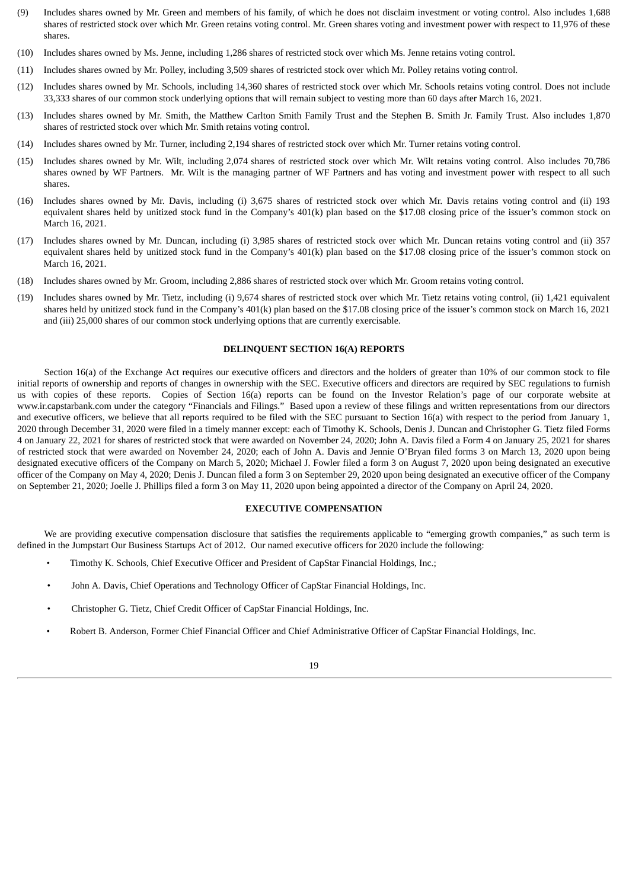- (9) Includes shares owned by Mr. Green and members of his family, of which he does not disclaim investment or voting control. Also includes 1,688 shares of restricted stock over which Mr. Green retains voting control. Mr. Green shares voting and investment power with respect to 11,976 of these shares.
- (10) Includes shares owned by Ms. Jenne, including 1,286 shares of restricted stock over which Ms. Jenne retains voting control.
- (11) Includes shares owned by Mr. Polley, including 3,509 shares of restricted stock over which Mr. Polley retains voting control.
- (12) Includes shares owned by Mr. Schools, including 14,360 shares of restricted stock over which Mr. Schools retains voting control. Does not include 33,333 shares of our common stock underlying options that will remain subject to vesting more than 60 days after March 16, 2021.
- (13) Includes shares owned by Mr. Smith, the Matthew Carlton Smith Family Trust and the Stephen B. Smith Jr. Family Trust. Also includes 1,870 shares of restricted stock over which Mr. Smith retains voting control.
- (14) Includes shares owned by Mr. Turner, including 2,194 shares of restricted stock over which Mr. Turner retains voting control.
- (15) Includes shares owned by Mr. Wilt, including 2,074 shares of restricted stock over which Mr. Wilt retains voting control. Also includes 70,786 shares owned by WF Partners. Mr. Wilt is the managing partner of WF Partners and has voting and investment power with respect to all such shares.
- (16) Includes shares owned by Mr. Davis, including (i) 3,675 shares of restricted stock over which Mr. Davis retains voting control and (ii) 193 equivalent shares held by unitized stock fund in the Company's 401(k) plan based on the \$17.08 closing price of the issuer's common stock on March 16, 2021.
- (17) Includes shares owned by Mr. Duncan, including (i) 3,985 shares of restricted stock over which Mr. Duncan retains voting control and (ii) 357 equivalent shares held by unitized stock fund in the Company's 401(k) plan based on the \$17.08 closing price of the issuer's common stock on March 16, 2021.
- (18) Includes shares owned by Mr. Groom, including 2,886 shares of restricted stock over which Mr. Groom retains voting control.
- (19) Includes shares owned by Mr. Tietz, including (i) 9,674 shares of restricted stock over which Mr. Tietz retains voting control, (ii) 1,421 equivalent shares held by unitized stock fund in the Company's 401(k) plan based on the \$17.08 closing price of the issuer's common stock on March 16, 2021 and (iii) 25,000 shares of our common stock underlying options that are currently exercisable.

#### **DELINQUENT SECTION 16(A) REPORTS**

<span id="page-23-0"></span>Section 16(a) of the Exchange Act requires our executive officers and directors and the holders of greater than 10% of our common stock to file initial reports of ownership and reports of changes in ownership with the SEC. Executive officers and directors are required by SEC regulations to furnish us with copies of these reports. Copies of Section 16(a) reports can be found on the Investor Relation's page of our corporate website at www.ir.capstarbank.com under the category "Financials and Filings." Based upon a review of these filings and written representations from our directors and executive officers, we believe that all reports required to be filed with the SEC pursuant to Section 16(a) with respect to the period from January 1, 2020 through December 31, 2020 were filed in a timely manner except: each of Timothy K. Schools, Denis J. Duncan and Christopher G. Tietz filed Forms 4 on January 22, 2021 for shares of restricted stock that were awarded on November 24, 2020; John A. Davis filed a Form 4 on January 25, 2021 for shares of restricted stock that were awarded on November 24, 2020; each of John A. Davis and Jennie O'Bryan filed forms 3 on March 13, 2020 upon being designated executive officers of the Company on March 5, 2020; Michael J. Fowler filed a form 3 on August 7, 2020 upon being designated an executive officer of the Company on May 4, 2020; Denis J. Duncan filed a form 3 on September 29, 2020 upon being designated an executive officer of the Company on September 21, 2020; Joelle J. Phillips filed a form 3 on May 11, 2020 upon being appointed a director of the Company on April 24, 2020.

#### **EXECUTIVE COMPENSATION**

<span id="page-23-1"></span>We are providing executive compensation disclosure that satisfies the requirements applicable to "emerging growth companies," as such term is defined in the Jumpstart Our Business Startups Act of 2012. Our named executive officers for 2020 include the following:

- Timothy K. Schools, Chief Executive Officer and President of CapStar Financial Holdings, Inc.;
- John A. Davis, Chief Operations and Technology Officer of CapStar Financial Holdings, Inc.
- Christopher G. Tietz, Chief Credit Officer of CapStar Financial Holdings, Inc.
- Robert B. Anderson, Former Chief Financial Officer and Chief Administrative Officer of CapStar Financial Holdings, Inc.

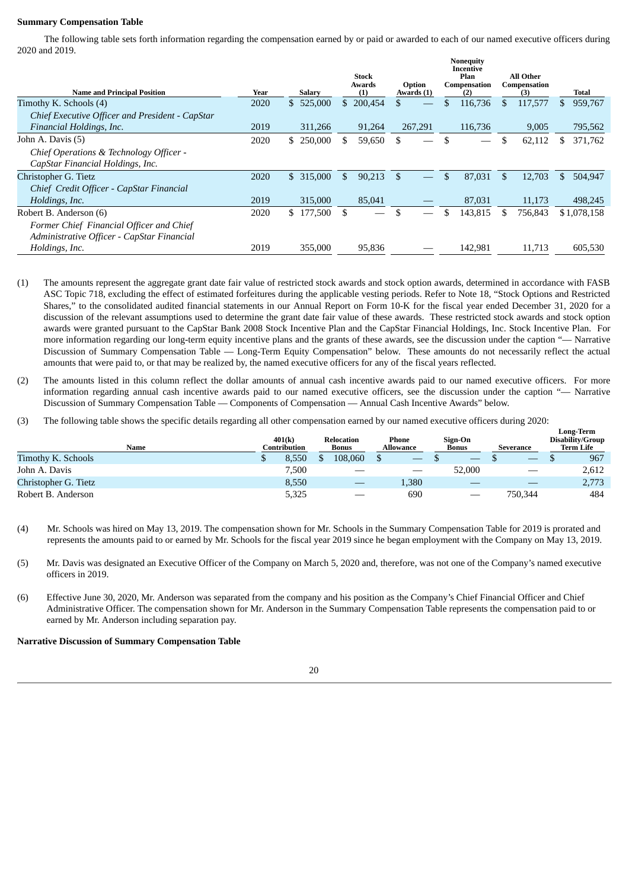## <span id="page-24-0"></span>**Summary Compensation Table**

The following table sets forth information regarding the compensation earned by or paid or awarded to each of our named executive officers during 2020 and 2019.

| <b>Name and Principal Position</b>              | Year | <b>Salary</b> | <b>Stock</b><br>Awards<br>(1) | Option<br>Awards (1) | <b>Nonequity</b><br>Incentive<br>Plan<br>Compensation<br>(2) |     | All Other<br>Compensation<br>(3) |     | Total       |
|-------------------------------------------------|------|---------------|-------------------------------|----------------------|--------------------------------------------------------------|-----|----------------------------------|-----|-------------|
| Timothy K. Schools (4)                          | 2020 | \$525,000     | 200,454<br>\$                 |                      | 116,736                                                      | \$  | 117,577                          | \$. | 959,767     |
| Chief Executive Officer and President - CapStar |      |               |                               |                      |                                                              |     |                                  |     |             |
| Financial Holdings, Inc.                        | 2019 | 311,266       | 91,264                        | 267,291              | 116,736                                                      |     | 9,005                            |     | 795,562     |
| John A. Davis (5)                               | 2020 | \$ 250,000    | \$.<br>59,650                 | \$                   |                                                              | \$  | 62,112                           | S   | 371,762     |
| Chief Operations & Technology Officer -         |      |               |                               |                      |                                                              |     |                                  |     |             |
| CapStar Financial Holdings, Inc.                |      |               |                               |                      |                                                              |     |                                  |     |             |
| Christopher G. Tietz                            | 2020 | \$ 315,000    | \$<br>90,213                  | \$                   | \$<br>87,031                                                 | \$. | 12,703                           | \$  | 504,947     |
| Chief Credit Officer - CapStar Financial        |      |               |                               |                      |                                                              |     |                                  |     |             |
| Holdings, Inc.                                  | 2019 | 315,000       | 85,041                        |                      | 87,031                                                       |     | 11,173                           |     | 498,245     |
| Robert B. Anderson (6)                          | 2020 | \$177,500     | \$                            | \$                   | 143,815                                                      |     | 756,843                          |     | \$1,078,158 |
| Former Chief Financial Officer and Chief        |      |               |                               |                      |                                                              |     |                                  |     |             |
| Administrative Officer - CapStar Financial      |      |               |                               |                      |                                                              |     |                                  |     |             |
| Holdings, Inc.                                  | 2019 | 355,000       | 95.836                        |                      | 142,981                                                      |     | 11,713                           |     | 605,530     |

- (1) The amounts represent the aggregate grant date fair value of restricted stock awards and stock option awards, determined in accordance with FASB ASC Topic 718, excluding the effect of estimated forfeitures during the applicable vesting periods. Refer to Note 18, "Stock Options and Restricted Shares," to the consolidated audited financial statements in our Annual Report on Form 10-K for the fiscal year ended December 31, 2020 for a discussion of the relevant assumptions used to determine the grant date fair value of these awards. These restricted stock awards and stock option awards were granted pursuant to the CapStar Bank 2008 Stock Incentive Plan and the CapStar Financial Holdings, Inc. Stock Incentive Plan. For more information regarding our long-term equity incentive plans and the grants of these awards, see the discussion under the caption "— Narrative Discussion of Summary Compensation Table — Long-Term Equity Compensation" below. These amounts do not necessarily reflect the actual amounts that were paid to, or that may be realized by, the named executive officers for any of the fiscal years reflected.
- (2) The amounts listed in this column reflect the dollar amounts of annual cash incentive awards paid to our named executive officers. For more information regarding annual cash incentive awards paid to our named executive officers, see the discussion under the caption "— Narrative Discussion of Summary Compensation Table — Components of Compensation — Annual Cash Incentive Awards" below.
- (3) The following table shows the specific details regarding all other compensation earned by our named executive officers during 2020:

| Name                 | 401(k)<br>Contribution | Relocation<br><b>Bonus</b> | Phone<br><b>Allowance</b> | Sign-On<br><b>Bonus</b>         | <b>Severance</b> | <b>Long-Term</b><br>Disability/Group<br>Term Life |
|----------------------|------------------------|----------------------------|---------------------------|---------------------------------|------------------|---------------------------------------------------|
| Timothy K. Schools   | 8.550                  | 108.060                    | $-$                       | $\hspace{0.1mm}-\hspace{0.1mm}$ |                  | 967                                               |
| John A. Davis        | 7,500                  |                            | $\overline{\phantom{a}}$  | 52,000                          | __               | 2,612                                             |
| Christopher G. Tietz | 8,550                  | __                         | 1,380                     |                                 |                  | 2,773                                             |
| Robert B. Anderson   | 5,325                  |                            | 690                       |                                 | 750.344          | 484                                               |

- (4) Mr. Schools was hired on May 13, 2019. The compensation shown for Mr. Schools in the Summary Compensation Table for 2019 is prorated and represents the amounts paid to or earned by Mr. Schools for the fiscal year 2019 since he began employment with the Company on May 13, 2019.
- (5) Mr. Davis was designated an Executive Officer of the Company on March 5, 2020 and, therefore, was not one of the Company's named executive officers in 2019.
- (6) Effective June 30, 2020, Mr. Anderson was separated from the company and his position as the Company's Chief Financial Officer and Chief Administrative Officer. The compensation shown for Mr. Anderson in the Summary Compensation Table represents the compensation paid to or earned by Mr. Anderson including separation pay.

#### <span id="page-24-1"></span>**Narrative Discussion of Summary Compensation Table**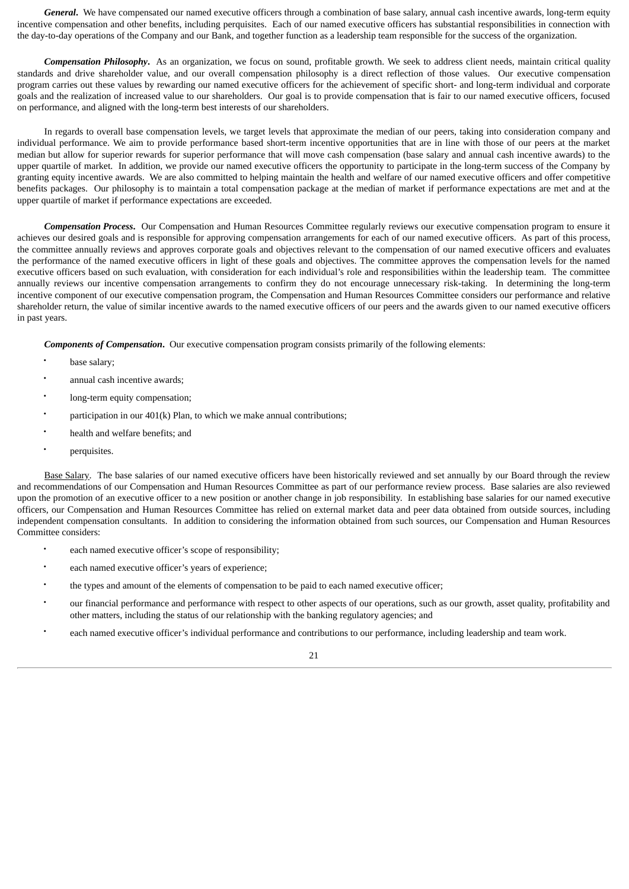*General***.** We have compensated our named executive officers through a combination of base salary, annual cash incentive awards, long-term equity incentive compensation and other benefits, including perquisites. Each of our named executive officers has substantial responsibilities in connection with the day-to-day operations of the Company and our Bank, and together function as a leadership team responsible for the success of the organization.

*Compensation Philosophy***.** As an organization, we focus on sound, profitable growth. We seek to address client needs, maintain critical quality standards and drive shareholder value, and our overall compensation philosophy is a direct reflection of those values. Our executive compensation program carries out these values by rewarding our named executive officers for the achievement of specific short- and long-term individual and corporate goals and the realization of increased value to our shareholders. Our goal is to provide compensation that is fair to our named executive officers, focused on performance, and aligned with the long-term best interests of our shareholders.

In regards to overall base compensation levels, we target levels that approximate the median of our peers, taking into consideration company and individual performance. We aim to provide performance based short-term incentive opportunities that are in line with those of our peers at the market median but allow for superior rewards for superior performance that will move cash compensation (base salary and annual cash incentive awards) to the upper quartile of market. In addition, we provide our named executive officers the opportunity to participate in the long-term success of the Company by granting equity incentive awards. We are also committed to helping maintain the health and welfare of our named executive officers and offer competitive benefits packages. Our philosophy is to maintain a total compensation package at the median of market if performance expectations are met and at the upper quartile of market if performance expectations are exceeded.

*Compensation Process***.** Our Compensation and Human Resources Committee regularly reviews our executive compensation program to ensure it achieves our desired goals and is responsible for approving compensation arrangements for each of our named executive officers. As part of this process, the committee annually reviews and approves corporate goals and objectives relevant to the compensation of our named executive officers and evaluates the performance of the named executive officers in light of these goals and objectives. The committee approves the compensation levels for the named executive officers based on such evaluation, with consideration for each individual's role and responsibilities within the leadership team. The committee annually reviews our incentive compensation arrangements to confirm they do not encourage unnecessary risk-taking. In determining the long-term incentive component of our executive compensation program, the Compensation and Human Resources Committee considers our performance and relative shareholder return, the value of similar incentive awards to the named executive officers of our peers and the awards given to our named executive officers in past years.

*Components of Compensation***.** Our executive compensation program consists primarily of the following elements:

- base salary:
- annual cash incentive awards;
- long-term equity compensation;
- participation in our  $401(k)$  Plan, to which we make annual contributions;
- health and welfare benefits; and
- perquisites.

Base Salary. The base salaries of our named executive officers have been historically reviewed and set annually by our Board through the review and recommendations of our Compensation and Human Resources Committee as part of our performance review process. Base salaries are also reviewed upon the promotion of an executive officer to a new position or another change in job responsibility. In establishing base salaries for our named executive officers, our Compensation and Human Resources Committee has relied on external market data and peer data obtained from outside sources, including independent compensation consultants. In addition to considering the information obtained from such sources, our Compensation and Human Resources Committee considers:

- each named executive officer's scope of responsibility;
- each named executive officer's years of experience;
- the types and amount of the elements of compensation to be paid to each named executive officer;
- our financial performance and performance with respect to other aspects of our operations, such as our growth, asset quality, profitability and other matters, including the status of our relationship with the banking regulatory agencies; and
- each named executive officer's individual performance and contributions to our performance, including leadership and team work.

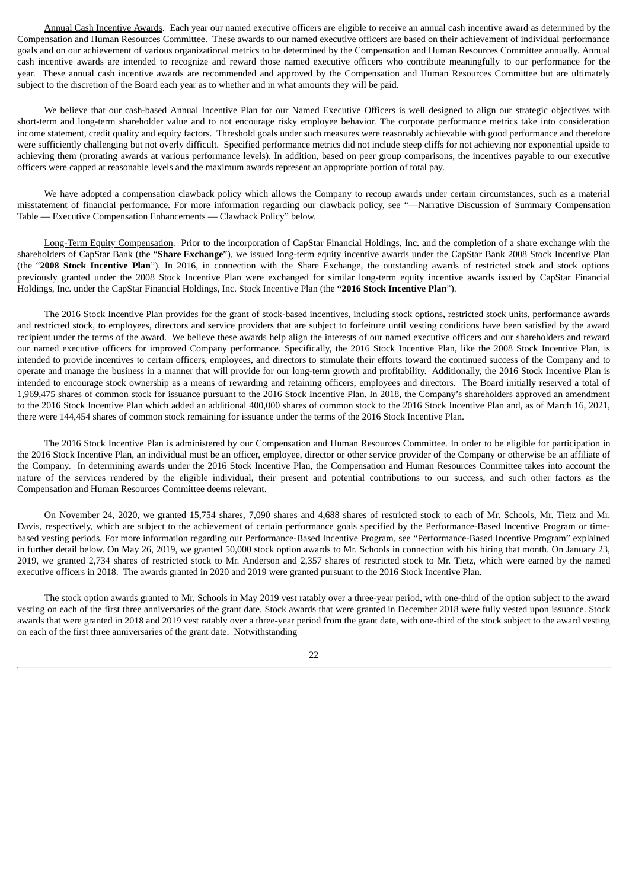Annual Cash Incentive Awards. Each year our named executive officers are eligible to receive an annual cash incentive award as determined by the Compensation and Human Resources Committee. These awards to our named executive officers are based on their achievement of individual performance goals and on our achievement of various organizational metrics to be determined by the Compensation and Human Resources Committee annually. Annual cash incentive awards are intended to recognize and reward those named executive officers who contribute meaningfully to our performance for the year. These annual cash incentive awards are recommended and approved by the Compensation and Human Resources Committee but are ultimately subject to the discretion of the Board each year as to whether and in what amounts they will be paid.

We believe that our cash-based Annual Incentive Plan for our Named Executive Officers is well designed to align our strategic objectives with short-term and long-term shareholder value and to not encourage risky employee behavior. The corporate performance metrics take into consideration income statement, credit quality and equity factors. Threshold goals under such measures were reasonably achievable with good performance and therefore were sufficiently challenging but not overly difficult. Specified performance metrics did not include steep cliffs for not achieving nor exponential upside to achieving them (prorating awards at various performance levels). In addition, based on peer group comparisons, the incentives payable to our executive officers were capped at reasonable levels and the maximum awards represent an appropriate portion of total pay.

We have adopted a compensation clawback policy which allows the Company to recoup awards under certain circumstances, such as a material misstatement of financial performance. For more information regarding our clawback policy, see "—Narrative Discussion of Summary Compensation Table — Executive Compensation Enhancements — Clawback Policy" below.

Long-Term Equity Compensation. Prior to the incorporation of CapStar Financial Holdings, Inc. and the completion of a share exchange with the shareholders of CapStar Bank (the "**Share Exchange**"), we issued long-term equity incentive awards under the CapStar Bank 2008 Stock Incentive Plan (the "**2008 Stock Incentive Plan**"). In 2016, in connection with the Share Exchange, the outstanding awards of restricted stock and stock options previously granted under the 2008 Stock Incentive Plan were exchanged for similar long-term equity incentive awards issued by CapStar Financial Holdings, Inc. under the CapStar Financial Holdings, Inc. Stock Incentive Plan (the **"2016 Stock Incentive Plan**").

The 2016 Stock Incentive Plan provides for the grant of stock-based incentives, including stock options, restricted stock units, performance awards and restricted stock, to employees, directors and service providers that are subject to forfeiture until vesting conditions have been satisfied by the award recipient under the terms of the award. We believe these awards help align the interests of our named executive officers and our shareholders and reward our named executive officers for improved Company performance. Specifically, the 2016 Stock Incentive Plan, like the 2008 Stock Incentive Plan, is intended to provide incentives to certain officers, employees, and directors to stimulate their efforts toward the continued success of the Company and to operate and manage the business in a manner that will provide for our long-term growth and profitability. Additionally, the 2016 Stock Incentive Plan is intended to encourage stock ownership as a means of rewarding and retaining officers, employees and directors. The Board initially reserved a total of 1,969,475 shares of common stock for issuance pursuant to the 2016 Stock Incentive Plan. In 2018, the Company's shareholders approved an amendment to the 2016 Stock Incentive Plan which added an additional 400,000 shares of common stock to the 2016 Stock Incentive Plan and, as of March 16, 2021, there were 144,454 shares of common stock remaining for issuance under the terms of the 2016 Stock Incentive Plan.

The 2016 Stock Incentive Plan is administered by our Compensation and Human Resources Committee. In order to be eligible for participation in the 2016 Stock Incentive Plan, an individual must be an officer, employee, director or other service provider of the Company or otherwise be an affiliate of the Company. In determining awards under the 2016 Stock Incentive Plan, the Compensation and Human Resources Committee takes into account the nature of the services rendered by the eligible individual, their present and potential contributions to our success, and such other factors as the Compensation and Human Resources Committee deems relevant.

On November 24, 2020, we granted 15,754 shares, 7,090 shares and 4,688 shares of restricted stock to each of Mr. Schools, Mr. Tietz and Mr. Davis, respectively, which are subject to the achievement of certain performance goals specified by the Performance-Based Incentive Program or timebased vesting periods. For more information regarding our Performance-Based Incentive Program, see "Performance-Based Incentive Program" explained in further detail below. On May 26, 2019, we granted 50,000 stock option awards to Mr. Schools in connection with his hiring that month. On January 23, 2019, we granted 2,734 shares of restricted stock to Mr. Anderson and 2,357 shares of restricted stock to Mr. Tietz, which were earned by the named executive officers in 2018. The awards granted in 2020 and 2019 were granted pursuant to the 2016 Stock Incentive Plan.

The stock option awards granted to Mr. Schools in May 2019 vest ratably over a three-year period, with one-third of the option subject to the award vesting on each of the first three anniversaries of the grant date. Stock awards that were granted in December 2018 were fully vested upon issuance. Stock awards that were granted in 2018 and 2019 vest ratably over a three-year period from the grant date, with one-third of the stock subject to the award vesting on each of the first three anniversaries of the grant date. Notwithstanding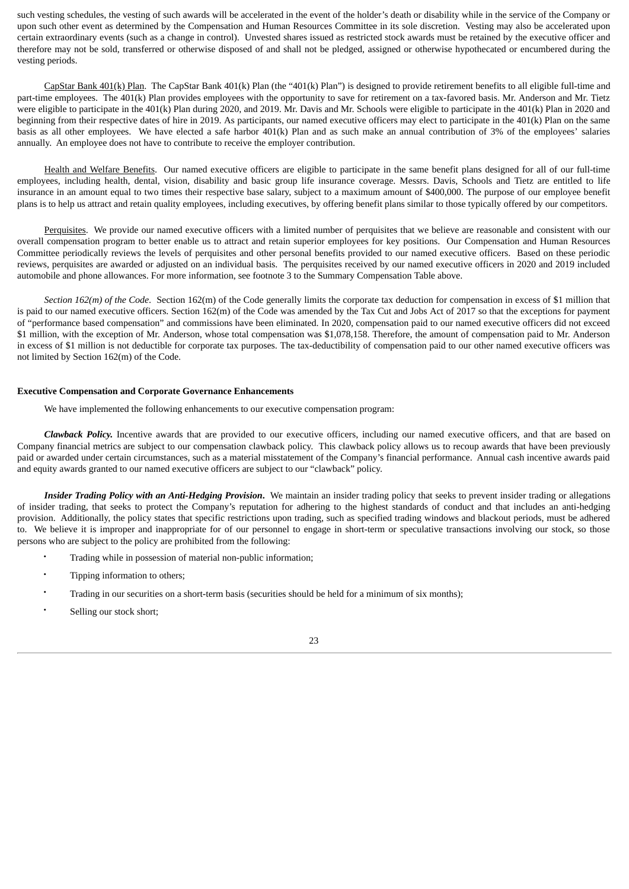such vesting schedules, the vesting of such awards will be accelerated in the event of the holder's death or disability while in the service of the Company or upon such other event as determined by the Compensation and Human Resources Committee in its sole discretion. Vesting may also be accelerated upon certain extraordinary events (such as a change in control). Unvested shares issued as restricted stock awards must be retained by the executive officer and therefore may not be sold, transferred or otherwise disposed of and shall not be pledged, assigned or otherwise hypothecated or encumbered during the vesting periods.

CapStar Bank 401(k) Plan. The CapStar Bank 401(k) Plan (the "401(k) Plan") is designed to provide retirement benefits to all eligible full-time and part-time employees. The 401(k) Plan provides employees with the opportunity to save for retirement on a tax-favored basis. Mr. Anderson and Mr. Tietz were eligible to participate in the 401(k) Plan during 2020, and 2019. Mr. Davis and Mr. Schools were eligible to participate in the 401(k) Plan in 2020 and beginning from their respective dates of hire in 2019. As participants, our named executive officers may elect to participate in the 401(k) Plan on the same basis as all other employees. We have elected a safe harbor 401(k) Plan and as such make an annual contribution of 3% of the employees' salaries annually. An employee does not have to contribute to receive the employer contribution.

Health and Welfare Benefits. Our named executive officers are eligible to participate in the same benefit plans designed for all of our full-time employees, including health, dental, vision, disability and basic group life insurance coverage. Messrs. Davis, Schools and Tietz are entitled to life insurance in an amount equal to two times their respective base salary, subject to a maximum amount of \$400,000. The purpose of our employee benefit plans is to help us attract and retain quality employees, including executives, by offering benefit plans similar to those typically offered by our competitors.

Perquisites. We provide our named executive officers with a limited number of perquisites that we believe are reasonable and consistent with our overall compensation program to better enable us to attract and retain superior employees for key positions. Our Compensation and Human Resources Committee periodically reviews the levels of perquisites and other personal benefits provided to our named executive officers. Based on these periodic reviews, perquisites are awarded or adjusted on an individual basis. The perquisites received by our named executive officers in 2020 and 2019 included automobile and phone allowances. For more information, see footnote 3 to the Summary Compensation Table above.

*Section 162(m) of the Code*. Section 162(m) of the Code generally limits the corporate tax deduction for compensation in excess of \$1 million that is paid to our named executive officers. Section 162(m) of the Code was amended by the Tax Cut and Jobs Act of 2017 so that the exceptions for payment of "performance based compensation" and commissions have been eliminated. In 2020, compensation paid to our named executive officers did not exceed \$1 million, with the exception of Mr. Anderson, whose total compensation was \$1,078,158. Therefore, the amount of compensation paid to Mr. Anderson in excess of \$1 million is not deductible for corporate tax purposes. The tax-deductibility of compensation paid to our other named executive officers was not limited by Section 162(m) of the Code.

#### <span id="page-27-0"></span>**Executive Compensation and Corporate Governance Enhancements**

We have implemented the following enhancements to our executive compensation program:

*Clawback Policy.* Incentive awards that are provided to our executive officers, including our named executive officers, and that are based on Company financial metrics are subject to our compensation clawback policy. This clawback policy allows us to recoup awards that have been previously paid or awarded under certain circumstances, such as a material misstatement of the Company's financial performance. Annual cash incentive awards paid and equity awards granted to our named executive officers are subject to our "clawback" policy.

*Insider Trading Policy with an Anti-Hedging Provision***.** We maintain an insider trading policy that seeks to prevent insider trading or allegations of insider trading, that seeks to protect the Company's reputation for adhering to the highest standards of conduct and that includes an anti-hedging provision. Additionally, the policy states that specific restrictions upon trading, such as specified trading windows and blackout periods, must be adhered to. We believe it is improper and inappropriate for of our personnel to engage in short-term or speculative transactions involving our stock, so those persons who are subject to the policy are prohibited from the following:

- Trading while in possession of material non-public information;
- Tipping information to others;
- Trading in our securities on a short-term basis (securities should be held for a minimum of six months);
- Selling our stock short:

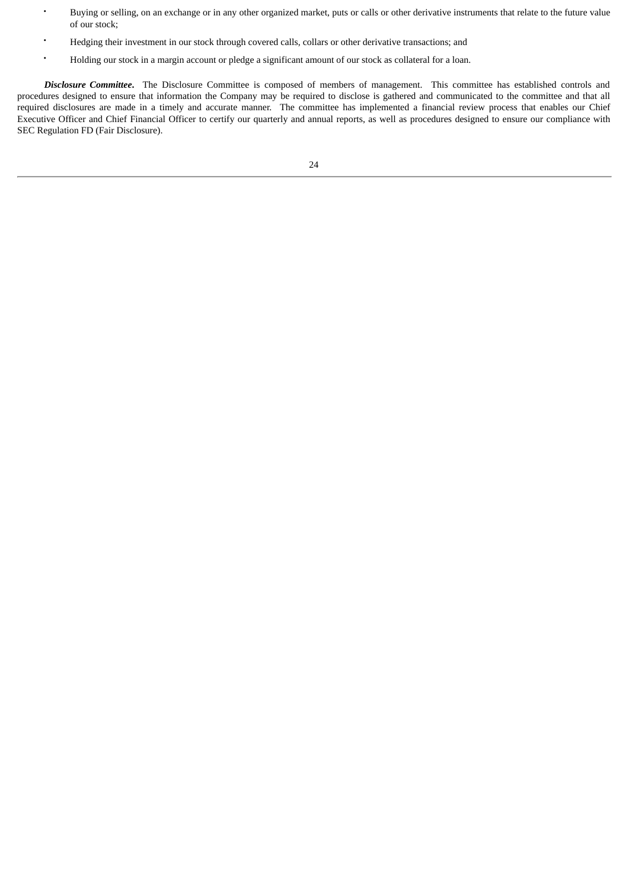- Buying or selling, on an exchange or in any other organized market, puts or calls or other derivative instruments that relate to the future value of our stock;
- Hedging their investment in our stock through covered calls, collars or other derivative transactions; and
- Holding our stock in a margin account or pledge a significant amount of our stock as collateral for a loan.

*Disclosure Committee***.** The Disclosure Committee is composed of members of management. This committee has established controls and procedures designed to ensure that information the Company may be required to disclose is gathered and communicated to the committee and that all required disclosures are made in a timely and accurate manner. The committee has implemented a financial review process that enables our Chief Executive Officer and Chief Financial Officer to certify our quarterly and annual reports, as well as procedures designed to ensure our compliance with SEC Regulation FD (Fair Disclosure).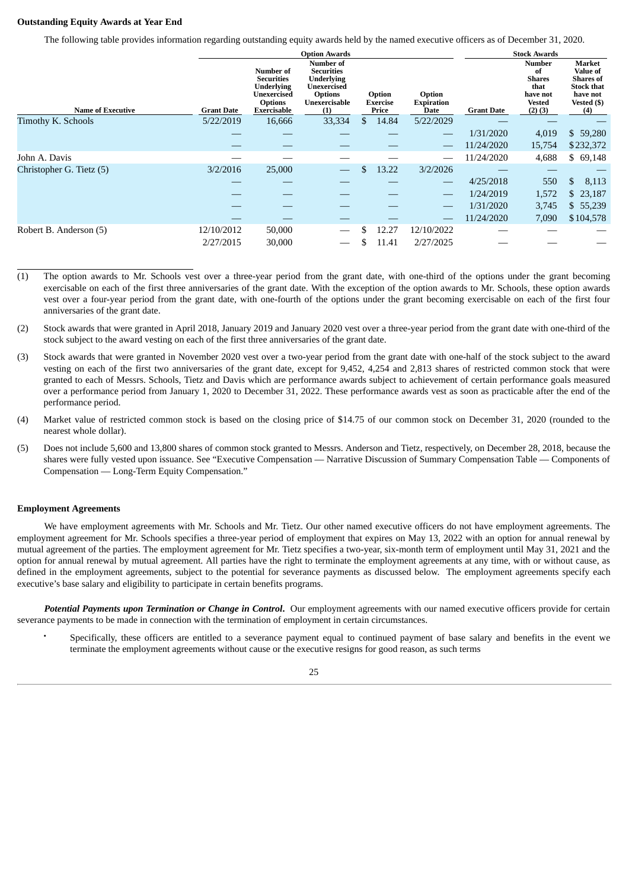#### <span id="page-29-0"></span>**Outstanding Equity Awards at Year End**

The following table provides information regarding outstanding equity awards held by the named executive officers as of December 31, 2020.

|                          |                   |                                                                                                     | <b>Option Awards</b>                                                                                                       |                                    |                                            |                   | <b>Stock Awards</b>                                                               |                                                                                                      |
|--------------------------|-------------------|-----------------------------------------------------------------------------------------------------|----------------------------------------------------------------------------------------------------------------------------|------------------------------------|--------------------------------------------|-------------------|-----------------------------------------------------------------------------------|------------------------------------------------------------------------------------------------------|
| <b>Name of Executive</b> | <b>Grant Date</b> | Number of<br><b>Securities</b><br><b>Underlying</b><br>Unexercised<br><b>Options</b><br>Exercisable | <b>Number of</b><br><b>Securities</b><br><b>Underlying</b><br><b>Unexercised</b><br><b>Options</b><br>Unexercisable<br>(1) | Option<br><b>Exercise</b><br>Price | <b>Option</b><br><b>Expiration</b><br>Date | <b>Grant Date</b> | <b>Number</b><br>of<br><b>Shares</b><br>that<br>have not<br>Vested<br>$(2)$ $(3)$ | Market<br><b>Value of</b><br><b>Shares</b> of<br><b>Stock that</b><br>have not<br>Vested (\$)<br>(4) |
| Timothy K. Schools       | 5/22/2019         | 16,666                                                                                              | 33,334                                                                                                                     | \$<br>14.84                        | 5/22/2029                                  |                   |                                                                                   |                                                                                                      |
|                          |                   |                                                                                                     |                                                                                                                            |                                    | $\overbrace{\phantom{12333}}$              | 1/31/2020         | 4,019                                                                             | \$59,280                                                                                             |
|                          |                   |                                                                                                     |                                                                                                                            |                                    |                                            | 11/24/2020        | 15,754                                                                            | \$232,372                                                                                            |
| John A. Davis            |                   |                                                                                                     |                                                                                                                            |                                    |                                            | 11/24/2020        | 4,688                                                                             | \$69,148                                                                                             |
| Christopher G. Tietz (5) | 3/2/2016          | 25,000                                                                                              |                                                                                                                            | \$<br>13.22                        | 3/2/2026                                   |                   |                                                                                   |                                                                                                      |
|                          |                   |                                                                                                     |                                                                                                                            |                                    | $\overbrace{\phantom{12333}}$              | 4/25/2018         | 550                                                                               | \$<br>8,113                                                                                          |
|                          |                   |                                                                                                     |                                                                                                                            |                                    | $\overline{\phantom{m}}$                   | 1/24/2019         | 1,572                                                                             | \$23,187                                                                                             |
|                          |                   |                                                                                                     |                                                                                                                            |                                    | $\overbrace{\phantom{12333}}$              | 1/31/2020         | 3,745                                                                             | \$55,239                                                                                             |
|                          |                   |                                                                                                     |                                                                                                                            |                                    |                                            | 11/24/2020        | 7,090                                                                             | \$104,578                                                                                            |
| Robert B. Anderson (5)   | 12/10/2012        | 50,000                                                                                              |                                                                                                                            | 12.27                              | 12/10/2022                                 |                   |                                                                                   |                                                                                                      |
|                          | 2/27/2015         | 30,000                                                                                              |                                                                                                                            | 11.41                              | 2/27/2025                                  |                   |                                                                                   |                                                                                                      |

- (1) The option awards to Mr. Schools vest over a three-year period from the grant date, with one-third of the options under the grant becoming exercisable on each of the first three anniversaries of the grant date. With the exception of the option awards to Mr. Schools, these option awards vest over a four-year period from the grant date, with one-fourth of the options under the grant becoming exercisable on each of the first four anniversaries of the grant date.
- (2) Stock awards that were granted in April 2018, January 2019 and January 2020 vest over a three-year period from the grant date with one-third of the stock subject to the award vesting on each of the first three anniversaries of the grant date.
- (3) Stock awards that were granted in November 2020 vest over a two-year period from the grant date with one-half of the stock subject to the award vesting on each of the first two anniversaries of the grant date, except for 9,452, 4,254 and 2,813 shares of restricted common stock that were granted to each of Messrs. Schools, Tietz and Davis which are performance awards subject to achievement of certain performance goals measured over a performance period from January 1, 2020 to December 31, 2022. These performance awards vest as soon as practicable after the end of the performance period.
- (4) Market value of restricted common stock is based on the closing price of \$14.75 of our common stock on December 31, 2020 (rounded to the nearest whole dollar).
- (5) Does not include 5,600 and 13,800 shares of common stock granted to Messrs. Anderson and Tietz, respectively, on December 28, 2018, because the shares were fully vested upon issuance. See "Executive Compensation — Narrative Discussion of Summary Compensation Table — Components of Compensation — Long-Term Equity Compensation."

#### <span id="page-29-1"></span>**Employment Agreements**

We have employment agreements with Mr. Schools and Mr. Tietz. Our other named executive officers do not have employment agreements. The employment agreement for Mr. Schools specifies a three-year period of employment that expires on May 13, 2022 with an option for annual renewal by mutual agreement of the parties. The employment agreement for Mr. Tietz specifies a two-year, six-month term of employment until May 31, 2021 and the option for annual renewal by mutual agreement. All parties have the right to terminate the employment agreements at any time, with or without cause, as defined in the employment agreements, subject to the potential for severance payments as discussed below. The employment agreements specify each executive's base salary and eligibility to participate in certain benefits programs.

*Potential Payments upon Termination or Change in Control***.** Our employment agreements with our named executive officers provide for certain severance payments to be made in connection with the termination of employment in certain circumstances.

• Specifically, these officers are entitled to a severance payment equal to continued payment of base salary and benefits in the event we terminate the employment agreements without cause or the executive resigns for good reason, as such terms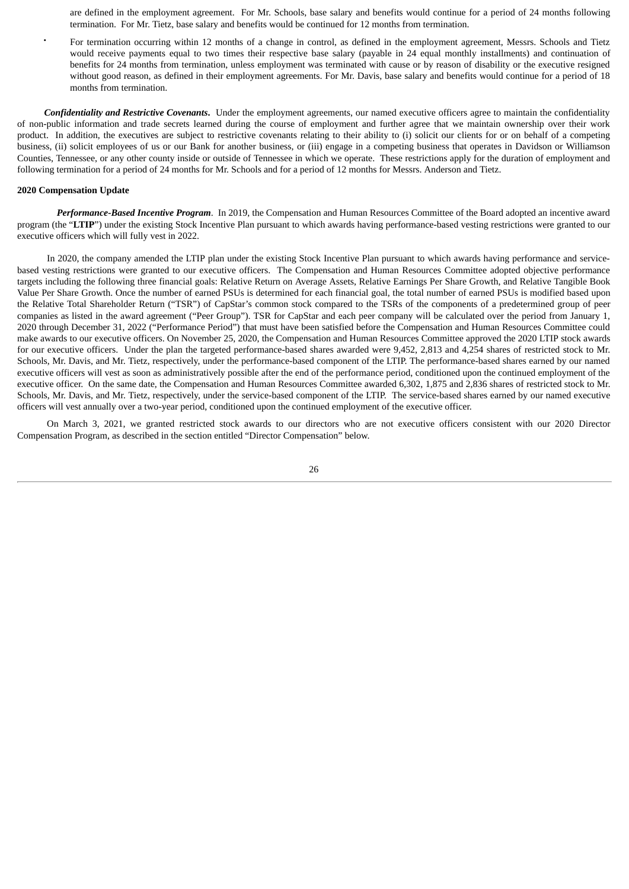are defined in the employment agreement. For Mr. Schools, base salary and benefits would continue for a period of 24 months following termination. For Mr. Tietz, base salary and benefits would be continued for 12 months from termination.

• For termination occurring within 12 months of a change in control, as defined in the employment agreement, Messrs. Schools and Tietz would receive payments equal to two times their respective base salary (payable in 24 equal monthly installments) and continuation of benefits for 24 months from termination, unless employment was terminated with cause or by reason of disability or the executive resigned without good reason, as defined in their employment agreements. For Mr. Davis, base salary and benefits would continue for a period of 18 months from termination.

*Confidentiality and Restrictive Covenants***.** Under the employment agreements, our named executive officers agree to maintain the confidentiality of non-public information and trade secrets learned during the course of employment and further agree that we maintain ownership over their work product. In addition, the executives are subject to restrictive covenants relating to their ability to (i) solicit our clients for or on behalf of a competing business, (ii) solicit employees of us or our Bank for another business, or (iii) engage in a competing business that operates in Davidson or Williamson Counties, Tennessee, or any other county inside or outside of Tennessee in which we operate. These restrictions apply for the duration of employment and following termination for a period of 24 months for Mr. Schools and for a period of 12 months for Messrs. Anderson and Tietz.

## <span id="page-30-0"></span>**2020 Compensation Update**

*Performance-Based Incentive Program*. In 2019, the Compensation and Human Resources Committee of the Board adopted an incentive award program (the "**LTIP**") under the existing Stock Incentive Plan pursuant to which awards having performance-based vesting restrictions were granted to our executive officers which will fully vest in 2022.

In 2020, the company amended the LTIP plan under the existing Stock Incentive Plan pursuant to which awards having performance and servicebased vesting restrictions were granted to our executive officers. The Compensation and Human Resources Committee adopted objective performance targets including the following three financial goals: Relative Return on Average Assets, Relative Earnings Per Share Growth, and Relative Tangible Book Value Per Share Growth. Once the number of earned PSUs is determined for each financial goal, the total number of earned PSUs is modified based upon the Relative Total Shareholder Return ("TSR") of CapStar's common stock compared to the TSRs of the components of a predetermined group of peer companies as listed in the award agreement ("Peer Group"). TSR for CapStar and each peer company will be calculated over the period from January 1, 2020 through December 31, 2022 ("Performance Period") that must have been satisfied before the Compensation and Human Resources Committee could make awards to our executive officers. On November 25, 2020, the Compensation and Human Resources Committee approved the 2020 LTIP stock awards for our executive officers. Under the plan the targeted performance-based shares awarded were 9,452, 2,813 and 4,254 shares of restricted stock to Mr. Schools, Mr. Davis, and Mr. Tietz, respectively, under the performance-based component of the LTIP. The performance-based shares earned by our named executive officers will vest as soon as administratively possible after the end of the performance period, conditioned upon the continued employment of the executive officer. On the same date, the Compensation and Human Resources Committee awarded 6,302, 1,875 and 2,836 shares of restricted stock to Mr. Schools, Mr. Davis, and Mr. Tietz, respectively, under the service-based component of the LTIP. The service-based shares earned by our named executive officers will vest annually over a two-year period, conditioned upon the continued employment of the executive officer.

On March 3, 2021, we granted restricted stock awards to our directors who are not executive officers consistent with our 2020 Director Compensation Program, as described in the section entitled "Director Compensation" below.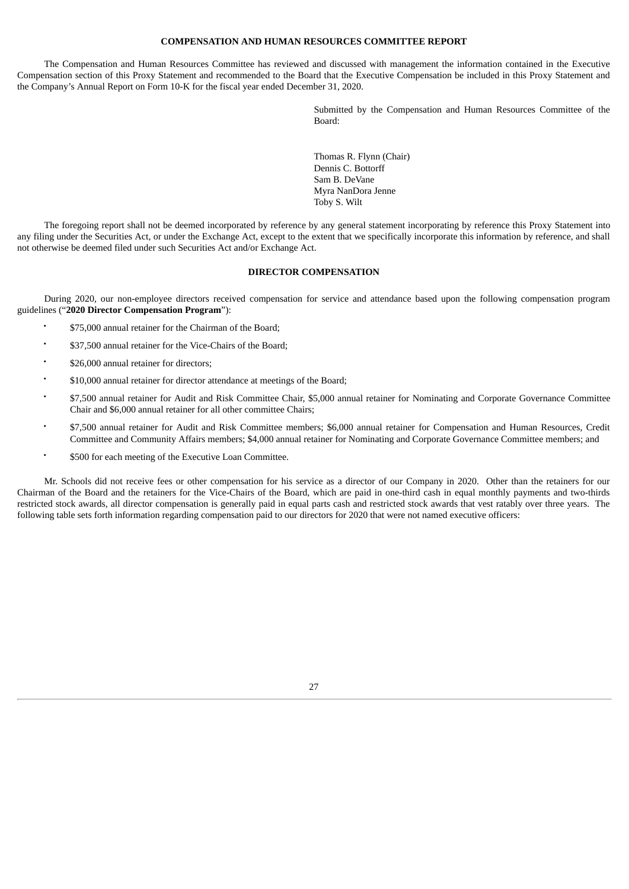#### **COMPENSATION AND HUMAN RESOURCES COMMITTEE REPORT**

<span id="page-31-0"></span>The Compensation and Human Resources Committee has reviewed and discussed with management the information contained in the Executive Compensation section of this Proxy Statement and recommended to the Board that the Executive Compensation be included in this Proxy Statement and the Company's Annual Report on Form 10-K for the fiscal year ended December 31, 2020.

> Submitted by the Compensation and Human Resources Committee of the Board:

Thomas R. Flynn (Chair) Dennis C. Bottorff Sam B. DeVane Myra NanDora Jenne Toby S. Wilt

The foregoing report shall not be deemed incorporated by reference by any general statement incorporating by reference this Proxy Statement into any filing under the Securities Act, or under the Exchange Act, except to the extent that we specifically incorporate this information by reference, and shall not otherwise be deemed filed under such Securities Act and/or Exchange Act.

## **DIRECTOR COMPENSATION**

<span id="page-31-1"></span>During 2020, our non-employee directors received compensation for service and attendance based upon the following compensation program guidelines ("**2020 Director Compensation Program**"):

- \$75,000 annual retainer for the Chairman of the Board;
- \$37,500 annual retainer for the Vice-Chairs of the Board;
- \$26,000 annual retainer for directors;
- \$10,000 annual retainer for director attendance at meetings of the Board;
- \$7,500 annual retainer for Audit and Risk Committee Chair, \$5,000 annual retainer for Nominating and Corporate Governance Committee Chair and \$6,000 annual retainer for all other committee Chairs;
- \$7,500 annual retainer for Audit and Risk Committee members; \$6,000 annual retainer for Compensation and Human Resources, Credit Committee and Community Affairs members; \$4,000 annual retainer for Nominating and Corporate Governance Committee members; and
- \$500 for each meeting of the Executive Loan Committee.

Mr. Schools did not receive fees or other compensation for his service as a director of our Company in 2020. Other than the retainers for our Chairman of the Board and the retainers for the Vice-Chairs of the Board, which are paid in one-third cash in equal monthly payments and two-thirds restricted stock awards, all director compensation is generally paid in equal parts cash and restricted stock awards that vest ratably over three years. The following table sets forth information regarding compensation paid to our directors for 2020 that were not named executive officers:

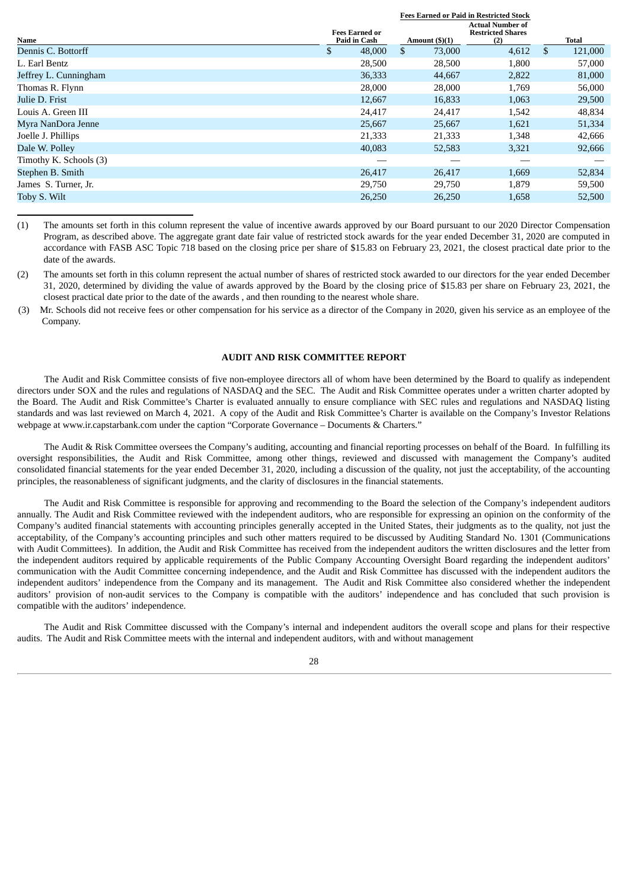|                        |                                       |                         | <b>Fees Earned or Paid in Restricted Stock</b>             |               |
|------------------------|---------------------------------------|-------------------------|------------------------------------------------------------|---------------|
| Name                   | <b>Fees Earned or</b><br>Paid in Cash | Amount $(\text{\$})(1)$ | <b>Actual Number of</b><br><b>Restricted Shares</b><br>(2) | Total         |
| Dennis C. Bottorff     | \$<br>48,000                          | \$<br>73,000            | 4,612                                                      | \$<br>121,000 |
| L. Earl Bentz          | 28,500                                | 28,500                  | 1,800                                                      | 57,000        |
| Jeffrey L. Cunningham  | 36,333                                | 44,667                  | 2,822                                                      | 81,000        |
| Thomas R. Flynn        | 28,000                                | 28,000                  | 1,769                                                      | 56,000        |
| Julie D. Frist         | 12,667                                | 16,833                  | 1,063                                                      | 29,500        |
| Louis A. Green III     | 24,417                                | 24,417                  | 1,542                                                      | 48,834        |
| Myra NanDora Jenne     | 25,667                                | 25,667                  | 1,621                                                      | 51,334        |
| Joelle J. Phillips     | 21,333                                | 21,333                  | 1,348                                                      | 42,666        |
| Dale W. Polley         | 40,083                                | 52,583                  | 3,321                                                      | 92,666        |
| Timothy K. Schools (3) |                                       |                         |                                                            |               |
| Stephen B. Smith       | 26,417                                | 26,417                  | 1,669                                                      | 52,834        |
| James S. Turner, Jr.   | 29,750                                | 29,750                  | 1,879                                                      | 59,500        |
| Toby S. Wilt           | 26,250                                | 26,250                  | 1,658                                                      | 52,500        |
|                        |                                       |                         |                                                            |               |

(1) The amounts set forth in this column represent the value of incentive awards approved by our Board pursuant to our 2020 Director Compensation Program, as described above. The aggregate grant date fair value of restricted stock awards for the year ended December 31, 2020 are computed in accordance with FASB ASC Topic 718 based on the closing price per share of \$15.83 on February 23, 2021, the closest practical date prior to the date of the awards.

(2) The amounts set forth in this column represent the actual number of shares of restricted stock awarded to our directors for the year ended December 31, 2020, determined by dividing the value of awards approved by the Board by the closing price of \$15.83 per share on February 23, 2021, the closest practical date prior to the date of the awards , and then rounding to the nearest whole share.

(3) Mr. Schools did not receive fees or other compensation for his service as a director of the Company in 2020, given his service as an employee of the Company.

#### **AUDIT AND RISK COMMITTEE REPORT**

<span id="page-32-0"></span>The Audit and Risk Committee consists of five non-employee directors all of whom have been determined by the Board to qualify as independent directors under SOX and the rules and regulations of NASDAQ and the SEC. The Audit and Risk Committee operates under a written charter adopted by the Board. The Audit and Risk Committee's Charter is evaluated annually to ensure compliance with SEC rules and regulations and NASDAQ listing standards and was last reviewed on March 4, 2021. A copy of the Audit and Risk Committee's Charter is available on the Company's Investor Relations webpage at www.ir.capstarbank.com under the caption "Corporate Governance – Documents & Charters."

The Audit & Risk Committee oversees the Company's auditing, accounting and financial reporting processes on behalf of the Board. In fulfilling its oversight responsibilities, the Audit and Risk Committee, among other things, reviewed and discussed with management the Company's audited consolidated financial statements for the year ended December 31, 2020, including a discussion of the quality, not just the acceptability, of the accounting principles, the reasonableness of significant judgments, and the clarity of disclosures in the financial statements.

The Audit and Risk Committee is responsible for approving and recommending to the Board the selection of the Company's independent auditors annually. The Audit and Risk Committee reviewed with the independent auditors, who are responsible for expressing an opinion on the conformity of the Company's audited financial statements with accounting principles generally accepted in the United States, their judgments as to the quality, not just the acceptability, of the Company's accounting principles and such other matters required to be discussed by Auditing Standard No. 1301 (Communications with Audit Committees). In addition, the Audit and Risk Committee has received from the independent auditors the written disclosures and the letter from the independent auditors required by applicable requirements of the Public Company Accounting Oversight Board regarding the independent auditors' communication with the Audit Committee concerning independence, and the Audit and Risk Committee has discussed with the independent auditors the independent auditors' independence from the Company and its management. The Audit and Risk Committee also considered whether the independent auditors' provision of non-audit services to the Company is compatible with the auditors' independence and has concluded that such provision is compatible with the auditors' independence.

The Audit and Risk Committee discussed with the Company's internal and independent auditors the overall scope and plans for their respective audits. The Audit and Risk Committee meets with the internal and independent auditors, with and without management

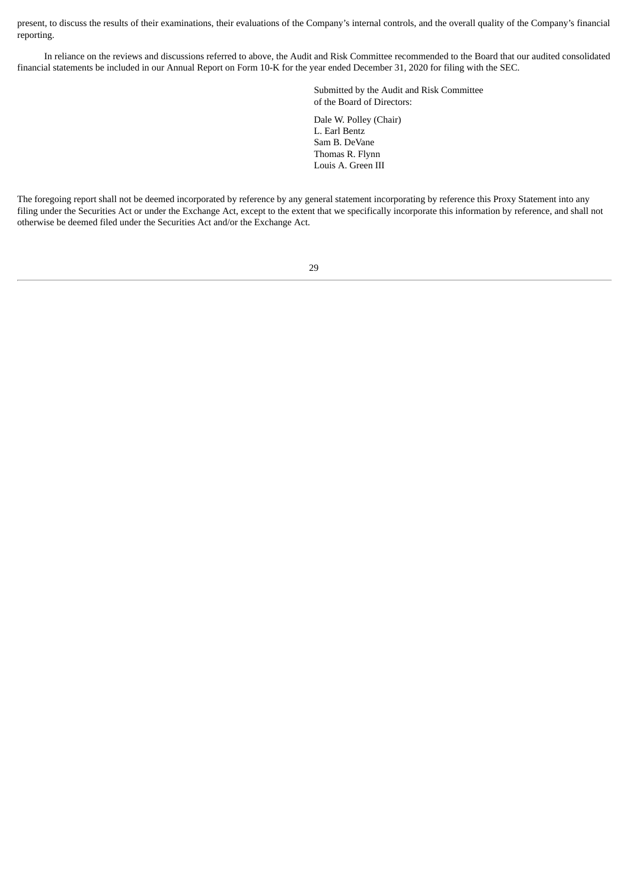present, to discuss the results of their examinations, their evaluations of the Company's internal controls, and the overall quality of the Company's financial reporting.

In reliance on the reviews and discussions referred to above, the Audit and Risk Committee recommended to the Board that our audited consolidated financial statements be included in our Annual Report on Form 10-K for the year ended December 31, 2020 for filing with the SEC.

> Submitted by the Audit and Risk Committee of the Board of Directors:

Dale W. Polley (Chair) L. Earl Bentz Sam B. DeVane Thomas R. Flynn Louis A. Green III

The foregoing report shall not be deemed incorporated by reference by any general statement incorporating by reference this Proxy Statement into any filing under the Securities Act or under the Exchange Act, except to the extent that we specifically incorporate this information by reference, and shall not otherwise be deemed filed under the Securities Act and/or the Exchange Act.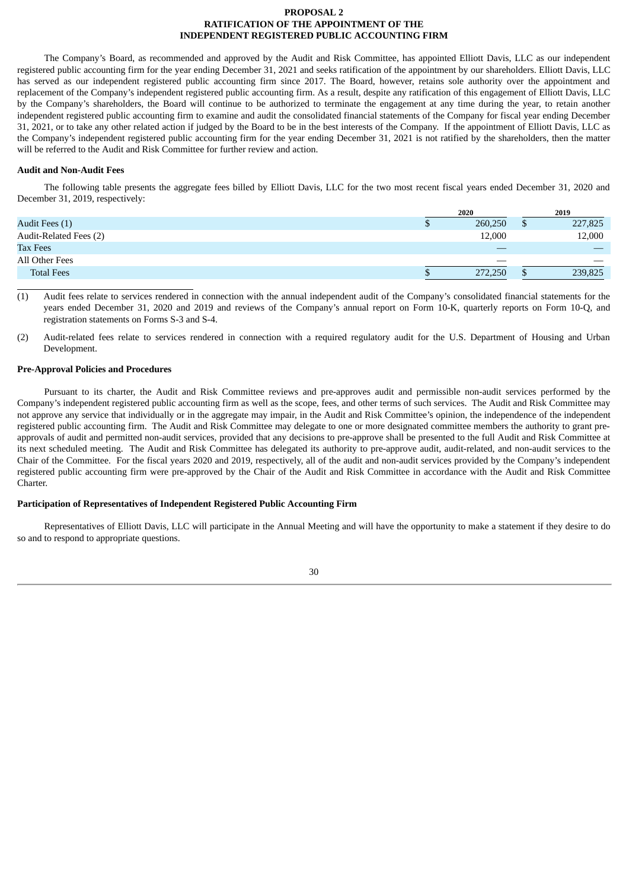## **PROPOSAL 2 RATIFICATION OF THE APPOINTMENT OF THE INDEPENDENT REGISTERED PUBLIC ACCOUNTING FIRM**

<span id="page-34-0"></span>The Company's Board, as recommended and approved by the Audit and Risk Committee, has appointed Elliott Davis, LLC as our independent registered public accounting firm for the year ending December 31, 2021 and seeks ratification of the appointment by our shareholders. Elliott Davis, LLC has served as our independent registered public accounting firm since 2017. The Board, however, retains sole authority over the appointment and replacement of the Company's independent registered public accounting firm. As a result, despite any ratification of this engagement of Elliott Davis, LLC by the Company's shareholders, the Board will continue to be authorized to terminate the engagement at any time during the year, to retain another independent registered public accounting firm to examine and audit the consolidated financial statements of the Company for fiscal year ending December 31, 2021, or to take any other related action if judged by the Board to be in the best interests of the Company. If the appointment of Elliott Davis, LLC as the Company's independent registered public accounting firm for the year ending December 31, 2021 is not ratified by the shareholders, then the matter will be referred to the Audit and Risk Committee for further review and action.

#### <span id="page-34-1"></span>**Audit and Non-Audit Fees**

The following table presents the aggregate fees billed by Elliott Davis, LLC for the two most recent fiscal years ended December 31, 2020 and December 31, 2019, respectively:

|                        | 2020    |  | 2019                     |
|------------------------|---------|--|--------------------------|
| Audit Fees (1)         | 260,250 |  | 227,825                  |
| Audit-Related Fees (2) | 12,000  |  | 12,000                   |
| <b>Tax Fees</b>        |         |  | $\overline{\phantom{a}}$ |
| All Other Fees         | __      |  |                          |
| <b>Total Fees</b>      | 272,250 |  | 239,825                  |

(1) Audit fees relate to services rendered in connection with the annual independent audit of the Company's consolidated financial statements for the years ended December 31, 2020 and 2019 and reviews of the Company's annual report on Form 10-K, quarterly reports on Form 10-Q, and registration statements on Forms S-3 and S-4.

(2) Audit-related fees relate to services rendered in connection with a required regulatory audit for the U.S. Department of Housing and Urban Development.

#### <span id="page-34-2"></span>**Pre-Approval Policies and Procedures**

Pursuant to its charter, the Audit and Risk Committee reviews and pre-approves audit and permissible non-audit services performed by the Company's independent registered public accounting firm as well as the scope, fees, and other terms of such services. The Audit and Risk Committee may not approve any service that individually or in the aggregate may impair, in the Audit and Risk Committee's opinion, the independence of the independent registered public accounting firm. The Audit and Risk Committee may delegate to one or more designated committee members the authority to grant preapprovals of audit and permitted non-audit services, provided that any decisions to pre-approve shall be presented to the full Audit and Risk Committee at its next scheduled meeting. The Audit and Risk Committee has delegated its authority to pre-approve audit, audit-related, and non-audit services to the Chair of the Committee. For the fiscal years 2020 and 2019, respectively, all of the audit and non-audit services provided by the Company's independent registered public accounting firm were pre-approved by the Chair of the Audit and Risk Committee in accordance with the Audit and Risk Committee Charter.

## <span id="page-34-3"></span>**Participation of Representatives of Independent Registered Public Accounting Firm**

Representatives of Elliott Davis, LLC will participate in the Annual Meeting and will have the opportunity to make a statement if they desire to do so and to respond to appropriate questions.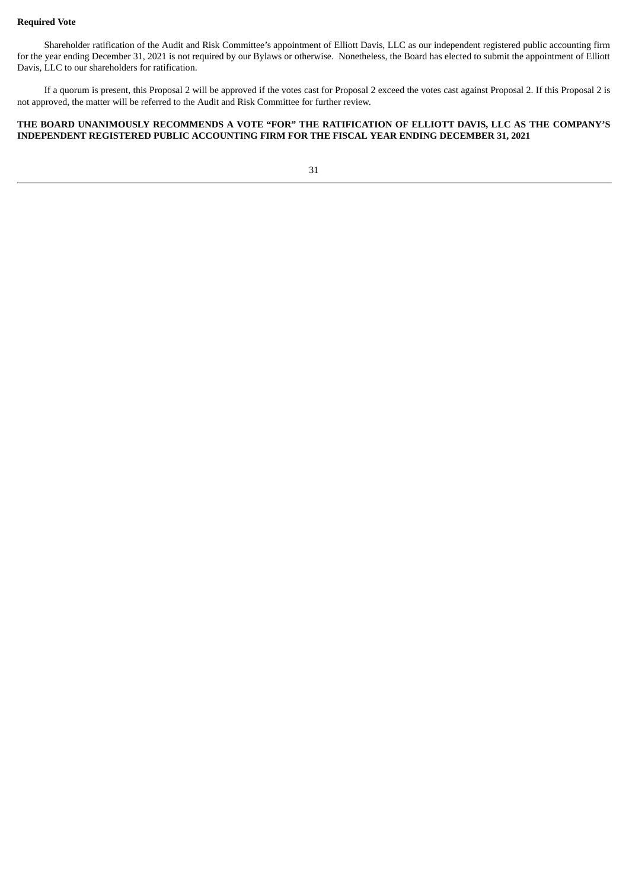## <span id="page-35-0"></span>**Required Vote**

Shareholder ratification of the Audit and Risk Committee's appointment of Elliott Davis, LLC as our independent registered public accounting firm for the year ending December 31, 2021 is not required by our Bylaws or otherwise. Nonetheless, the Board has elected to submit the appointment of Elliott Davis, LLC to our shareholders for ratification.

If a quorum is present, this Proposal 2 will be approved if the votes cast for Proposal 2 exceed the votes cast against Proposal 2. If this Proposal 2 is not approved, the matter will be referred to the Audit and Risk Committee for further review.

## **THE BOARD UNANIMOUSLY RECOMMENDS A VOTE "FOR" THE RATIFICATION OF ELLIOTT DAVIS, LLC AS THE COMPANY'S INDEPENDENT REGISTERED PUBLIC ACCOUNTING FIRM FOR THE FISCAL YEAR ENDING DECEMBER 31, 2021**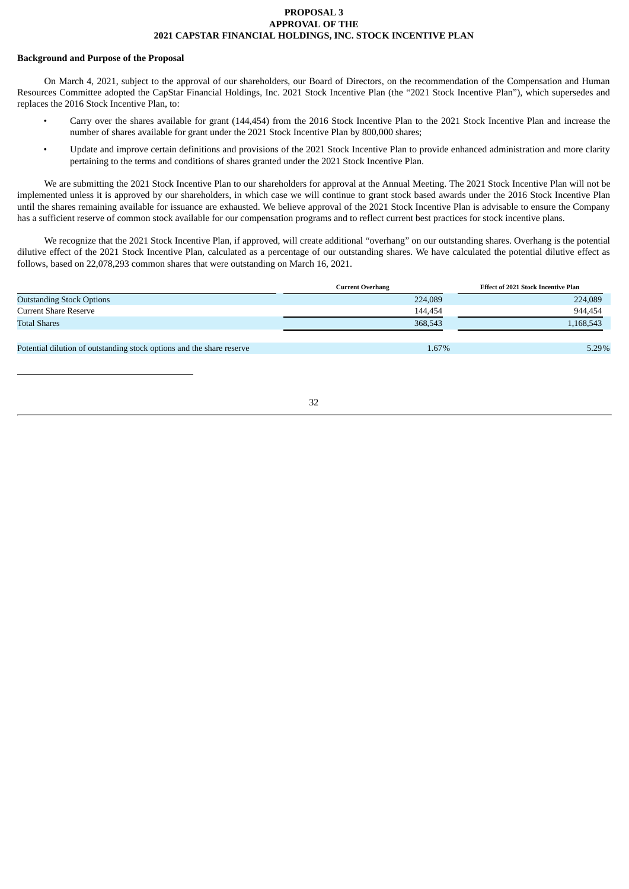## **PROPOSAL 3 APPROVAL OF THE 2021 CAPSTAR FINANCIAL HOLDINGS, INC. STOCK INCENTIVE PLAN**

#### <span id="page-36-0"></span>**Background and Purpose of the Proposal**

On March 4, 2021, subject to the approval of our shareholders, our Board of Directors, on the recommendation of the Compensation and Human Resources Committee adopted the CapStar Financial Holdings, Inc. 2021 Stock Incentive Plan (the "2021 Stock Incentive Plan"), which supersedes and replaces the 2016 Stock Incentive Plan, to:

- Carry over the shares available for grant (144,454) from the 2016 Stock Incentive Plan to the 2021 Stock Incentive Plan and increase the number of shares available for grant under the 2021 Stock Incentive Plan by 800,000 shares;
- Update and improve certain definitions and provisions of the 2021 Stock Incentive Plan to provide enhanced administration and more clarity pertaining to the terms and conditions of shares granted under the 2021 Stock Incentive Plan.

We are submitting the 2021 Stock Incentive Plan to our shareholders for approval at the Annual Meeting. The 2021 Stock Incentive Plan will not be implemented unless it is approved by our shareholders, in which case we will continue to grant stock based awards under the 2016 Stock Incentive Plan until the shares remaining available for issuance are exhausted. We believe approval of the 2021 Stock Incentive Plan is advisable to ensure the Company has a sufficient reserve of common stock available for our compensation programs and to reflect current best practices for stock incentive plans.

We recognize that the 2021 Stock Incentive Plan, if approved, will create additional "overhang" on our outstanding shares. Overhang is the potential dilutive effect of the 2021 Stock Incentive Plan, calculated as a percentage of our outstanding shares. We have calculated the potential dilutive effect as follows, based on 22,078,293 common shares that were outstanding on March 16, 2021.

|                                                                       | Current Overhang | Effect of 2021 Stock Incentive Plan |
|-----------------------------------------------------------------------|------------------|-------------------------------------|
| <b>Outstanding Stock Options</b>                                      | 224,089          | 224,089                             |
| Current Share Reserve                                                 | 144,454          | 944,454                             |
| Total Shares                                                          | 368,543          | 1,168,543                           |
|                                                                       |                  |                                     |
| Potential dilution of outstanding stock options and the share reserve | 1.67%            | 5.29%                               |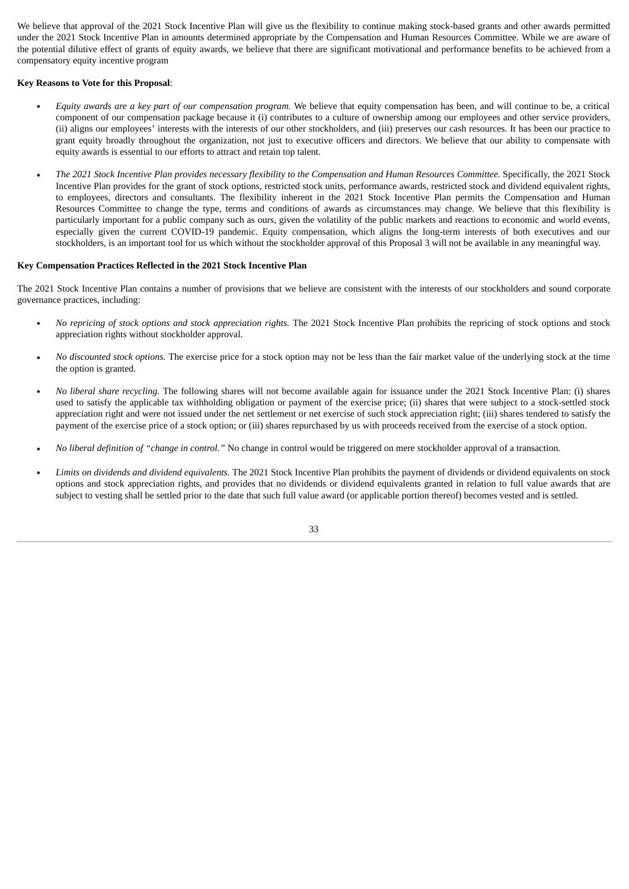We believe that approval of the 2021 Stock Incentive Plan will give us the flexibility to continue making stock-based grants and other awards permitted under the 2021 Stock Incentive Plan in amounts determined appropriate by the Compensation and Human Resources Committee. While we are aware of the potential dilutive effect of grants of equity awards, we believe that there are significant motivational and performance benefits to be achieved from a compensatory equity incentive program

## **Key Reasons to Vote for this Proposal**:

- *Equity awards are a key part of our compensation program.* We believe that equity compensation has been, and will continue to be, a critical component of our compensation package because it (i) contributes to a culture of ownership among our employees and other service providers, (ii) aligns our employees' interests with the interests of our other stockholders, and (iii) preserves our cash resources. It has been our practice to grant equity broadly throughout the organization, not just to executive officers and directors. We believe that our ability to compensate with equity awards is essential to our efforts to attract and retain top talent.
- The 2021 Stock Incentive Plan provides necessary flexibility to the Compensation and Human Resources Committee. Specifically, the 2021 Stock Incentive Plan provides for the grant of stock options, restricted stock units, performance awards, restricted stock and dividend equivalent rights, to employees, directors and consultants. The flexibility inherent in the 2021 Stock Incentive Plan permits the Compensation and Human Resources Committee to change the type, terms and conditions of awards as circumstances may change. We believe that this flexibility is particularly important for a public company such as ours, given the volatility of the public markets and reactions to economic and world events, especially given the current COVID-19 pandemic. Equity compensation, which aligns the long-term interests of both executives and our stockholders, is an important tool for us which without the stockholder approval of this Proposal 3 will not be available in any meaningful way.

#### **Key Compensation Practices Reflected in the 2021 Stock Incentive Plan**

The 2021 Stock Incentive Plan contains a number of provisions that we believe are consistent with the interests of our stockholders and sound corporate governance practices, including:

- *No repricing of stock options and stock appreciation rights.* The 2021 Stock Incentive Plan prohibits the repricing of stock options and stock appreciation rights without stockholder approval.
- *No discounted stock options.* The exercise price for a stock option may not be less than the fair market value of the underlying stock at the time the option is granted.
- *No liberal share recycling*. The following shares will not become available again for issuance under the 2021 Stock Incentive Plan: (i) shares used to satisfy the applicable tax withholding obligation or payment of the exercise price; (ii) shares that were subject to a stock-settled stock appreciation right and were not issued under the net settlement or net exercise of such stock appreciation right; (iii) shares tendered to satisfy the payment of the exercise price of a stock option; or (iii) shares repurchased by us with proceeds received from the exercise of a stock option.
- *No liberal definition of "change in control."* No change in control would be triggered on mere stockholder approval of a transaction.
- *Limits on dividends and dividend equivalents.* The 2021 Stock Incentive Plan prohibits the payment of dividends or dividend equivalents on stock options and stock appreciation rights, and provides that no dividends or dividend equivalents granted in relation to full value awards that are subject to vesting shall be settled prior to the date that such full value award (or applicable portion thereof) becomes vested and is settled.

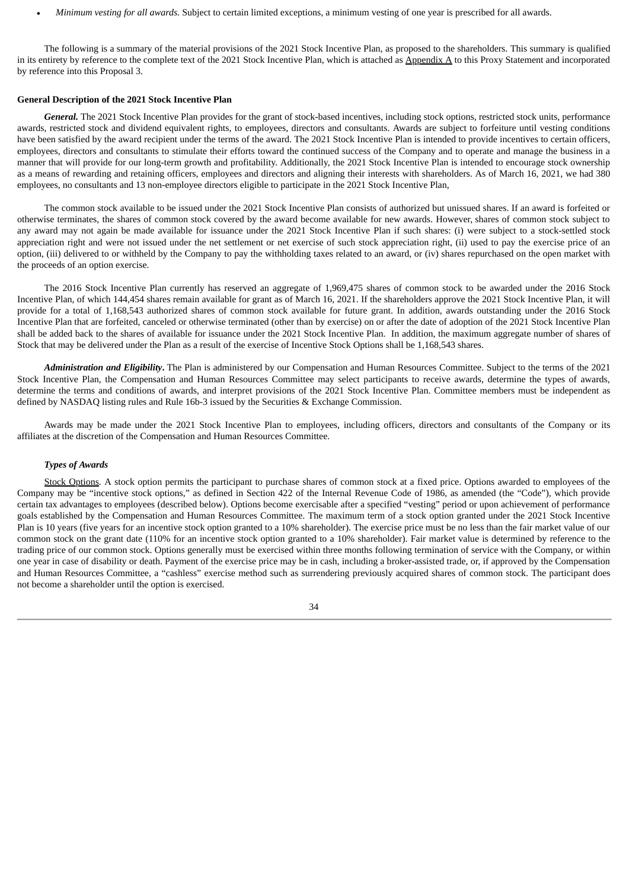• *Minimum vesting for all awards.* Subject to certain limited exceptions, a minimum vesting of one year is prescribed for all awards.

The following is a summary of the material provisions of the 2021 Stock Incentive Plan, as proposed to the shareholders. This summary is qualified in its entirety by reference to the complete text of the 2021 Stock Incentive Plan, which is attached as Appendix A to this Proxy Statement and incorporated by reference into this Proposal 3.

#### **General Description of the 2021 Stock Incentive Plan**

*General.* The 2021 Stock Incentive Plan provides for the grant of stock-based incentives, including stock options, restricted stock units, performance awards, restricted stock and dividend equivalent rights, to employees, directors and consultants. Awards are subject to forfeiture until vesting conditions have been satisfied by the award recipient under the terms of the award. The 2021 Stock Incentive Plan is intended to provide incentives to certain officers, employees, directors and consultants to stimulate their efforts toward the continued success of the Company and to operate and manage the business in a manner that will provide for our long-term growth and profitability. Additionally, the 2021 Stock Incentive Plan is intended to encourage stock ownership as a means of rewarding and retaining officers, employees and directors and aligning their interests with shareholders. As of March 16, 2021, we had 380 employees, no consultants and 13 non-employee directors eligible to participate in the 2021 Stock Incentive Plan,

The common stock available to be issued under the 2021 Stock Incentive Plan consists of authorized but unissued shares. If an award is forfeited or otherwise terminates, the shares of common stock covered by the award become available for new awards. However, shares of common stock subject to any award may not again be made available for issuance under the 2021 Stock Incentive Plan if such shares: (i) were subject to a stock-settled stock appreciation right and were not issued under the net settlement or net exercise of such stock appreciation right, (ii) used to pay the exercise price of an option, (iii) delivered to or withheld by the Company to pay the withholding taxes related to an award, or (iv) shares repurchased on the open market with the proceeds of an option exercise.

The 2016 Stock Incentive Plan currently has reserved an aggregate of 1,969,475 shares of common stock to be awarded under the 2016 Stock Incentive Plan, of which 144,454 shares remain available for grant as of March 16, 2021. If the shareholders approve the 2021 Stock Incentive Plan, it will provide for a total of 1,168,543 authorized shares of common stock available for future grant. In addition, awards outstanding under the 2016 Stock Incentive Plan that are forfeited, canceled or otherwise terminated (other than by exercise) on or after the date of adoption of the 2021 Stock Incentive Plan shall be added back to the shares of available for issuance under the 2021 Stock Incentive Plan. In addition, the maximum aggregate number of shares of Stock that may be delivered under the Plan as a result of the exercise of Incentive Stock Options shall be 1,168,543 shares.

*Administration and Eligibility***.** The Plan is administered by our Compensation and Human Resources Committee. Subject to the terms of the 2021 Stock Incentive Plan, the Compensation and Human Resources Committee may select participants to receive awards, determine the types of awards, determine the terms and conditions of awards, and interpret provisions of the 2021 Stock Incentive Plan. Committee members must be independent as defined by NASDAQ listing rules and Rule 16b-3 issued by the Securities & Exchange Commission.

Awards may be made under the 2021 Stock Incentive Plan to employees, including officers, directors and consultants of the Company or its affiliates at the discretion of the Compensation and Human Resources Committee.

#### *Types of Awards*

Stock Options*.* A stock option permits the participant to purchase shares of common stock at a fixed price. Options awarded to employees of the Company may be "incentive stock options," as defined in Section 422 of the Internal Revenue Code of 1986, as amended (the "Code"), which provide certain tax advantages to employees (described below). Options become exercisable after a specified "vesting" period or upon achievement of performance goals established by the Compensation and Human Resources Committee. The maximum term of a stock option granted under the 2021 Stock Incentive Plan is 10 years (five years for an incentive stock option granted to a 10% shareholder). The exercise price must be no less than the fair market value of our common stock on the grant date (110% for an incentive stock option granted to a 10% shareholder). Fair market value is determined by reference to the trading price of our common stock. Options generally must be exercised within three months following termination of service with the Company, or within one year in case of disability or death. Payment of the exercise price may be in cash, including a broker-assisted trade, or, if approved by the Compensation and Human Resources Committee, a "cashless" exercise method such as surrendering previously acquired shares of common stock. The participant does not become a shareholder until the option is exercised.

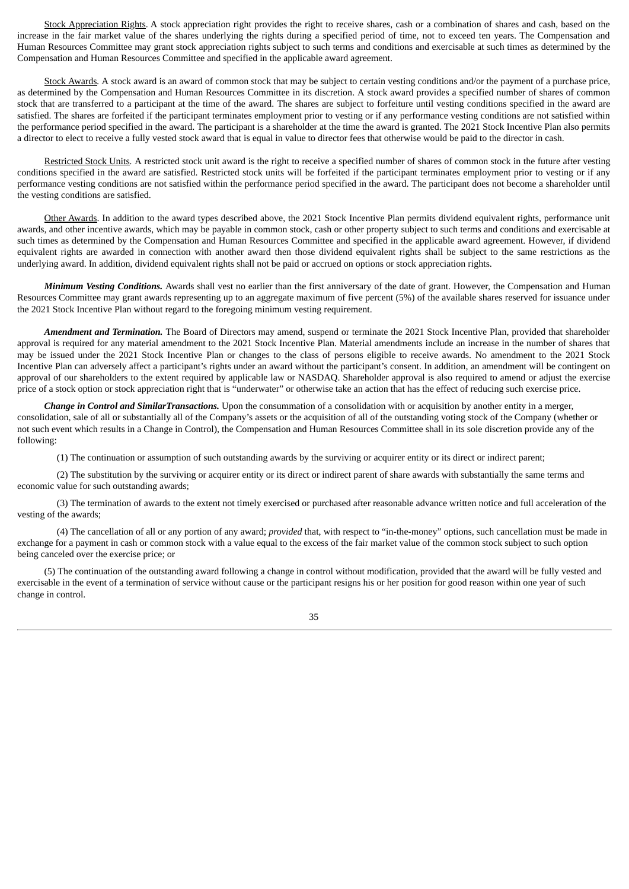Stock Appreciation Rights. A stock appreciation right provides the right to receive shares, cash or a combination of shares and cash, based on the increase in the fair market value of the shares underlying the rights during a specified period of time, not to exceed ten years. The Compensation and Human Resources Committee may grant stock appreciation rights subject to such terms and conditions and exercisable at such times as determined by the Compensation and Human Resources Committee and specified in the applicable award agreement.

Stock Awards*.* A stock award is an award of common stock that may be subject to certain vesting conditions and/or the payment of a purchase price, as determined by the Compensation and Human Resources Committee in its discretion. A stock award provides a specified number of shares of common stock that are transferred to a participant at the time of the award. The shares are subject to forfeiture until vesting conditions specified in the award are satisfied. The shares are forfeited if the participant terminates employment prior to vesting or if any performance vesting conditions are not satisfied within the performance period specified in the award. The participant is a shareholder at the time the award is granted. The 2021 Stock Incentive Plan also permits a director to elect to receive a fully vested stock award that is equal in value to director fees that otherwise would be paid to the director in cash.

Restricted Stock Units*.* A restricted stock unit award is the right to receive a specified number of shares of common stock in the future after vesting conditions specified in the award are satisfied. Restricted stock units will be forfeited if the participant terminates employment prior to vesting or if any performance vesting conditions are not satisfied within the performance period specified in the award. The participant does not become a shareholder until the vesting conditions are satisfied.

Other Awards. In addition to the award types described above, the 2021 Stock Incentive Plan permits dividend equivalent rights, performance unit awards, and other incentive awards, which may be payable in common stock, cash or other property subject to such terms and conditions and exercisable at such times as determined by the Compensation and Human Resources Committee and specified in the applicable award agreement. However, if dividend equivalent rights are awarded in connection with another award then those dividend equivalent rights shall be subject to the same restrictions as the underlying award. In addition, dividend equivalent rights shall not be paid or accrued on options or stock appreciation rights.

*Minimum Vesting Conditions.* Awards shall vest no earlier than the first anniversary of the date of grant. However, the Compensation and Human Resources Committee may grant awards representing up to an aggregate maximum of five percent (5%) of the available shares reserved for issuance under the 2021 Stock Incentive Plan without regard to the foregoing minimum vesting requirement.

*Amendment and Termination.* The Board of Directors may amend, suspend or terminate the 2021 Stock Incentive Plan, provided that shareholder approval is required for any material amendment to the 2021 Stock Incentive Plan. Material amendments include an increase in the number of shares that may be issued under the 2021 Stock Incentive Plan or changes to the class of persons eligible to receive awards. No amendment to the 2021 Stock Incentive Plan can adversely affect a participant's rights under an award without the participant's consent. In addition, an amendment will be contingent on approval of our shareholders to the extent required by applicable law or NASDAQ. Shareholder approval is also required to amend or adjust the exercise price of a stock option or stock appreciation right that is "underwater" or otherwise take an action that has the effect of reducing such exercise price.

*Change in Control and SimilarTransactions.* Upon the consummation of a consolidation with or acquisition by another entity in a merger, consolidation, sale of all or substantially all of the Company's assets or the acquisition of all of the outstanding voting stock of the Company (whether or not such event which results in a Change in Control), the Compensation and Human Resources Committee shall in its sole discretion provide any of the following:

(1) The continuation or assumption of such outstanding awards by the surviving or acquirer entity or its direct or indirect parent;

(2) The substitution by the surviving or acquirer entity or its direct or indirect parent of share awards with substantially the same terms and economic value for such outstanding awards;

(3) The termination of awards to the extent not timely exercised or purchased after reasonable advance written notice and full acceleration of the vesting of the awards;

(4) The cancellation of all or any portion of any award; *provided* that, with respect to "in-the-money" options, such cancellation must be made in exchange for a payment in cash or common stock with a value equal to the excess of the fair market value of the common stock subject to such option being canceled over the exercise price; or

(5) The continuation of the outstanding award following a change in control without modification, provided that the award will be fully vested and exercisable in the event of a termination of service without cause or the participant resigns his or her position for good reason within one year of such change in control.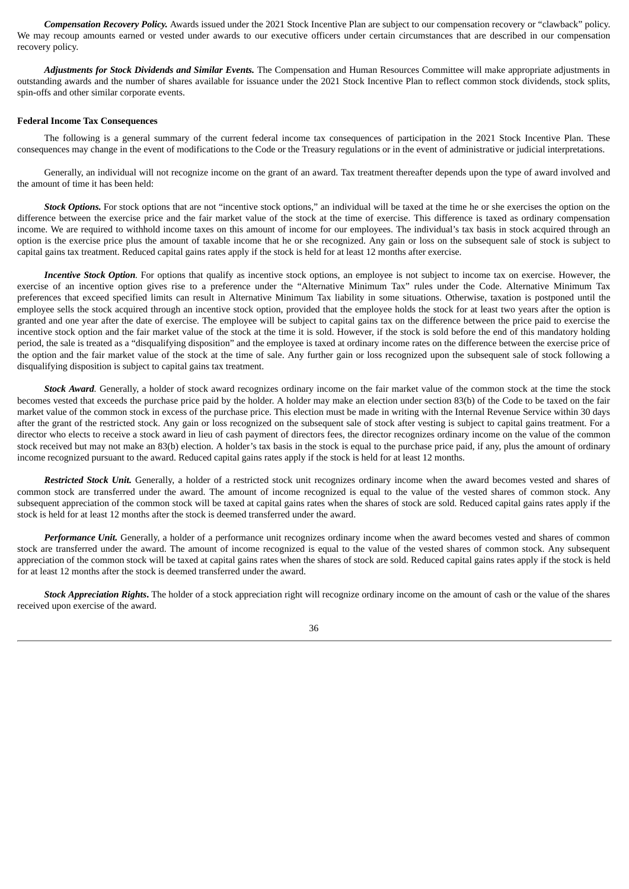*Compensation Recovery Policy.* Awards issued under the 2021 Stock Incentive Plan are subject to our compensation recovery or "clawback" policy. We may recoup amounts earned or vested under awards to our executive officers under certain circumstances that are described in our compensation recovery policy.

*Adjustments for Stock Dividends and Similar Events.* The Compensation and Human Resources Committee will make appropriate adjustments in outstanding awards and the number of shares available for issuance under the 2021 Stock Incentive Plan to reflect common stock dividends, stock splits, spin-offs and other similar corporate events.

#### **Federal Income Tax Consequences**

The following is a general summary of the current federal income tax consequences of participation in the 2021 Stock Incentive Plan. These consequences may change in the event of modifications to the Code or the Treasury regulations or in the event of administrative or judicial interpretations.

Generally, an individual will not recognize income on the grant of an award. Tax treatment thereafter depends upon the type of award involved and the amount of time it has been held:

*Stock Options.* For stock options that are not "incentive stock options," an individual will be taxed at the time he or she exercises the option on the difference between the exercise price and the fair market value of the stock at the time of exercise. This difference is taxed as ordinary compensation income. We are required to withhold income taxes on this amount of income for our employees. The individual's tax basis in stock acquired through an option is the exercise price plus the amount of taxable income that he or she recognized. Any gain or loss on the subsequent sale of stock is subject to capital gains tax treatment. Reduced capital gains rates apply if the stock is held for at least 12 months after exercise.

*Incentive Stock Option.* For options that qualify as incentive stock options, an employee is not subject to income tax on exercise. However, the exercise of an incentive option gives rise to a preference under the "Alternative Minimum Tax" rules under the Code. Alternative Minimum Tax preferences that exceed specified limits can result in Alternative Minimum Tax liability in some situations. Otherwise, taxation is postponed until the employee sells the stock acquired through an incentive stock option, provided that the employee holds the stock for at least two years after the option is granted and one year after the date of exercise. The employee will be subject to capital gains tax on the difference between the price paid to exercise the incentive stock option and the fair market value of the stock at the time it is sold. However, if the stock is sold before the end of this mandatory holding period, the sale is treated as a "disqualifying disposition" and the employee is taxed at ordinary income rates on the difference between the exercise price of the option and the fair market value of the stock at the time of sale. Any further gain or loss recognized upon the subsequent sale of stock following a disqualifying disposition is subject to capital gains tax treatment.

*Stock Award.* Generally, a holder of stock award recognizes ordinary income on the fair market value of the common stock at the time the stock becomes vested that exceeds the purchase price paid by the holder. A holder may make an election under section 83(b) of the Code to be taxed on the fair market value of the common stock in excess of the purchase price. This election must be made in writing with the Internal Revenue Service within 30 days after the grant of the restricted stock. Any gain or loss recognized on the subsequent sale of stock after vesting is subject to capital gains treatment. For a director who elects to receive a stock award in lieu of cash payment of directors fees, the director recognizes ordinary income on the value of the common stock received but may not make an 83(b) election. A holder's tax basis in the stock is equal to the purchase price paid, if any, plus the amount of ordinary income recognized pursuant to the award. Reduced capital gains rates apply if the stock is held for at least 12 months.

*Restricted Stock Unit.* Generally, a holder of a restricted stock unit recognizes ordinary income when the award becomes vested and shares of common stock are transferred under the award. The amount of income recognized is equal to the value of the vested shares of common stock. Any subsequent appreciation of the common stock will be taxed at capital gains rates when the shares of stock are sold. Reduced capital gains rates apply if the stock is held for at least 12 months after the stock is deemed transferred under the award.

*Performance Unit.* Generally, a holder of a performance unit recognizes ordinary income when the award becomes vested and shares of common stock are transferred under the award. The amount of income recognized is equal to the value of the vested shares of common stock. Any subsequent appreciation of the common stock will be taxed at capital gains rates when the shares of stock are sold. Reduced capital gains rates apply if the stock is held for at least 12 months after the stock is deemed transferred under the award.

*Stock Appreciation Rights***.** The holder of a stock appreciation right will recognize ordinary income on the amount of cash or the value of the shares received upon exercise of the award.

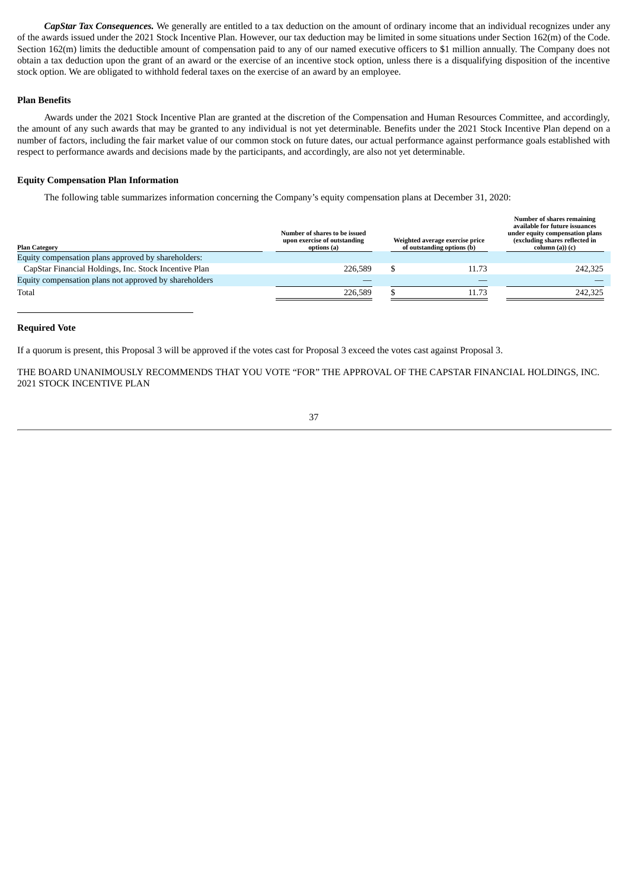*CapStar Tax Consequences.* We generally are entitled to a tax deduction on the amount of ordinary income that an individual recognizes under any of the awards issued under the 2021 Stock Incentive Plan. However, our tax deduction may be limited in some situations under Section 162(m) of the Code. Section 162(m) limits the deductible amount of compensation paid to any of our named executive officers to \$1 million annually. The Company does not obtain a tax deduction upon the grant of an award or the exercise of an incentive stock option, unless there is a disqualifying disposition of the incentive stock option. We are obligated to withhold federal taxes on the exercise of an award by an employee.

## **Plan Benefits**

Awards under the 2021 Stock Incentive Plan are granted at the discretion of the Compensation and Human Resources Committee, and accordingly, the amount of any such awards that may be granted to any individual is not yet determinable. Benefits under the 2021 Stock Incentive Plan depend on a number of factors, including the fair market value of our common stock on future dates, our actual performance against performance goals established with respect to performance awards and decisions made by the participants, and accordingly, are also not yet determinable.

#### **Equity Compensation Plan Information**

The following table summarizes information concerning the Company's equity compensation plans at December 31, 2020:

| <b>Plan Category</b>                                   | Number of shares to be issued<br>upon exercise of outstanding<br>options (a) | Weighted average exercise price<br>of outstanding options (b) | <b>Number of shares remaining</b><br>available for future issuances<br>under equity compensation plans<br>(excluding shares reflected in<br>column (a)) (c) |
|--------------------------------------------------------|------------------------------------------------------------------------------|---------------------------------------------------------------|-------------------------------------------------------------------------------------------------------------------------------------------------------------|
| Equity compensation plans approved by shareholders:    |                                                                              |                                                               |                                                                                                                                                             |
| CapStar Financial Holdings, Inc. Stock Incentive Plan  | 226,589                                                                      | 11.73                                                         | 242,325                                                                                                                                                     |
| Equity compensation plans not approved by shareholders |                                                                              |                                                               |                                                                                                                                                             |
| Total                                                  | 226,589                                                                      | 11.73                                                         | 242,325                                                                                                                                                     |

#### <span id="page-41-0"></span>**Required Vote**

If a quorum is present, this Proposal 3 will be approved if the votes cast for Proposal 3 exceed the votes cast against Proposal 3.

THE BOARD UNANIMOUSLY RECOMMENDS THAT YOU VOTE "FOR" THE APPROVAL OF THE CAPSTAR FINANCIAL HOLDINGS, INC. 2021 STOCK INCENTIVE PLAN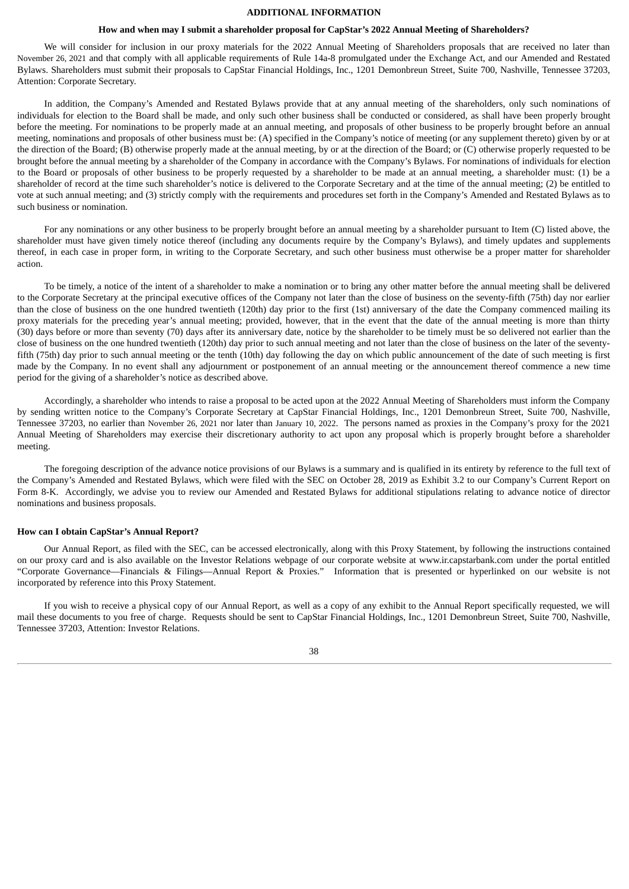#### **ADDITIONAL INFORMATION**

#### **How and when may I submit a shareholder proposal for CapStar's 2022 Annual Meeting of Shareholders?**

<span id="page-42-0"></span>We will consider for inclusion in our proxy materials for the 2022 Annual Meeting of Shareholders proposals that are received no later than November 26, 2021 and that comply with all applicable requirements of Rule 14a-8 promulgated under the Exchange Act, and our Amended and Restated Bylaws. Shareholders must submit their proposals to CapStar Financial Holdings, Inc., 1201 Demonbreun Street, Suite 700, Nashville, Tennessee 37203, Attention: Corporate Secretary.

In addition, the Company's Amended and Restated Bylaws provide that at any annual meeting of the shareholders, only such nominations of individuals for election to the Board shall be made, and only such other business shall be conducted or considered, as shall have been properly brought before the meeting. For nominations to be properly made at an annual meeting, and proposals of other business to be properly brought before an annual meeting, nominations and proposals of other business must be: (A) specified in the Company's notice of meeting (or any supplement thereto) given by or at the direction of the Board; (B) otherwise properly made at the annual meeting, by or at the direction of the Board; or (C) otherwise properly requested to be brought before the annual meeting by a shareholder of the Company in accordance with the Company's Bylaws. For nominations of individuals for election to the Board or proposals of other business to be properly requested by a shareholder to be made at an annual meeting, a shareholder must: (1) be a shareholder of record at the time such shareholder's notice is delivered to the Corporate Secretary and at the time of the annual meeting; (2) be entitled to vote at such annual meeting; and (3) strictly comply with the requirements and procedures set forth in the Company's Amended and Restated Bylaws as to such business or nomination.

For any nominations or any other business to be properly brought before an annual meeting by a shareholder pursuant to Item (C) listed above, the shareholder must have given timely notice thereof (including any documents require by the Company's Bylaws), and timely updates and supplements thereof, in each case in proper form, in writing to the Corporate Secretary, and such other business must otherwise be a proper matter for shareholder action.

To be timely, a notice of the intent of a shareholder to make a nomination or to bring any other matter before the annual meeting shall be delivered to the Corporate Secretary at the principal executive offices of the Company not later than the close of business on the seventy-fifth (75th) day nor earlier than the close of business on the one hundred twentieth (120th) day prior to the first (1st) anniversary of the date the Company commenced mailing its proxy materials for the preceding year's annual meeting; provided, however, that in the event that the date of the annual meeting is more than thirty (30) days before or more than seventy (70) days after its anniversary date, notice by the shareholder to be timely must be so delivered not earlier than the close of business on the one hundred twentieth (120th) day prior to such annual meeting and not later than the close of business on the later of the seventyfifth (75th) day prior to such annual meeting or the tenth (10th) day following the day on which public announcement of the date of such meeting is first made by the Company. In no event shall any adjournment or postponement of an annual meeting or the announcement thereof commence a new time period for the giving of a shareholder's notice as described above.

Accordingly, a shareholder who intends to raise a proposal to be acted upon at the 2022 Annual Meeting of Shareholders must inform the Company by sending written notice to the Company's Corporate Secretary at CapStar Financial Holdings, Inc., 1201 Demonbreun Street, Suite 700, Nashville, Tennessee 37203, no earlier than November 26, 2021 nor later than January 10, 2022. The persons named as proxies in the Company's proxy for the 2021 Annual Meeting of Shareholders may exercise their discretionary authority to act upon any proposal which is properly brought before a shareholder meeting.

The foregoing description of the advance notice provisions of our Bylaws is a summary and is qualified in its entirety by reference to the full text of the Company's Amended and Restated Bylaws, which were filed with the SEC on October 28, 2019 as Exhibit 3.2 to our Company's Current Report on Form 8-K. Accordingly, we advise you to review our Amended and Restated Bylaws for additional stipulations relating to advance notice of director nominations and business proposals.

#### **How can I obtain CapStar's Annual Report?**

Our Annual Report, as filed with the SEC, can be accessed electronically, along with this Proxy Statement, by following the instructions contained on our proxy card and is also available on the Investor Relations webpage of our corporate website at www.ir.capstarbank.com under the portal entitled "Corporate Governance—Financials & Filings—Annual Report & Proxies." Information that is presented or hyperlinked on our website is not incorporated by reference into this Proxy Statement.

If you wish to receive a physical copy of our Annual Report, as well as a copy of any exhibit to the Annual Report specifically requested, we will mail these documents to you free of charge. Requests should be sent to CapStar Financial Holdings, Inc., 1201 Demonbreun Street, Suite 700, Nashville, Tennessee 37203, Attention: Investor Relations.

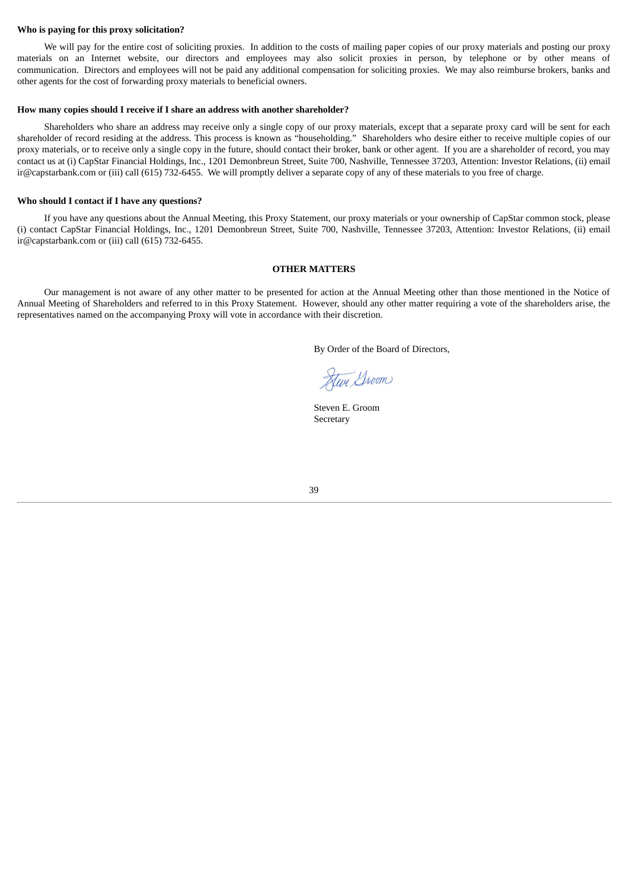#### **Who is paying for this proxy solicitation?**

We will pay for the entire cost of soliciting proxies. In addition to the costs of mailing paper copies of our proxy materials and posting our proxy materials on an Internet website, our directors and employees may also solicit proxies in person, by telephone or by other means of communication. Directors and employees will not be paid any additional compensation for soliciting proxies. We may also reimburse brokers, banks and other agents for the cost of forwarding proxy materials to beneficial owners.

#### **How many copies should I receive if I share an address with another shareholder?**

Shareholders who share an address may receive only a single copy of our proxy materials, except that a separate proxy card will be sent for each shareholder of record residing at the address. This process is known as "householding." Shareholders who desire either to receive multiple copies of our proxy materials, or to receive only a single copy in the future, should contact their broker, bank or other agent. If you are a shareholder of record, you may contact us at (i) CapStar Financial Holdings, Inc., 1201 Demonbreun Street, Suite 700, Nashville, Tennessee 37203, Attention: Investor Relations, (ii) email ir@capstarbank.com or (iii) call (615) 732-6455. We will promptly deliver a separate copy of any of these materials to you free of charge.

#### **Who should I contact if I have any questions?**

If you have any questions about the Annual Meeting, this Proxy Statement, our proxy materials or your ownership of CapStar common stock, please (i) contact CapStar Financial Holdings, Inc., 1201 Demonbreun Street, Suite 700, Nashville, Tennessee 37203, Attention: Investor Relations, (ii) email ir@capstarbank.com or (iii) call (615) 732-6455.

#### **OTHER MATTERS**

<span id="page-43-0"></span>Our management is not aware of any other matter to be presented for action at the Annual Meeting other than those mentioned in the Notice of Annual Meeting of Shareholders and referred to in this Proxy Statement. However, should any other matter requiring a vote of the shareholders arise, the representatives named on the accompanying Proxy will vote in accordance with their discretion.

By Order of the Board of Directors,

Heve Groom

Steven E. Groom Secretary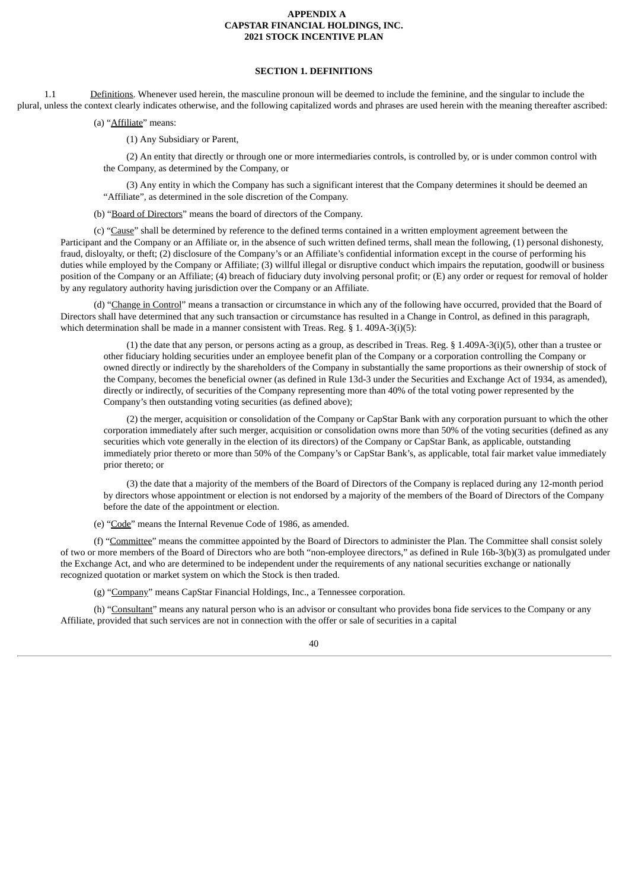#### n. The Named Proxies cannot vote your shar **<sup>u</sup>APPENDIX <sup>A</sup> CAPSTAR FINANCIAL HOLDINGS, INC. 2021 STOCK INCENTIVE PLAN**

## **SECTION 1. DEFINITIONS**

<span id="page-44-0"></span>1.1 Definitions. Whenever used herein, the masculine pronoun will be deemed to include the feminine, and the singular to include the plural, unless the context clearly indicates otherwise, and the following capitalized words and phrases are used herein with the meaning thereafter ascribed:

(a) "Affiliate" means:

(1) Any Subsidiary or Parent,

(2) An entity that directly or through one or more intermediaries controls, is controlled by, or is under common control with the Company, as determined by the Company, or

(3) Any entity in which the Company has such a significant interest that the Company determines it should be deemed an "Affiliate", as determined in the sole discretion of the Company.

(b) "Board of Directors" means the board of directors of the Company.

(c) "Cause" shall be determined by reference to the defined terms contained in a written employment agreement between the Participant and the Company or an Affiliate or, in the absence of such written defined terms, shall mean the following, (1) personal dishonesty, fraud, disloyalty, or theft; (2) disclosure of the Company's or an Affiliate's confidential information except in the course of performing his duties while employed by the Company or Affiliate; (3) willful illegal or disruptive conduct which impairs the reputation, goodwill or business position of the Company or an Affiliate; (4) breach of fiduciary duty involving personal profit; or (E) any order or request for removal of holder by any regulatory authority having jurisdiction over the Company or an Affiliate.

(d) "Change in Control" means a transaction or circumstance in which any of the following have occurred, provided that the Board of Directors shall have determined that any such transaction or circumstance has resulted in a Change in Control, as defined in this paragraph, which determination shall be made in a manner consistent with Treas. Reg. § 1. 409A-3(i)(5):

(1) the date that any person, or persons acting as a group, as described in Treas. Reg. § 1.409A-3(i)(5), other than a trustee or other fiduciary holding securities under an employee benefit plan of the Company or a corporation controlling the Company or owned directly or indirectly by the shareholders of the Company in substantially the same proportions as their ownership of stock of the Company, becomes the beneficial owner (as defined in Rule 13d-3 under the Securities and Exchange Act of 1934, as amended), directly or indirectly, of securities of the Company representing more than 40% of the total voting power represented by the Company's then outstanding voting securities (as defined above);

(2) the merger, acquisition or consolidation of the Company or CapStar Bank with any corporation pursuant to which the other corporation immediately after such merger, acquisition or consolidation owns more than 50% of the voting securities (defined as any securities which vote generally in the election of its directors) of the Company or CapStar Bank, as applicable, outstanding immediately prior thereto or more than 50% of the Company's or CapStar Bank's, as applicable, total fair market value immediately prior thereto; or

(3) the date that a majority of the members of the Board of Directors of the Company is replaced during any 12-month period by directors whose appointment or election is not endorsed by a majority of the members of the Board of Directors of the Company before the date of the appointment or election.

(e) "Code" means the Internal Revenue Code of 1986, as amended.

(f) "Committee" means the committee appointed by the Board of Directors to administer the Plan. The Committee shall consist solely of two or more members of the Board of Directors who are both "non-employee directors," as defined in Rule 16b-3(b)(3) as promulgated under the Exchange Act, and who are determined to be independent under the requirements of any national securities exchange or nationally recognized quotation or market system on which the Stock is then traded.

(g) "Company" means CapStar Financial Holdings, Inc., a Tennessee corporation.

(h) "Consultant" means any natural person who is an advisor or consultant who provides bona fide services to the Company or any Affiliate, provided that such services are not in connection with the offer or sale of securities in a capital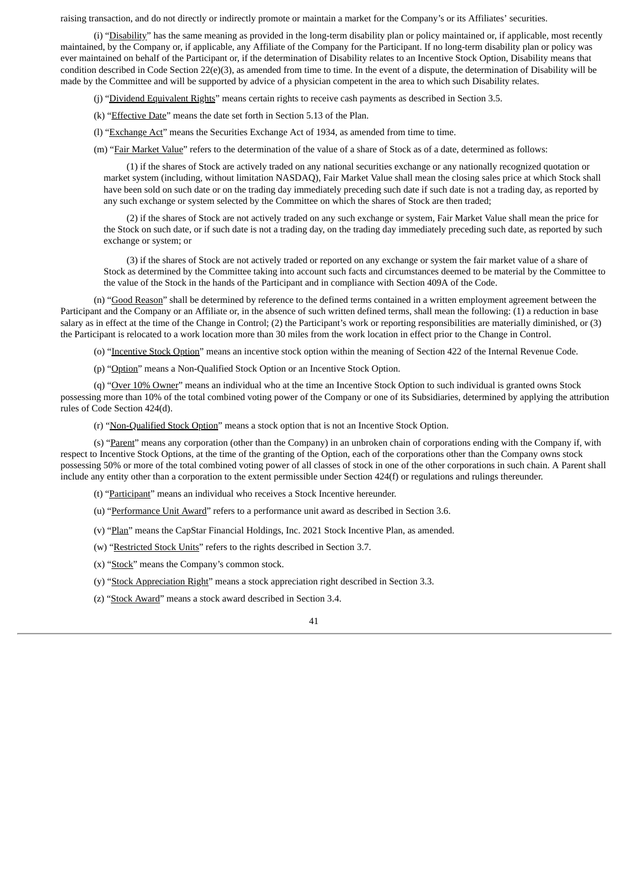raising transaction, and do not directly or indirectly promote or maintain a market for the Company's or its Affiliates' securities.

(i) "Disability" has the same meaning as provided in the long-term disability plan or policy maintained or, if applicable, most recently maintained, by the Company or, if applicable, any Affiliate of the Company for the Participant. If no long-term disability plan or policy was ever maintained on behalf of the Participant or, if the determination of Disability relates to an Incentive Stock Option, Disability means that condition described in Code Section 22(e)(3), as amended from time to time. In the event of a dispute, the determination of Disability will be made by the Committee and will be supported by advice of a physician competent in the area to which such Disability relates.

(j) "Dividend Equivalent Rights" means certain rights to receive cash payments as described in Section 3.5.

(k) "Effective Date" means the date set forth in Section 5.13 of the Plan.

(l) "Exchange Act" means the Securities Exchange Act of 1934, as amended from time to time.

(m) "Fair Market Value" refers to the determination of the value of a share of Stock as of a date, determined as follows:

(1) if the shares of Stock are actively traded on any national securities exchange or any nationally recognized quotation or market system (including, without limitation NASDAQ), Fair Market Value shall mean the closing sales price at which Stock shall have been sold on such date or on the trading day immediately preceding such date if such date is not a trading day, as reported by any such exchange or system selected by the Committee on which the shares of Stock are then traded;

(2) if the shares of Stock are not actively traded on any such exchange or system, Fair Market Value shall mean the price for the Stock on such date, or if such date is not a trading day, on the trading day immediately preceding such date, as reported by such exchange or system; or

(3) if the shares of Stock are not actively traded or reported on any exchange or system the fair market value of a share of Stock as determined by the Committee taking into account such facts and circumstances deemed to be material by the Committee to the value of the Stock in the hands of the Participant and in compliance with Section 409A of the Code.

(n) "Good Reason" shall be determined by reference to the defined terms contained in a written employment agreement between the Participant and the Company or an Affiliate or, in the absence of such written defined terms, shall mean the following: (1) a reduction in base salary as in effect at the time of the Change in Control; (2) the Participant's work or reporting responsibilities are materially diminished, or (3) the Participant is relocated to a work location more than 30 miles from the work location in effect prior to the Change in Control.

(o) "Incentive Stock Option" means an incentive stock option within the meaning of Section 422 of the Internal Revenue Code.

(p) "Option" means a Non-Qualified Stock Option or an Incentive Stock Option.

(q) "Over 10% Owner" means an individual who at the time an Incentive Stock Option to such individual is granted owns Stock possessing more than 10% of the total combined voting power of the Company or one of its Subsidiaries, determined by applying the attribution rules of Code Section 424(d).

(r) "Non-Qualified Stock Option" means a stock option that is not an Incentive Stock Option.

(s) "Parent" means any corporation (other than the Company) in an unbroken chain of corporations ending with the Company if, with respect to Incentive Stock Options, at the time of the granting of the Option, each of the corporations other than the Company owns stock possessing 50% or more of the total combined voting power of all classes of stock in one of the other corporations in such chain. A Parent shall include any entity other than a corporation to the extent permissible under Section 424(f) or regulations and rulings thereunder.

(t) "Participant" means an individual who receives a Stock Incentive hereunder.

- (u) "Performance Unit Award" refers to a performance unit award as described in Section 3.6.
- (v) "Plan" means the CapStar Financial Holdings, Inc. 2021 Stock Incentive Plan, as amended.
- (w) "Restricted Stock Units" refers to the rights described in Section 3.7.
- (x) "Stock" means the Company's common stock.
- (y) "Stock Appreciation Right" means a stock appreciation right described in Section 3.3.
- (z) "Stock Award" means a stock award described in Section 3.4.

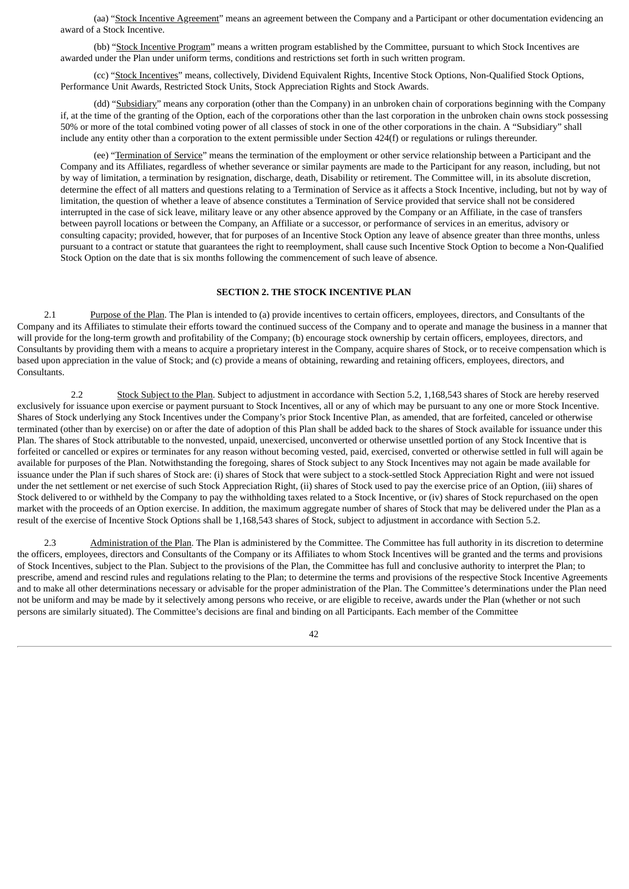(aa) "Stock Incentive Agreement" means an agreement between the Company and a Participant or other documentation evidencing an award of a Stock Incentive.

(bb) "Stock Incentive Program" means a written program established by the Committee, pursuant to which Stock Incentives are awarded under the Plan under uniform terms, conditions and restrictions set forth in such written program.

(cc) "Stock Incentives" means, collectively, Dividend Equivalent Rights, Incentive Stock Options, Non-Qualified Stock Options, Performance Unit Awards, Restricted Stock Units, Stock Appreciation Rights and Stock Awards.

(dd) "Subsidiary" means any corporation (other than the Company) in an unbroken chain of corporations beginning with the Company if, at the time of the granting of the Option, each of the corporations other than the last corporation in the unbroken chain owns stock possessing 50% or more of the total combined voting power of all classes of stock in one of the other corporations in the chain. A "Subsidiary" shall include any entity other than a corporation to the extent permissible under Section 424(f) or regulations or rulings thereunder.

(ee) "Termination of Service" means the termination of the employment or other service relationship between a Participant and the Company and its Affiliates, regardless of whether severance or similar payments are made to the Participant for any reason, including, but not by way of limitation, a termination by resignation, discharge, death, Disability or retirement. The Committee will, in its absolute discretion, determine the effect of all matters and questions relating to a Termination of Service as it affects a Stock Incentive, including, but not by way of limitation, the question of whether a leave of absence constitutes a Termination of Service provided that service shall not be considered interrupted in the case of sick leave, military leave or any other absence approved by the Company or an Affiliate, in the case of transfers between payroll locations or between the Company, an Affiliate or a successor, or performance of services in an emeritus, advisory or consulting capacity; provided, however, that for purposes of an Incentive Stock Option any leave of absence greater than three months, unless pursuant to a contract or statute that guarantees the right to reemployment, shall cause such Incentive Stock Option to become a Non-Qualified Stock Option on the date that is six months following the commencement of such leave of absence.

#### **SECTION 2. THE STOCK INCENTIVE PLAN**

2.1 Purpose of the Plan. The Plan is intended to (a) provide incentives to certain officers, employees, directors, and Consultants of the Company and its Affiliates to stimulate their efforts toward the continued success of the Company and to operate and manage the business in a manner that will provide for the long-term growth and profitability of the Company; (b) encourage stock ownership by certain officers, employees, directors, and Consultants by providing them with a means to acquire a proprietary interest in the Company, acquire shares of Stock, or to receive compensation which is based upon appreciation in the value of Stock; and (c) provide a means of obtaining, rewarding and retaining officers, employees, directors, and Consultants.

2.2 Stock Subject to the Plan. Subject to adjustment in accordance with Section 5.2, 1,168,543 shares of Stock are hereby reserved exclusively for issuance upon exercise or payment pursuant to Stock Incentives, all or any of which may be pursuant to any one or more Stock Incentive. Shares of Stock underlying any Stock Incentives under the Company's prior Stock Incentive Plan, as amended, that are forfeited, canceled or otherwise terminated (other than by exercise) on or after the date of adoption of this Plan shall be added back to the shares of Stock available for issuance under this Plan. The shares of Stock attributable to the nonvested, unpaid, unexercised, unconverted or otherwise unsettled portion of any Stock Incentive that is forfeited or cancelled or expires or terminates for any reason without becoming vested, paid, exercised, converted or otherwise settled in full will again be available for purposes of the Plan. Notwithstanding the foregoing, shares of Stock subject to any Stock Incentives may not again be made available for issuance under the Plan if such shares of Stock are: (i) shares of Stock that were subject to a stock-settled Stock Appreciation Right and were not issued under the net settlement or net exercise of such Stock Appreciation Right, (ii) shares of Stock used to pay the exercise price of an Option, (iii) shares of Stock delivered to or withheld by the Company to pay the withholding taxes related to a Stock Incentive, or (iv) shares of Stock repurchased on the open market with the proceeds of an Option exercise. In addition, the maximum aggregate number of shares of Stock that may be delivered under the Plan as a result of the exercise of Incentive Stock Options shall be 1,168,543 shares of Stock, subject to adjustment in accordance with Section 5.2.

2.3 Administration of the Plan. The Plan is administered by the Committee. The Committee has full authority in its discretion to determine the officers, employees, directors and Consultants of the Company or its Affiliates to whom Stock Incentives will be granted and the terms and provisions of Stock Incentives, subject to the Plan. Subject to the provisions of the Plan, the Committee has full and conclusive authority to interpret the Plan; to prescribe, amend and rescind rules and regulations relating to the Plan; to determine the terms and provisions of the respective Stock Incentive Agreements and to make all other determinations necessary or advisable for the proper administration of the Plan. The Committee's determinations under the Plan need not be uniform and may be made by it selectively among persons who receive, or are eligible to receive, awards under the Plan (whether or not such persons are similarly situated). The Committee's decisions are final and binding on all Participants. Each member of the Committee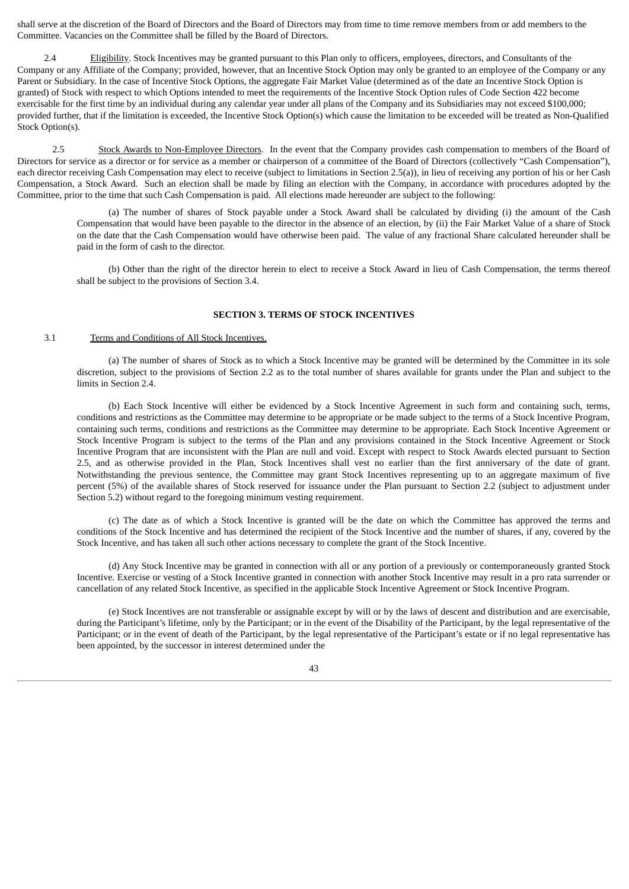shall serve at the discretion of the Board of Directors and the Board of Directors may from time to time remove members from or add members to the Committee. Vacancies on the Committee shall be filled by the Board of Directors.

2.4 Eligibility. Stock Incentives may be granted pursuant to this Plan only to officers, employees, directors, and Consultants of the Company or any Affiliate of the Company; provided, however, that an Incentive Stock Option may only be granted to an employee of the Company or any Parent or Subsidiary. In the case of Incentive Stock Options, the aggregate Fair Market Value (determined as of the date an Incentive Stock Option is granted) of Stock with respect to which Options intended to meet the requirements of the Incentive Stock Option rules of Code Section 422 become exercisable for the first time by an individual during any calendar year under all plans of the Company and its Subsidiaries may not exceed \$100,000; provided further, that if the limitation is exceeded, the Incentive Stock Option(s) which cause the limitation to be exceeded will be treated as Non-Qualified Stock Option(s).

2.5 Stock Awards to Non-Employee Directors. In the event that the Company provides cash compensation to members of the Board of Directors for service as a director or for service as a member or chairperson of a committee of the Board of Directors (collectively "Cash Compensation"), each director receiving Cash Compensation may elect to receive (subject to limitations in Section 2.5(a)), in lieu of receiving any portion of his or her Cash Compensation, a Stock Award. Such an election shall be made by filing an election with the Company, in accordance with procedures adopted by the Committee, prior to the time that such Cash Compensation is paid. All elections made hereunder are subject to the following:

(a) The number of shares of Stock payable under a Stock Award shall be calculated by dividing (i) the amount of the Cash Compensation that would have been payable to the director in the absence of an election, by (ii) the Fair Market Value of a share of Stock on the date that the Cash Compensation would have otherwise been paid. The value of any fractional Share calculated hereunder shall be paid in the form of cash to the director.

(b) Other than the right of the director herein to elect to receive a Stock Award in lieu of Cash Compensation, the terms thereof shall be subject to the provisions of Section 3.4.

#### **SECTION 3. TERMS OF STOCK INCENTIVES**

#### 3.1 Terms and Conditions of All Stock Incentives.

(a) The number of shares of Stock as to which a Stock Incentive may be granted will be determined by the Committee in its sole discretion, subject to the provisions of Section 2.2 as to the total number of shares available for grants under the Plan and subject to the limits in Section 2.4.

(b) Each Stock Incentive will either be evidenced by a Stock Incentive Agreement in such form and containing such, terms, conditions and restrictions as the Committee may determine to be appropriate or be made subject to the terms of a Stock Incentive Program, containing such terms, conditions and restrictions as the Committee may determine to be appropriate. Each Stock Incentive Agreement or Stock Incentive Program is subject to the terms of the Plan and any provisions contained in the Stock Incentive Agreement or Stock Incentive Program that are inconsistent with the Plan are null and void. Except with respect to Stock Awards elected pursuant to Section 2.5, and as otherwise provided in the Plan, Stock Incentives shall vest no earlier than the first anniversary of the date of grant. Notwithstanding the previous sentence, the Committee may grant Stock Incentives representing up to an aggregate maximum of five percent (5%) of the available shares of Stock reserved for issuance under the Plan pursuant to Section 2.2 (subject to adjustment under Section 5.2) without regard to the foregoing minimum vesting requirement.

(c) The date as of which a Stock Incentive is granted will be the date on which the Committee has approved the terms and conditions of the Stock Incentive and has determined the recipient of the Stock Incentive and the number of shares, if any, covered by the Stock Incentive, and has taken all such other actions necessary to complete the grant of the Stock Incentive.

(d) Any Stock Incentive may be granted in connection with all or any portion of a previously or contemporaneously granted Stock Incentive. Exercise or vesting of a Stock Incentive granted in connection with another Stock Incentive may result in a pro rata surrender or cancellation of any related Stock Incentive, as specified in the applicable Stock Incentive Agreement or Stock Incentive Program.

(e) Stock Incentives are not transferable or assignable except by will or by the laws of descent and distribution and are exercisable, during the Participant's lifetime, only by the Participant; or in the event of the Disability of the Participant, by the legal representative of the Participant; or in the event of death of the Participant, by the legal representative of the Participant's estate or if no legal representative has been appointed, by the successor in interest determined under the

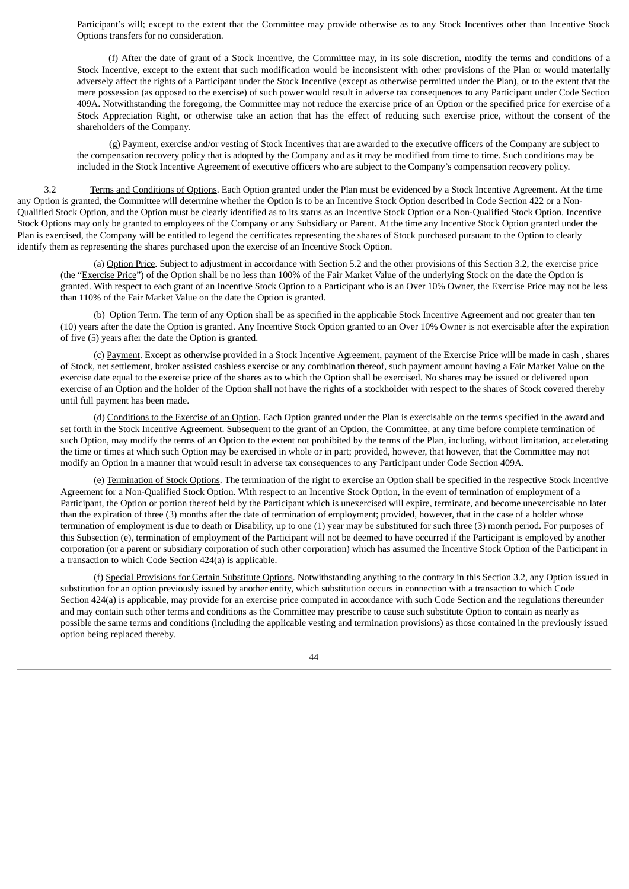Participant's will; except to the extent that the Committee may provide otherwise as to any Stock Incentives other than Incentive Stock Options transfers for no consideration.

(f) After the date of grant of a Stock Incentive, the Committee may, in its sole discretion, modify the terms and conditions of a Stock Incentive, except to the extent that such modification would be inconsistent with other provisions of the Plan or would materially adversely affect the rights of a Participant under the Stock Incentive (except as otherwise permitted under the Plan), or to the extent that the mere possession (as opposed to the exercise) of such power would result in adverse tax consequences to any Participant under Code Section 409A. Notwithstanding the foregoing, the Committee may not reduce the exercise price of an Option or the specified price for exercise of a Stock Appreciation Right, or otherwise take an action that has the effect of reducing such exercise price, without the consent of the shareholders of the Company.

(g) Payment, exercise and/or vesting of Stock Incentives that are awarded to the executive officers of the Company are subject to the compensation recovery policy that is adopted by the Company and as it may be modified from time to time. Such conditions may be included in the Stock Incentive Agreement of executive officers who are subject to the Company's compensation recovery policy.

3.2 Terms and Conditions of Options. Each Option granted under the Plan must be evidenced by a Stock Incentive Agreement. At the time any Option is granted, the Committee will determine whether the Option is to be an Incentive Stock Option described in Code Section 422 or a Non-Qualified Stock Option, and the Option must be clearly identified as to its status as an Incentive Stock Option or a Non-Qualified Stock Option. Incentive Stock Options may only be granted to employees of the Company or any Subsidiary or Parent. At the time any Incentive Stock Option granted under the Plan is exercised, the Company will be entitled to legend the certificates representing the shares of Stock purchased pursuant to the Option to clearly identify them as representing the shares purchased upon the exercise of an Incentive Stock Option.

(a) Option Price. Subject to adjustment in accordance with Section 5.2 and the other provisions of this Section 3.2, the exercise price (the "Exercise Price") of the Option shall be no less than 100% of the Fair Market Value of the underlying Stock on the date the Option is granted. With respect to each grant of an Incentive Stock Option to a Participant who is an Over 10% Owner, the Exercise Price may not be less than 110% of the Fair Market Value on the date the Option is granted.

(b) Option Term. The term of any Option shall be as specified in the applicable Stock Incentive Agreement and not greater than ten (10) years after the date the Option is granted. Any Incentive Stock Option granted to an Over 10% Owner is not exercisable after the expiration of five (5) years after the date the Option is granted.

(c) Payment. Except as otherwise provided in a Stock Incentive Agreement, payment of the Exercise Price will be made in cash , shares of Stock, net settlement, broker assisted cashless exercise or any combination thereof, such payment amount having a Fair Market Value on the exercise date equal to the exercise price of the shares as to which the Option shall be exercised. No shares may be issued or delivered upon exercise of an Option and the holder of the Option shall not have the rights of a stockholder with respect to the shares of Stock covered thereby until full payment has been made.

(d) Conditions to the Exercise of an Option. Each Option granted under the Plan is exercisable on the terms specified in the award and set forth in the Stock Incentive Agreement. Subsequent to the grant of an Option, the Committee, at any time before complete termination of such Option, may modify the terms of an Option to the extent not prohibited by the terms of the Plan, including, without limitation, accelerating the time or times at which such Option may be exercised in whole or in part; provided, however, that however, that the Committee may not modify an Option in a manner that would result in adverse tax consequences to any Participant under Code Section 409A.

(e) Termination of Stock Options. The termination of the right to exercise an Option shall be specified in the respective Stock Incentive Agreement for a Non-Qualified Stock Option. With respect to an Incentive Stock Option, in the event of termination of employment of a Participant, the Option or portion thereof held by the Participant which is unexercised will expire, terminate, and become unexercisable no later than the expiration of three (3) months after the date of termination of employment; provided, however, that in the case of a holder whose termination of employment is due to death or Disability, up to one (1) year may be substituted for such three (3) month period. For purposes of this Subsection (e), termination of employment of the Participant will not be deemed to have occurred if the Participant is employed by another corporation (or a parent or subsidiary corporation of such other corporation) which has assumed the Incentive Stock Option of the Participant in a transaction to which Code Section 424(a) is applicable.

(f) Special Provisions for Certain Substitute Options. Notwithstanding anything to the contrary in this Section 3.2, any Option issued in substitution for an option previously issued by another entity, which substitution occurs in connection with a transaction to which Code Section 424(a) is applicable, may provide for an exercise price computed in accordance with such Code Section and the regulations thereunder and may contain such other terms and conditions as the Committee may prescribe to cause such substitute Option to contain as nearly as possible the same terms and conditions (including the applicable vesting and termination provisions) as those contained in the previously issued option being replaced thereby.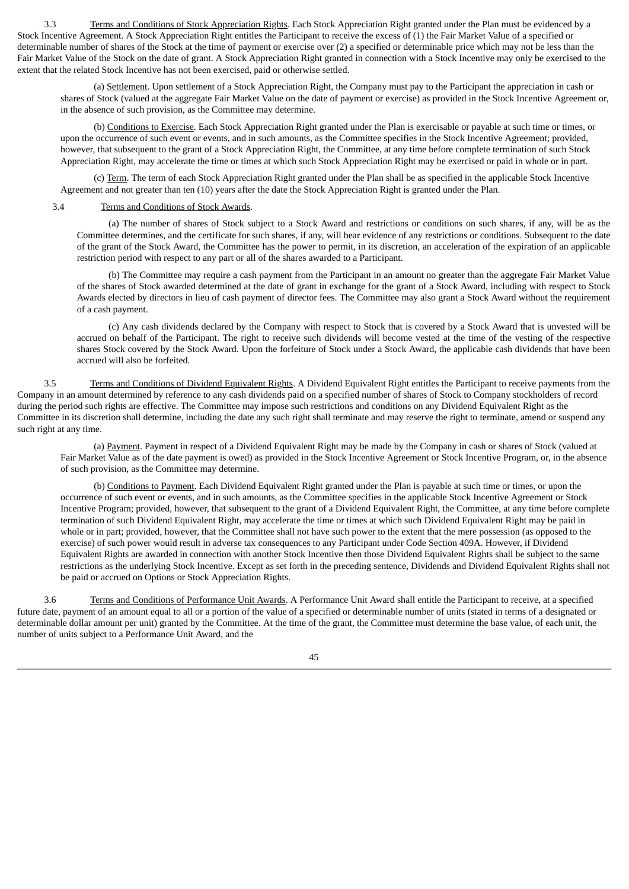3.3 Terms and Conditions of Stock Appreciation Rights. Each Stock Appreciation Right granted under the Plan must be evidenced by a Stock Incentive Agreement. A Stock Appreciation Right entitles the Participant to receive the excess of (1) the Fair Market Value of a specified or determinable number of shares of the Stock at the time of payment or exercise over (2) a specified or determinable price which may not be less than the Fair Market Value of the Stock on the date of grant. A Stock Appreciation Right granted in connection with a Stock Incentive may only be exercised to the extent that the related Stock Incentive has not been exercised, paid or otherwise settled.

(a) Settlement. Upon settlement of a Stock Appreciation Right, the Company must pay to the Participant the appreciation in cash or shares of Stock (valued at the aggregate Fair Market Value on the date of payment or exercise) as provided in the Stock Incentive Agreement or, in the absence of such provision, as the Committee may determine.

(b) Conditions to Exercise. Each Stock Appreciation Right granted under the Plan is exercisable or payable at such time or times, or upon the occurrence of such event or events, and in such amounts, as the Committee specifies in the Stock Incentive Agreement; provided, however, that subsequent to the grant of a Stock Appreciation Right, the Committee, at any time before complete termination of such Stock Appreciation Right, may accelerate the time or times at which such Stock Appreciation Right may be exercised or paid in whole or in part.

(c) Term. The term of each Stock Appreciation Right granted under the Plan shall be as specified in the applicable Stock Incentive Agreement and not greater than ten (10) years after the date the Stock Appreciation Right is granted under the Plan.

## 3.4 Terms and Conditions of Stock Awards.

(a) The number of shares of Stock subject to a Stock Award and restrictions or conditions on such shares, if any, will be as the Committee determines, and the certificate for such shares, if any, will bear evidence of any restrictions or conditions. Subsequent to the date of the grant of the Stock Award, the Committee has the power to permit, in its discretion, an acceleration of the expiration of an applicable restriction period with respect to any part or all of the shares awarded to a Participant.

(b) The Committee may require a cash payment from the Participant in an amount no greater than the aggregate Fair Market Value of the shares of Stock awarded determined at the date of grant in exchange for the grant of a Stock Award, including with respect to Stock Awards elected by directors in lieu of cash payment of director fees. The Committee may also grant a Stock Award without the requirement of a cash payment.

(c) Any cash dividends declared by the Company with respect to Stock that is covered by a Stock Award that is unvested will be accrued on behalf of the Participant. The right to receive such dividends will become vested at the time of the vesting of the respective shares Stock covered by the Stock Award. Upon the forfeiture of Stock under a Stock Award, the applicable cash dividends that have been accrued will also be forfeited.

3.5 Terms and Conditions of Dividend Equivalent Rights. A Dividend Equivalent Right entitles the Participant to receive payments from the Company in an amount determined by reference to any cash dividends paid on a specified number of shares of Stock to Company stockholders of record during the period such rights are effective. The Committee may impose such restrictions and conditions on any Dividend Equivalent Right as the Committee in its discretion shall determine, including the date any such right shall terminate and may reserve the right to terminate, amend or suspend any such right at any time.

(a) Payment. Payment in respect of a Dividend Equivalent Right may be made by the Company in cash or shares of Stock (valued at Fair Market Value as of the date payment is owed) as provided in the Stock Incentive Agreement or Stock Incentive Program, or, in the absence of such provision, as the Committee may determine.

(b) Conditions to Payment. Each Dividend Equivalent Right granted under the Plan is payable at such time or times, or upon the occurrence of such event or events, and in such amounts, as the Committee specifies in the applicable Stock Incentive Agreement or Stock Incentive Program; provided, however, that subsequent to the grant of a Dividend Equivalent Right, the Committee, at any time before complete termination of such Dividend Equivalent Right, may accelerate the time or times at which such Dividend Equivalent Right may be paid in whole or in part; provided, however, that the Committee shall not have such power to the extent that the mere possession (as opposed to the exercise) of such power would result in adverse tax consequences to any Participant under Code Section 409A. However, if Dividend Equivalent Rights are awarded in connection with another Stock Incentive then those Dividend Equivalent Rights shall be subject to the same restrictions as the underlying Stock Incentive. Except as set forth in the preceding sentence, Dividends and Dividend Equivalent Rights shall not be paid or accrued on Options or Stock Appreciation Rights.

3.6 Terms and Conditions of Performance Unit Awards. A Performance Unit Award shall entitle the Participant to receive, at a specified future date, payment of an amount equal to all or a portion of the value of a specified or determinable number of units (stated in terms of a designated or determinable dollar amount per unit) granted by the Committee. At the time of the grant, the Committee must determine the base value, of each unit, the number of units subject to a Performance Unit Award, and the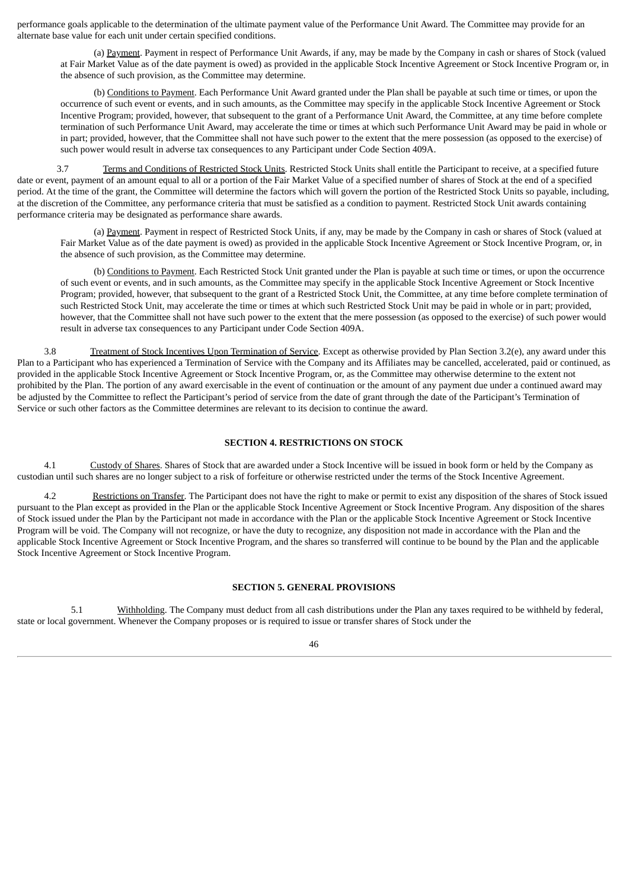performance goals applicable to the determination of the ultimate payment value of the Performance Unit Award. The Committee may provide for an alternate base value for each unit under certain specified conditions.

(a) Payment. Payment in respect of Performance Unit Awards, if any, may be made by the Company in cash or shares of Stock (valued at Fair Market Value as of the date payment is owed) as provided in the applicable Stock Incentive Agreement or Stock Incentive Program or, in the absence of such provision, as the Committee may determine.

(b) Conditions to Payment. Each Performance Unit Award granted under the Plan shall be payable at such time or times, or upon the occurrence of such event or events, and in such amounts, as the Committee may specify in the applicable Stock Incentive Agreement or Stock Incentive Program; provided, however, that subsequent to the grant of a Performance Unit Award, the Committee, at any time before complete termination of such Performance Unit Award, may accelerate the time or times at which such Performance Unit Award may be paid in whole or in part; provided, however, that the Committee shall not have such power to the extent that the mere possession (as opposed to the exercise) of such power would result in adverse tax consequences to any Participant under Code Section 409A.

3.7 Terms and Conditions of Restricted Stock Units. Restricted Stock Units shall entitle the Participant to receive, at a specified future date or event, payment of an amount equal to all or a portion of the Fair Market Value of a specified number of shares of Stock at the end of a specified period. At the time of the grant, the Committee will determine the factors which will govern the portion of the Restricted Stock Units so payable, including, at the discretion of the Committee, any performance criteria that must be satisfied as a condition to payment. Restricted Stock Unit awards containing performance criteria may be designated as performance share awards.

(a) Payment. Payment in respect of Restricted Stock Units, if any, may be made by the Company in cash or shares of Stock (valued at Fair Market Value as of the date payment is owed) as provided in the applicable Stock Incentive Agreement or Stock Incentive Program, or, in the absence of such provision, as the Committee may determine.

(b) Conditions to Payment. Each Restricted Stock Unit granted under the Plan is payable at such time or times, or upon the occurrence of such event or events, and in such amounts, as the Committee may specify in the applicable Stock Incentive Agreement or Stock Incentive Program; provided, however, that subsequent to the grant of a Restricted Stock Unit, the Committee, at any time before complete termination of such Restricted Stock Unit, may accelerate the time or times at which such Restricted Stock Unit may be paid in whole or in part; provided, however, that the Committee shall not have such power to the extent that the mere possession (as opposed to the exercise) of such power would result in adverse tax consequences to any Participant under Code Section 409A.

3.8 Treatment of Stock Incentives Upon Termination of Service. Except as otherwise provided by Plan Section 3.2(e), any award under this Plan to a Participant who has experienced a Termination of Service with the Company and its Affiliates may be cancelled, accelerated, paid or continued, as provided in the applicable Stock Incentive Agreement or Stock Incentive Program, or, as the Committee may otherwise determine to the extent not prohibited by the Plan. The portion of any award exercisable in the event of continuation or the amount of any payment due under a continued award may be adjusted by the Committee to reflect the Participant's period of service from the date of grant through the date of the Participant's Termination of Service or such other factors as the Committee determines are relevant to its decision to continue the award.

## **SECTION 4. RESTRICTIONS ON STOCK**

4.1 Custody of Shares. Shares of Stock that are awarded under a Stock Incentive will be issued in book form or held by the Company as custodian until such shares are no longer subject to a risk of forfeiture or otherwise restricted under the terms of the Stock Incentive Agreement.

4.2 Restrictions on Transfer. The Participant does not have the right to make or permit to exist any disposition of the shares of Stock issued pursuant to the Plan except as provided in the Plan or the applicable Stock Incentive Agreement or Stock Incentive Program. Any disposition of the shares of Stock issued under the Plan by the Participant not made in accordance with the Plan or the applicable Stock Incentive Agreement or Stock Incentive Program will be void. The Company will not recognize, or have the duty to recognize, any disposition not made in accordance with the Plan and the applicable Stock Incentive Agreement or Stock Incentive Program, and the shares so transferred will continue to be bound by the Plan and the applicable Stock Incentive Agreement or Stock Incentive Program.

#### **SECTION 5. GENERAL PROVISIONS**

5.1 Withholding. The Company must deduct from all cash distributions under the Plan any taxes required to be withheld by federal, state or local government. Whenever the Company proposes or is required to issue or transfer shares of Stock under the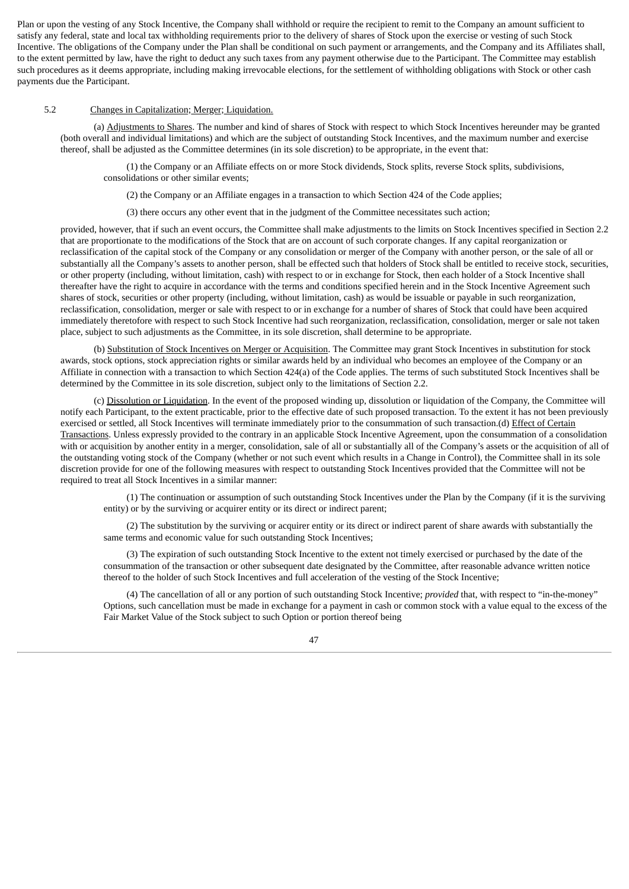Plan or upon the vesting of any Stock Incentive, the Company shall withhold or require the recipient to remit to the Company an amount sufficient to satisfy any federal, state and local tax withholding requirements prior to the delivery of shares of Stock upon the exercise or vesting of such Stock Incentive. The obligations of the Company under the Plan shall be conditional on such payment or arrangements, and the Company and its Affiliates shall, to the extent permitted by law, have the right to deduct any such taxes from any payment otherwise due to the Participant. The Committee may establish such procedures as it deems appropriate, including making irrevocable elections, for the settlement of withholding obligations with Stock or other cash payments due the Participant.

## 5.2 Changes in Capitalization; Merger; Liquidation.

(a) Adjustments to Shares. The number and kind of shares of Stock with respect to which Stock Incentives hereunder may be granted (both overall and individual limitations) and which are the subject of outstanding Stock Incentives, and the maximum number and exercise thereof, shall be adjusted as the Committee determines (in its sole discretion) to be appropriate, in the event that:

(1) the Company or an Affiliate effects on or more Stock dividends, Stock splits, reverse Stock splits, subdivisions, consolidations or other similar events;

(2) the Company or an Affiliate engages in a transaction to which Section 424 of the Code applies;

(3) there occurs any other event that in the judgment of the Committee necessitates such action;

provided, however, that if such an event occurs, the Committee shall make adjustments to the limits on Stock Incentives specified in Section 2.2 that are proportionate to the modifications of the Stock that are on account of such corporate changes. If any capital reorganization or reclassification of the capital stock of the Company or any consolidation or merger of the Company with another person, or the sale of all or substantially all the Company's assets to another person, shall be effected such that holders of Stock shall be entitled to receive stock, securities, or other property (including, without limitation, cash) with respect to or in exchange for Stock, then each holder of a Stock Incentive shall thereafter have the right to acquire in accordance with the terms and conditions specified herein and in the Stock Incentive Agreement such shares of stock, securities or other property (including, without limitation, cash) as would be issuable or payable in such reorganization, reclassification, consolidation, merger or sale with respect to or in exchange for a number of shares of Stock that could have been acquired immediately theretofore with respect to such Stock Incentive had such reorganization, reclassification, consolidation, merger or sale not taken place, subject to such adjustments as the Committee, in its sole discretion, shall determine to be appropriate.

(b) Substitution of Stock Incentives on Merger or Acquisition. The Committee may grant Stock Incentives in substitution for stock awards, stock options, stock appreciation rights or similar awards held by an individual who becomes an employee of the Company or an Affiliate in connection with a transaction to which Section 424(a) of the Code applies. The terms of such substituted Stock Incentives shall be determined by the Committee in its sole discretion, subject only to the limitations of Section 2.2.

(c) Dissolution or Liquidation. In the event of the proposed winding up, dissolution or liquidation of the Company, the Committee will notify each Participant, to the extent practicable, prior to the effective date of such proposed transaction. To the extent it has not been previously exercised or settled, all Stock Incentives will terminate immediately prior to the consummation of such transaction.(d) Effect of Certain Transactions. Unless expressly provided to the contrary in an applicable Stock Incentive Agreement, upon the consummation of a consolidation with or acquisition by another entity in a merger, consolidation, sale of all or substantially all of the Company's assets or the acquisition of all of the outstanding voting stock of the Company (whether or not such event which results in a Change in Control), the Committee shall in its sole discretion provide for one of the following measures with respect to outstanding Stock Incentives provided that the Committee will not be required to treat all Stock Incentives in a similar manner:

(1) The continuation or assumption of such outstanding Stock Incentives under the Plan by the Company (if it is the surviving entity) or by the surviving or acquirer entity or its direct or indirect parent;

(2) The substitution by the surviving or acquirer entity or its direct or indirect parent of share awards with substantially the same terms and economic value for such outstanding Stock Incentives;

(3) The expiration of such outstanding Stock Incentive to the extent not timely exercised or purchased by the date of the consummation of the transaction or other subsequent date designated by the Committee, after reasonable advance written notice thereof to the holder of such Stock Incentives and full acceleration of the vesting of the Stock Incentive;

(4) The cancellation of all or any portion of such outstanding Stock Incentive; *provided* that, with respect to "in-the-money" Options, such cancellation must be made in exchange for a payment in cash or common stock with a value equal to the excess of the Fair Market Value of the Stock subject to such Option or portion thereof being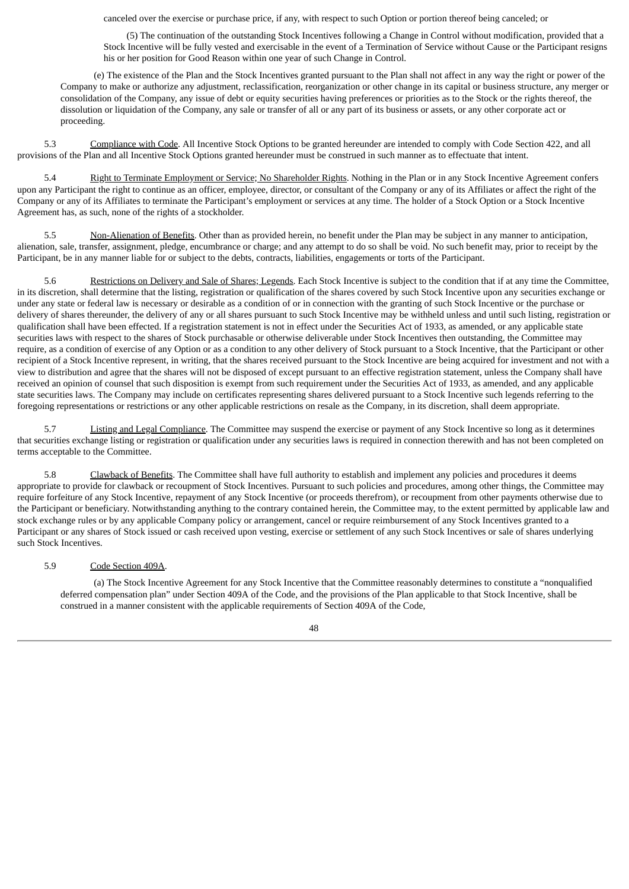canceled over the exercise or purchase price, if any, with respect to such Option or portion thereof being canceled; or

(5) The continuation of the outstanding Stock Incentives following a Change in Control without modification, provided that a Stock Incentive will be fully vested and exercisable in the event of a Termination of Service without Cause or the Participant resigns his or her position for Good Reason within one year of such Change in Control.

(e) The existence of the Plan and the Stock Incentives granted pursuant to the Plan shall not affect in any way the right or power of the Company to make or authorize any adjustment, reclassification, reorganization or other change in its capital or business structure, any merger or consolidation of the Company, any issue of debt or equity securities having preferences or priorities as to the Stock or the rights thereof, the dissolution or liquidation of the Company, any sale or transfer of all or any part of its business or assets, or any other corporate act or proceeding.

5.3 Compliance with Code. All Incentive Stock Options to be granted hereunder are intended to comply with Code Section 422, and all provisions of the Plan and all Incentive Stock Options granted hereunder must be construed in such manner as to effectuate that intent.

5.4 Right to Terminate Employment or Service; No Shareholder Rights. Nothing in the Plan or in any Stock Incentive Agreement confers upon any Participant the right to continue as an officer, employee, director, or consultant of the Company or any of its Affiliates or affect the right of the Company or any of its Affiliates to terminate the Participant's employment or services at any time. The holder of a Stock Option or a Stock Incentive Agreement has, as such, none of the rights of a stockholder.

5.5 Non-Alienation of Benefits. Other than as provided herein, no benefit under the Plan may be subject in any manner to anticipation, alienation, sale, transfer, assignment, pledge, encumbrance or charge; and any attempt to do so shall be void. No such benefit may, prior to receipt by the Participant, be in any manner liable for or subject to the debts, contracts, liabilities, engagements or torts of the Participant.

Restrictions on Delivery and Sale of Shares; Legends. Each Stock Incentive is subject to the condition that if at any time the Committee, in its discretion, shall determine that the listing, registration or qualification of the shares covered by such Stock Incentive upon any securities exchange or under any state or federal law is necessary or desirable as a condition of or in connection with the granting of such Stock Incentive or the purchase or delivery of shares thereunder, the delivery of any or all shares pursuant to such Stock Incentive may be withheld unless and until such listing, registration or qualification shall have been effected. If a registration statement is not in effect under the Securities Act of 1933, as amended, or any applicable state securities laws with respect to the shares of Stock purchasable or otherwise deliverable under Stock Incentives then outstanding, the Committee may require, as a condition of exercise of any Option or as a condition to any other delivery of Stock pursuant to a Stock Incentive, that the Participant or other recipient of a Stock Incentive represent, in writing, that the shares received pursuant to the Stock Incentive are being acquired for investment and not with a view to distribution and agree that the shares will not be disposed of except pursuant to an effective registration statement, unless the Company shall have received an opinion of counsel that such disposition is exempt from such requirement under the Securities Act of 1933, as amended, and any applicable state securities laws. The Company may include on certificates representing shares delivered pursuant to a Stock Incentive such legends referring to the foregoing representations or restrictions or any other applicable restrictions on resale as the Company, in its discretion, shall deem appropriate.

5.7 Listing and Legal Compliance. The Committee may suspend the exercise or payment of any Stock Incentive so long as it determines that securities exchange listing or registration or qualification under any securities laws is required in connection therewith and has not been completed on terms acceptable to the Committee.

5.8 Clawback of Benefits. The Committee shall have full authority to establish and implement any policies and procedures it deems appropriate to provide for clawback or recoupment of Stock Incentives. Pursuant to such policies and procedures, among other things, the Committee may require forfeiture of any Stock Incentive, repayment of any Stock Incentive (or proceeds therefrom), or recoupment from other payments otherwise due to the Participant or beneficiary. Notwithstanding anything to the contrary contained herein, the Committee may, to the extent permitted by applicable law and stock exchange rules or by any applicable Company policy or arrangement, cancel or require reimbursement of any Stock Incentives granted to a Participant or any shares of Stock issued or cash received upon vesting, exercise or settlement of any such Stock Incentives or sale of shares underlying such Stock Incentives.

## 5.9 Code Section 409A.

(a) The Stock Incentive Agreement for any Stock Incentive that the Committee reasonably determines to constitute a "nonqualified deferred compensation plan" under Section 409A of the Code, and the provisions of the Plan applicable to that Stock Incentive, shall be construed in a manner consistent with the applicable requirements of Section 409A of the Code,

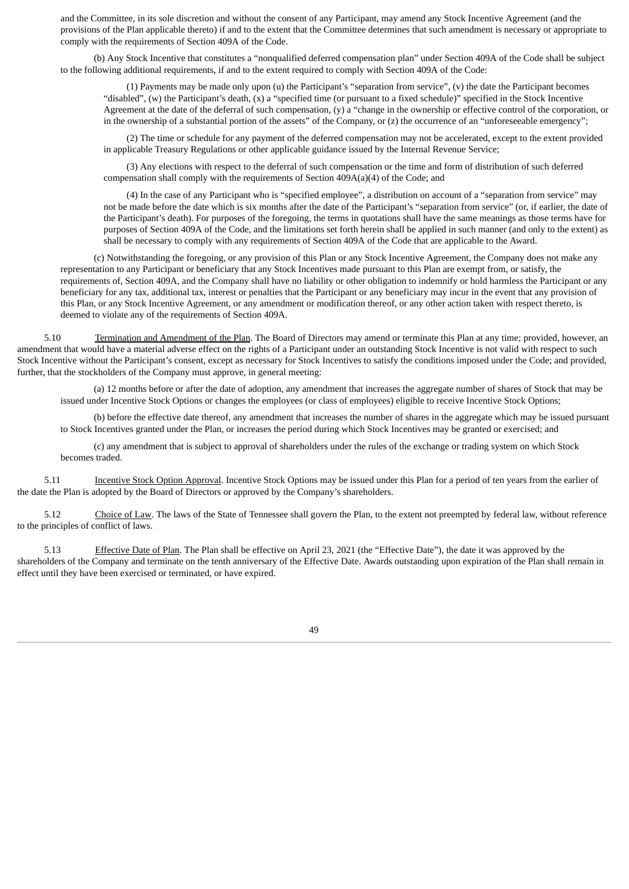and the Committee, in its sole discretion and without the consent of any Participant, may amend any Stock Incentive Agreement (and the provisions of the Plan applicable thereto) if and to the extent that the Committee determines that such amendment is necessary or appropriate to comply with the requirements of Section 409A of the Code.

(b) Any Stock Incentive that constitutes a "nonqualified deferred compensation plan" under Section 409A of the Code shall be subject to the following additional requirements, if and to the extent required to comply with Section 409A of the Code:

(1) Payments may be made only upon (u) the Participant's "separation from service", (v) the date the Participant becomes "disabled", (w) the Participant's death, (x) a "specified time (or pursuant to a fixed schedule)" specified in the Stock Incentive Agreement at the date of the deferral of such compensation, (y) a "change in the ownership or effective control of the corporation, or in the ownership of a substantial portion of the assets" of the Company, or (z) the occurrence of an "unforeseeable emergency";

(2) The time or schedule for any payment of the deferred compensation may not be accelerated, except to the extent provided in applicable Treasury Regulations or other applicable guidance issued by the Internal Revenue Service;

(3) Any elections with respect to the deferral of such compensation or the time and form of distribution of such deferred compensation shall comply with the requirements of Section 409A(a)(4) of the Code; and

(4) In the case of any Participant who is "specified employee", a distribution on account of a "separation from service" may not be made before the date which is six months after the date of the Participant's "separation from service" (or, if earlier, the date of the Participant's death). For purposes of the foregoing, the terms in quotations shall have the same meanings as those terms have for purposes of Section 409A of the Code, and the limitations set forth herein shall be applied in such manner (and only to the extent) as shall be necessary to comply with any requirements of Section 409A of the Code that are applicable to the Award.

(c) Notwithstanding the foregoing, or any provision of this Plan or any Stock Incentive Agreement, the Company does not make any representation to any Participant or beneficiary that any Stock Incentives made pursuant to this Plan are exempt from, or satisfy, the requirements of, Section 409A, and the Company shall have no liability or other obligation to indemnify or hold harmless the Participant or any beneficiary for any tax, additional tax, interest or penalties that the Participant or any beneficiary may incur in the event that any provision of this Plan, or any Stock Incentive Agreement, or any amendment or modification thereof, or any other action taken with respect thereto, is deemed to violate any of the requirements of Section 409A.

5.10 Termination and Amendment of the Plan. The Board of Directors may amend or terminate this Plan at any time; provided, however, an amendment that would have a material adverse effect on the rights of a Participant under an outstanding Stock Incentive is not valid with respect to such Stock Incentive without the Participant's consent, except as necessary for Stock Incentives to satisfy the conditions imposed under the Code; and provided, further, that the stockholders of the Company must approve, in general meeting:

(a) 12 months before or after the date of adoption, any amendment that increases the aggregate number of shares of Stock that may be issued under Incentive Stock Options or changes the employees (or class of employees) eligible to receive Incentive Stock Options;

(b) before the effective date thereof, any amendment that increases the number of shares in the aggregate which may be issued pursuant to Stock Incentives granted under the Plan, or increases the period during which Stock Incentives may be granted or exercised; and

(c) any amendment that is subject to approval of shareholders under the rules of the exchange or trading system on which Stock becomes traded.

5.11 Incentive Stock Option Approval. Incentive Stock Options may be issued under this Plan for a period of ten years from the earlier of the date the Plan is adopted by the Board of Directors or approved by the Company's shareholders.

5.12 Choice of Law. The laws of the State of Tennessee shall govern the Plan, to the extent not preempted by federal law, without reference to the principles of conflict of laws.

5.13 Effective Date of Plan. The Plan shall be effective on April 23, 2021 (the "Effective Date"), the date it was approved by the shareholders of the Company and terminate on the tenth anniversary of the Effective Date. Awards outstanding upon expiration of the Plan shall remain in effect until they have been exercised or terminated, or have expired.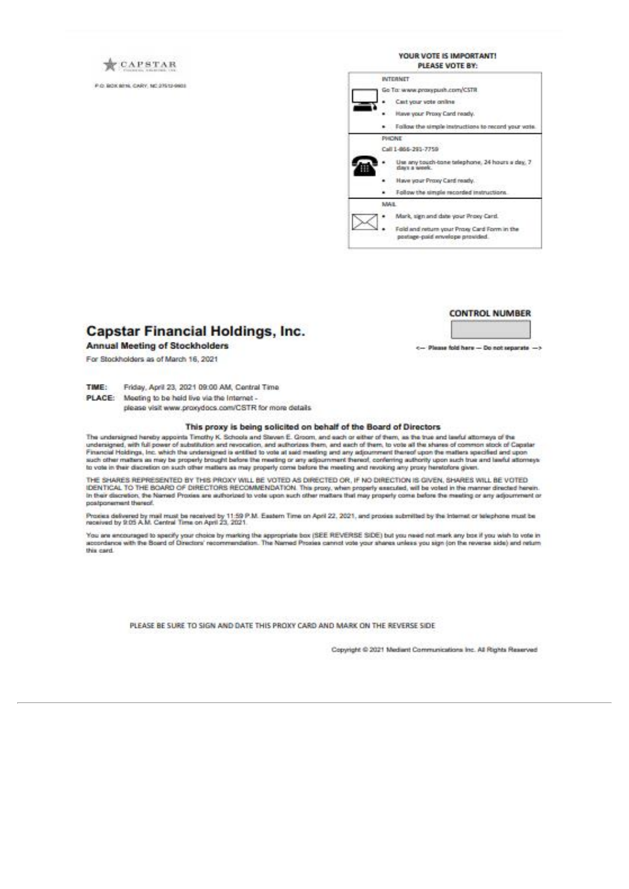CAPSTAR

P.O. BOX 8716, CARY, NC 27512-9601



## **CONTROL NUMBER**

<-- Please fold here - Do not separate ->

## **Capstar Financial Holdings, Inc.**

#### **Annual Meeting of Stockholders**

For Stockholders as of March 16, 2021

TIME: Friday, April 23, 2021 09:00 AM, Central Time

PLACE: Meeting to be held live via the internet -

please visit www.proxydocs.com/CSTR for more details

#### This proxy is being solicited on behalf of the Board of Directors

The undersigned hereby appoints Timothy K. Schools and Steven E. Groom, and each or either of them, as the true and lawful attorneys of the<br>undersigned, with full power of substitution and revocation, and authorizes them, Financial Holdings, Inc. which the undersigned is entitled to vote at said meeting and any adjournment thereof upon the matters specified and upon<br>such other matters as may be properly brought before the meeting or any adj to vote in their discretion on such other matters as may properly come before the meeting and revoking any proxy heretofone given

THE SHARES REPRESENTED BY THIS PROXY WILL BE VOTED AS DIRECTED OR, IF NO DIRECTION IS GIVEN, SHARES WILL BE VOTED IDENTICAL TO THE BOARD OF DIRECTORS RECOMMENDATION. This proxy, when properly executed, will be voted in the manner directed herein.<br>In their discretion, the Named Proxies are authorized to vote upon such other matters tha postponement thereof.

Prociss delivered by mail must be received by 11:59 P.M. Eastern Time on April 22, 2021, and proxies submitted by the Internet or telephone must be<br>neceived by 9:05 A.M. Central Time on April 23, 2021.

You are encouraged to specify your choice by marking the appropriate box (SEE REVERSE SIDE) but you need not mark any box if you wish to vote in<br>accordance with the Board of Directors' recommendation. The Named Prosies can this card.

PLEASE BE SURE TO SIGN AND DATE THIS PROXY CARD AND MARK ON THE REVERSE SIDE

Copyright @ 2021 Mediant Communications Inc. All Rights Reserved